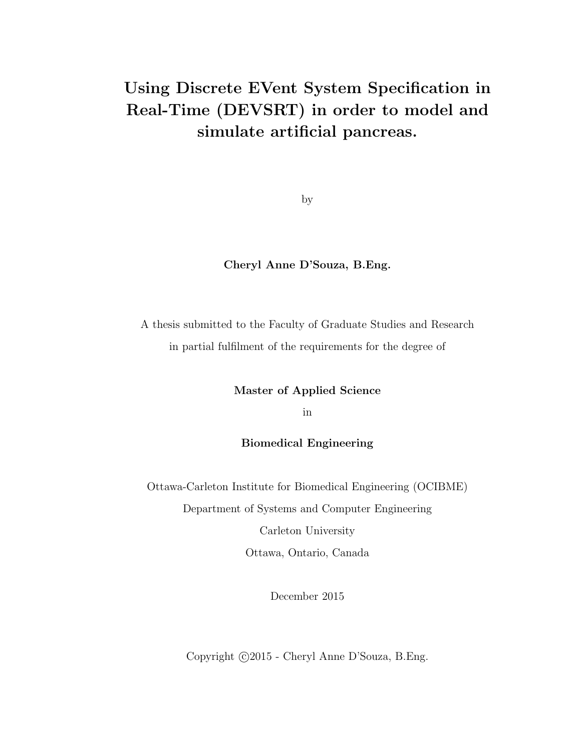# Using Discrete EVent System Specification in Real-Time (DEVSRT) in order to model and simulate artificial pancreas.

by

#### Cheryl Anne D'Souza, B.Eng.

A thesis submitted to the Faculty of Graduate Studies and Research in partial fulfilment of the requirements for the degree of

Master of Applied Science

in

Biomedical Engineering

Ottawa-Carleton Institute for Biomedical Engineering (OCIBME) Department of Systems and Computer Engineering

> Carleton University Ottawa, Ontario, Canada

> > December 2015

Copyright  $\odot$ 2015 - Cheryl Anne D'Souza, B.Eng.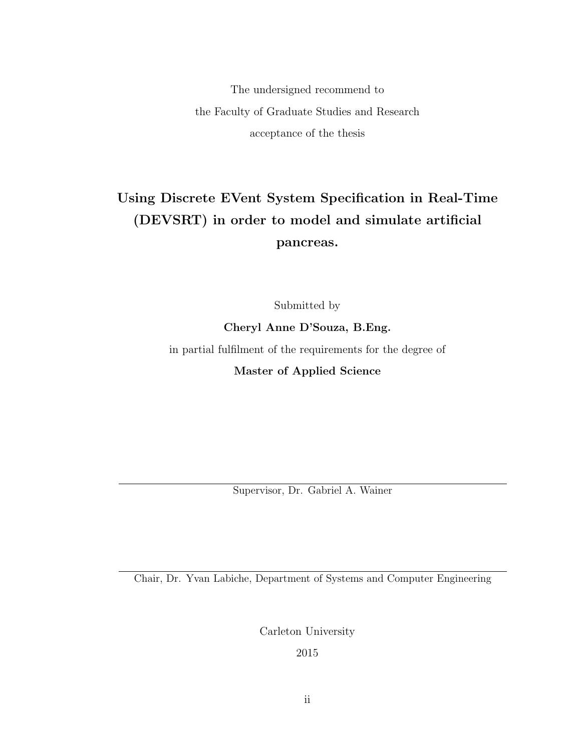The undersigned recommend to the Faculty of Graduate Studies and Research acceptance of the thesis

## Using Discrete EVent System Specification in Real-Time (DEVSRT) in order to model and simulate artificial pancreas.

Submitted by

Cheryl Anne D'Souza, B.Eng.

in partial fulfilment of the requirements for the degree of

Master of Applied Science

Supervisor, Dr. Gabriel A. Wainer

Chair, Dr. Yvan Labiche, Department of Systems and Computer Engineering

Carleton University

2015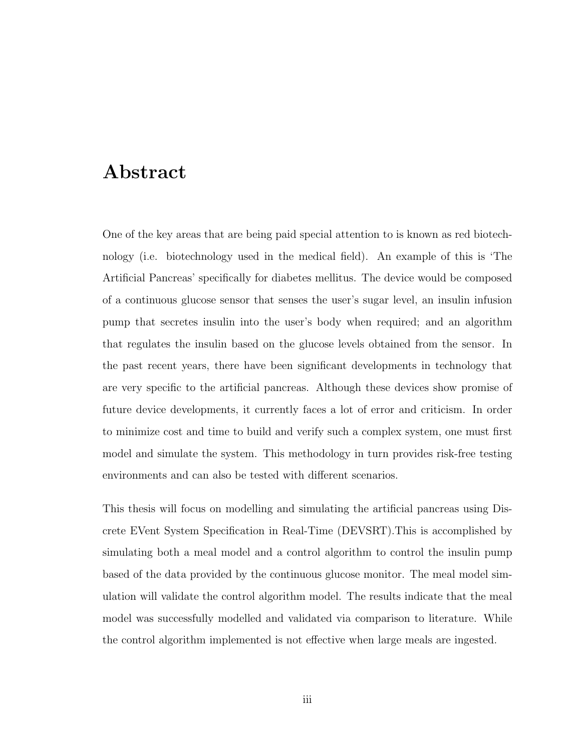## Abstract

One of the key areas that are being paid special attention to is known as red biotechnology (i.e. biotechnology used in the medical field). An example of this is 'The Artificial Pancreas' specifically for diabetes mellitus. The device would be composed of a continuous glucose sensor that senses the user's sugar level, an insulin infusion pump that secretes insulin into the user's body when required; and an algorithm that regulates the insulin based on the glucose levels obtained from the sensor. In the past recent years, there have been significant developments in technology that are very specific to the artificial pancreas. Although these devices show promise of future device developments, it currently faces a lot of error and criticism. In order to minimize cost and time to build and verify such a complex system, one must first model and simulate the system. This methodology in turn provides risk-free testing environments and can also be tested with different scenarios.

This thesis will focus on modelling and simulating the artificial pancreas using Discrete EVent System Specification in Real-Time (DEVSRT).This is accomplished by simulating both a meal model and a control algorithm to control the insulin pump based of the data provided by the continuous glucose monitor. The meal model simulation will validate the control algorithm model. The results indicate that the meal model was successfully modelled and validated via comparison to literature. While the control algorithm implemented is not effective when large meals are ingested.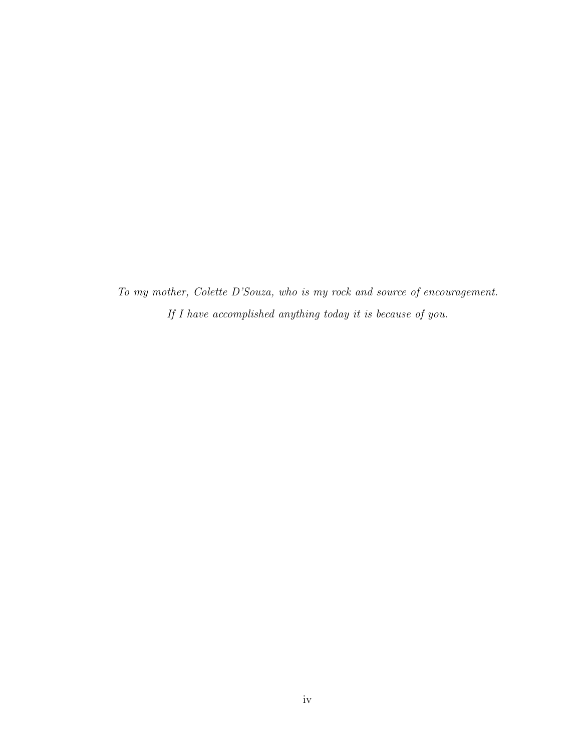*To my mother, Colette D'Souza, who is my rock and source of encouragement. If I have accomplished anything today it is because of you.*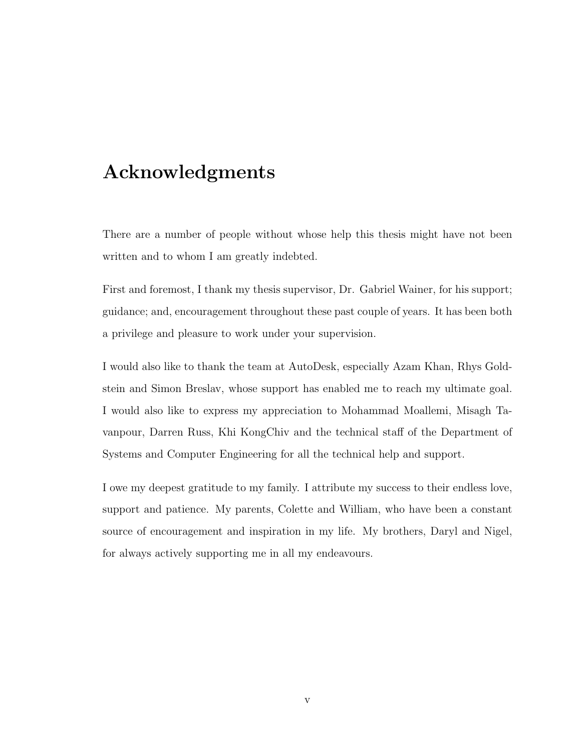# Acknowledgments

There are a number of people without whose help this thesis might have not been written and to whom I am greatly indebted.

First and foremost, I thank my thesis supervisor, Dr. Gabriel Wainer, for his support; guidance; and, encouragement throughout these past couple of years. It has been both a privilege and pleasure to work under your supervision.

I would also like to thank the team at AutoDesk, especially Azam Khan, Rhys Goldstein and Simon Breslav, whose support has enabled me to reach my ultimate goal. I would also like to express my appreciation to Mohammad Moallemi, Misagh Tavanpour, Darren Russ, Khi KongChiv and the technical staff of the Department of Systems and Computer Engineering for all the technical help and support.

I owe my deepest gratitude to my family. I attribute my success to their endless love, support and patience. My parents, Colette and William, who have been a constant source of encouragement and inspiration in my life. My brothers, Daryl and Nigel, for always actively supporting me in all my endeavours.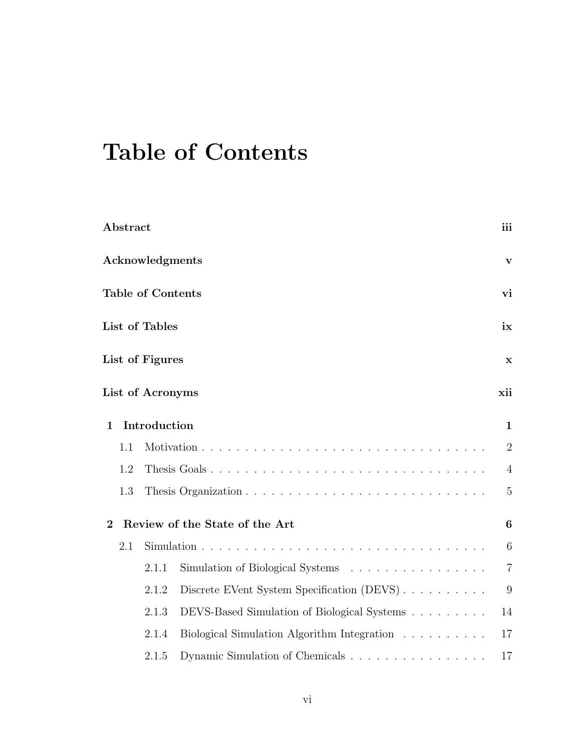# Table of Contents

| Abstract       |     |                          |                                             | iii            |
|----------------|-----|--------------------------|---------------------------------------------|----------------|
|                |     | <b>Acknowledgments</b>   |                                             | V              |
|                |     | <b>Table of Contents</b> |                                             | vi             |
|                |     | List of Tables           |                                             | ix             |
|                |     | List of Figures          |                                             | x              |
|                |     | List of Acronyms         |                                             | xii            |
| $\mathbf{1}$   |     | Introduction             |                                             | $\mathbf{1}$   |
|                | 1.1 |                          |                                             | $\overline{2}$ |
|                | 1.2 |                          | Thesis Goals                                | $\overline{4}$ |
|                | 1.3 |                          |                                             | $\overline{5}$ |
| $\overline{2}$ |     |                          | Review of the State of the Art              | 6              |
|                | 2.1 |                          |                                             | 6              |
|                |     | 2.1.1                    | Simulation of Biological Systems            | $\overline{7}$ |
|                |     | 2.1.2                    | Discrete EVent System Specification (DEVS)  | 9              |
|                |     | 2.1.3                    | DEVS-Based Simulation of Biological Systems | 14             |
|                |     | 2.1.4                    | Biological Simulation Algorithm Integration | 17             |
|                |     | 2.1.5                    | Dynamic Simulation of Chemicals             | 17             |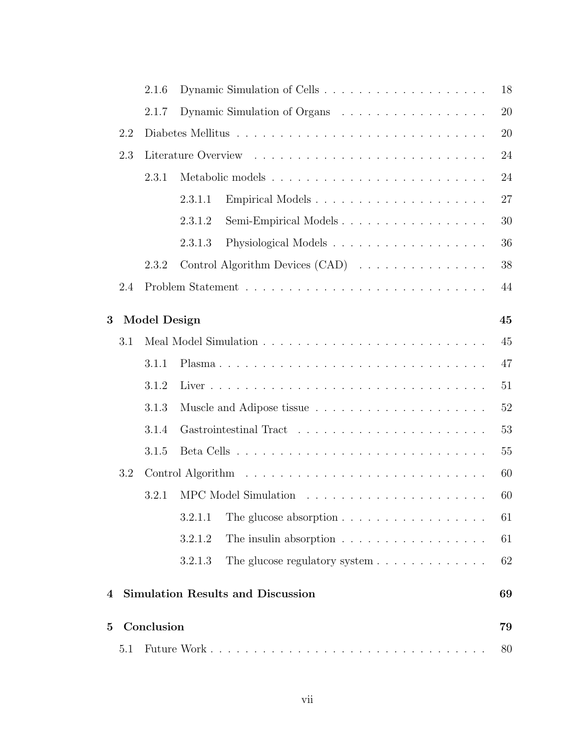|          |     | 2.1.6               |                                                                        | 18 |
|----------|-----|---------------------|------------------------------------------------------------------------|----|
|          |     | 2.1.7               | Dynamic Simulation of Organs                                           | 20 |
|          | 2.2 |                     |                                                                        | 20 |
|          | 2.3 |                     |                                                                        | 24 |
|          |     | 2.3.1               |                                                                        | 24 |
|          |     |                     | Empirical Models<br>2.3.1.1                                            | 27 |
|          |     |                     | Semi-Empirical Models<br>2.3.1.2                                       | 30 |
|          |     |                     | 2.3.1.3                                                                | 36 |
|          |     | 2.3.2               | Control Algorithm Devices (CAD)                                        | 38 |
|          | 2.4 |                     |                                                                        | 44 |
| 3        |     | <b>Model Design</b> |                                                                        | 45 |
|          | 3.1 |                     |                                                                        | 45 |
|          |     | 3.1.1               |                                                                        | 47 |
|          |     | 3.1.2               |                                                                        | 51 |
|          |     | 3.1.3               |                                                                        | 52 |
|          |     | 3.1.4               | 53                                                                     |    |
|          |     | 3.1.5               |                                                                        | 55 |
|          | 3.2 |                     |                                                                        | 60 |
|          |     | 3.2.1               |                                                                        | 60 |
|          |     |                     | The glucose absorption $\ldots \ldots \ldots \ldots \ldots$<br>3.2.1.1 | 61 |
|          |     |                     | 3.2.1.2<br>The insulin absorption                                      | 61 |
|          |     |                     | 3.2.1.3                                                                | 62 |
| 4        |     |                     | <b>Simulation Results and Discussion</b>                               | 69 |
| $\bf{5}$ |     | Conclusion          |                                                                        | 79 |
|          | 5.1 |                     |                                                                        | 80 |
|          |     |                     |                                                                        |    |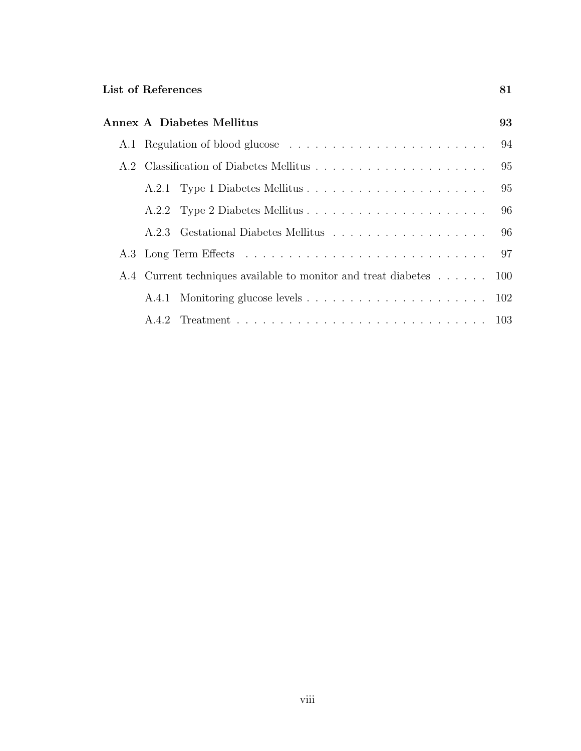|  | <b>Annex A Diabetes Mellitus</b>                                   | 93 |
|--|--------------------------------------------------------------------|----|
|  |                                                                    |    |
|  |                                                                    |    |
|  |                                                                    |    |
|  |                                                                    |    |
|  |                                                                    |    |
|  |                                                                    |    |
|  | A.4 Current techniques available to monitor and treat diabetes 100 |    |
|  |                                                                    |    |
|  |                                                                    |    |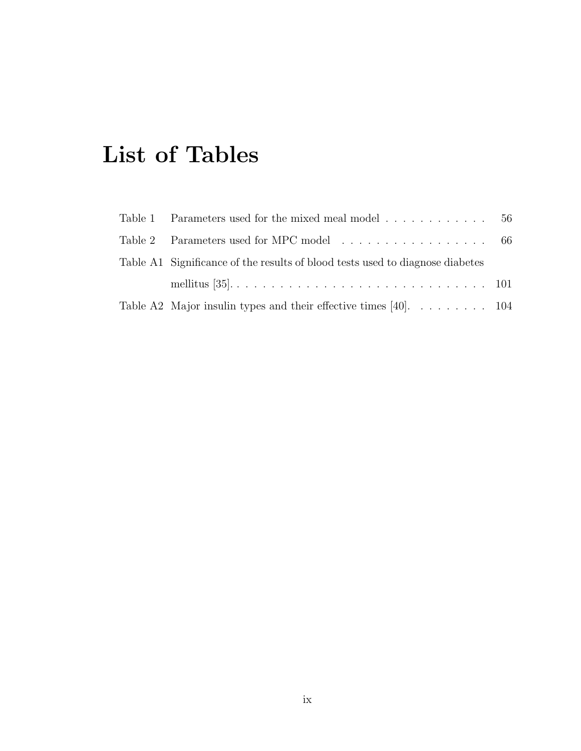# List of Tables

| Table 1 Parameters used for the mixed meal model $\ldots \ldots \ldots \ldots$ 56          |  |
|--------------------------------------------------------------------------------------------|--|
|                                                                                            |  |
| Table A1 Significance of the results of blood tests used to diagnose diabetes              |  |
|                                                                                            |  |
| Table A2 Major insulin types and their effective times [40]. $\dots \dots \dots \dots$ 104 |  |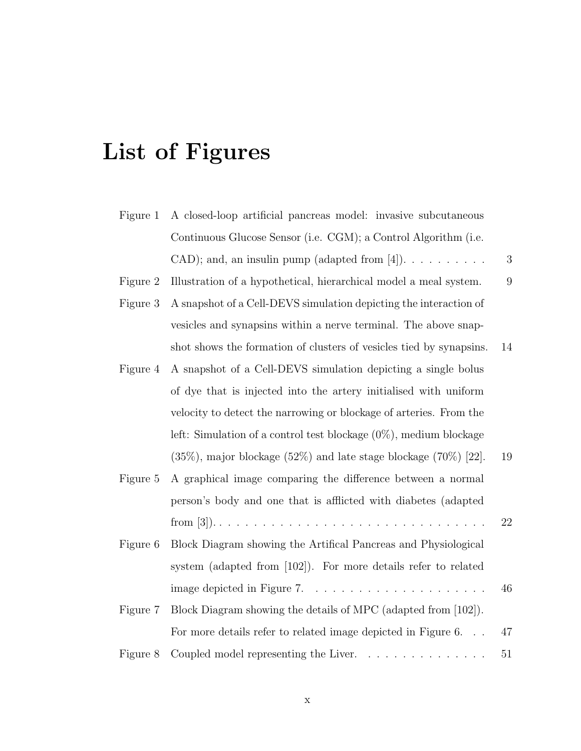# List of Figures

| Figure 1                                                                      | A closed-loop artificial pancreas model: invasive subcutaneous            |              |
|-------------------------------------------------------------------------------|---------------------------------------------------------------------------|--------------|
|                                                                               | Continuous Glucose Sensor (i.e. CGM); a Control Algorithm (i.e.           |              |
|                                                                               | CAD); and, an insulin pump (adapted from [4]). $\dots \dots \dots$        | $\mathbf{3}$ |
| Illustration of a hypothetical, hierarchical model a meal system.<br>Figure 2 |                                                                           | 9            |
| Figure 3                                                                      | A snapshot of a Cell-DEVS simulation depicting the interaction of         |              |
|                                                                               | vesicles and synapsins within a nerve terminal. The above snap-           |              |
|                                                                               | shot shows the formation of clusters of vesicles tied by synapsins.       | 14           |
| Figure 4                                                                      | A snapshot of a Cell-DEVS simulation depicting a single bolus             |              |
|                                                                               | of dye that is injected into the artery initialised with uniform          |              |
|                                                                               | velocity to detect the narrowing or blockage of arteries. From the        |              |
|                                                                               | left: Simulation of a control test blockage $(0\%)$ , medium blockage     |              |
|                                                                               | $(35\%)$ , major blockage $(52\%)$ and late stage blockage $(70\%)$ [22]. | 19           |
| Figure 5                                                                      | A graphical image comparing the difference between a normal               |              |
|                                                                               | person's body and one that is afflicted with diabetes (adapted            |              |
|                                                                               |                                                                           | 22           |
| Figure 6                                                                      | Block Diagram showing the Artifical Pancreas and Physiological            |              |
|                                                                               | system (adapted from [102]). For more details refer to related            |              |
|                                                                               |                                                                           | 46           |
| Figure 7                                                                      | Block Diagram showing the details of MPC (adapted from [102]).            |              |
|                                                                               | For more details refer to related image depicted in Figure 6.             | 47           |
| Figure 8                                                                      |                                                                           | 51           |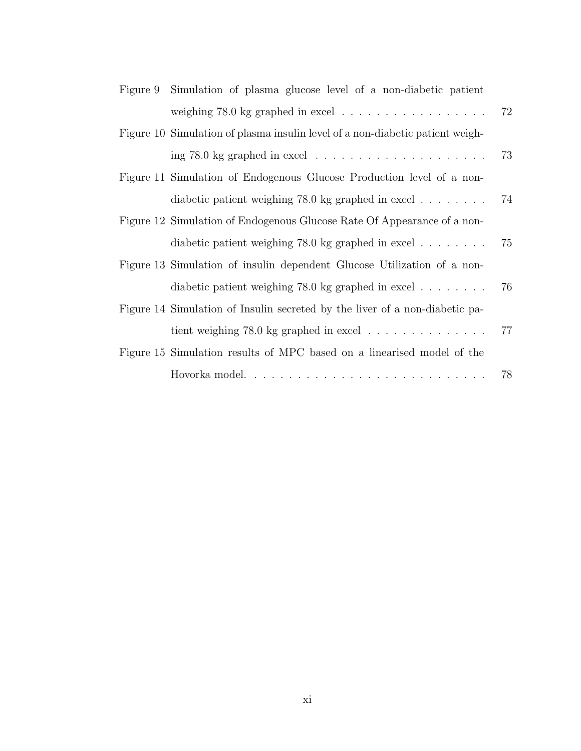| Figure 9 Simulation of plasma glucose level of a non-diabetic patient         |    |
|-------------------------------------------------------------------------------|----|
|                                                                               | 72 |
| Figure 10 Simulation of plasma insulin level of a non-diabetic patient weigh- |    |
|                                                                               | 73 |
| Figure 11 Simulation of Endogenous Glucose Production level of a non-         |    |
| diabetic patient weighing $78.0 \text{ kg}$ graphed in excel                  | 74 |
| Figure 12 Simulation of Endogenous Glucose Rate Of Appearance of a non-       |    |
| diabetic patient weighing $78.0 \text{ kg}$ graphed in excel                  | 75 |
| Figure 13 Simulation of insulin dependent Glucose Utilization of a non-       |    |
| diabetic patient weighing 78.0 kg graphed in excel $\ldots \ldots$            | 76 |
| Figure 14 Simulation of Insulin secreted by the liver of a non-diabetic pa-   |    |
|                                                                               | 77 |
| Figure 15 Simulation results of MPC based on a linearised model of the        |    |
|                                                                               | 78 |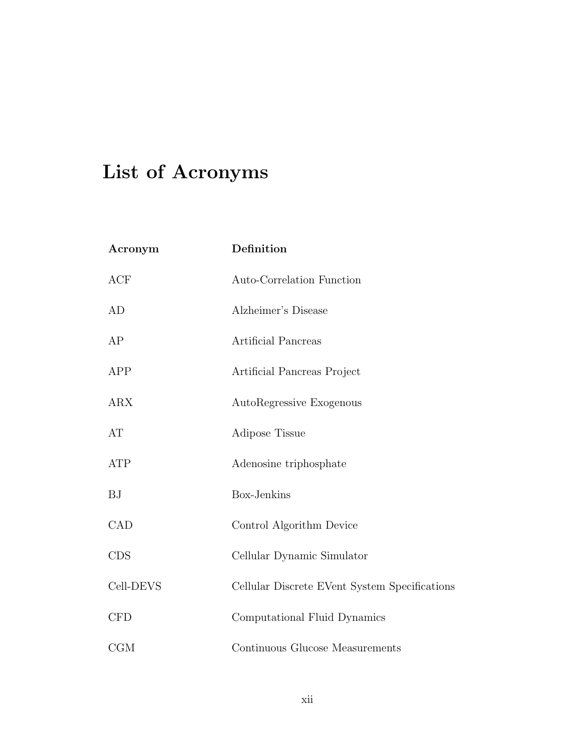# List of Acronyms

| Acronym    | Definition                                    |
|------------|-----------------------------------------------|
| ACF        | Auto-Correlation Function                     |
| AD         | Alzheimer's Disease                           |
| AP         | Artificial Pancreas                           |
| APP        | Artificial Pancreas Project                   |
| ARX        | AutoRegressive Exogenous                      |
| AT         | Adipose Tissue                                |
| <b>ATP</b> | Adenosine triphosphate                        |
| <b>BJ</b>  | Box-Jenkins                                   |
| CAD        | Control Algorithm Device                      |
| <b>CDS</b> | Cellular Dynamic Simulator                    |
| Cell-DEVS  | Cellular Discrete EVent System Specifications |
| <b>CFD</b> | Computational Fluid Dynamics                  |
| CGM        | Continuous Glucose Measurements               |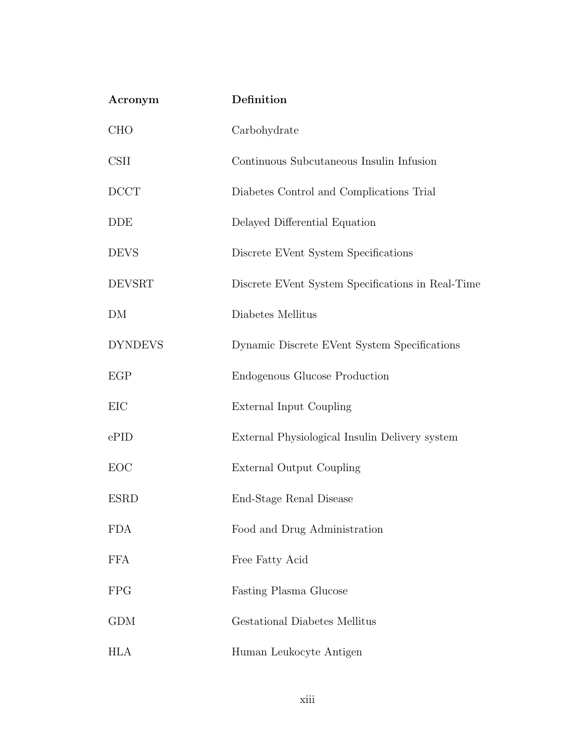| Acronym          | Definition                                        |
|------------------|---------------------------------------------------|
| CHO              | Carbohydrate                                      |
| <b>CSII</b>      | Continuous Subcutaneous Insulin Infusion          |
| D <sub>CCT</sub> | Diabetes Control and Complications Trial          |
| <b>DDE</b>       | Delayed Differential Equation                     |
| <b>DEVS</b>      | Discrete EVent System Specifications              |
| <b>DEVSRT</b>    | Discrete EVent System Specifications in Real-Time |
| DM               | Diabetes Mellitus                                 |
| <b>DYNDEVS</b>   | Dynamic Discrete EVent System Specifications      |
| EGP              | <b>Endogenous Glucose Production</b>              |
| EIC              | External Input Coupling                           |
| ePID             | External Physiological Insulin Delivery system    |
| EOC              | External Output Coupling                          |
| <b>ESRD</b>      | End-Stage Renal Disease                           |
| <b>FDA</b>       | Food and Drug Administration                      |
| <b>FFA</b>       | Free Fatty Acid                                   |
| <b>FPG</b>       | Fasting Plasma Glucose                            |
| <b>GDM</b>       | Gestational Diabetes Mellitus                     |
| <b>HLA</b>       | Human Leukocyte Antigen                           |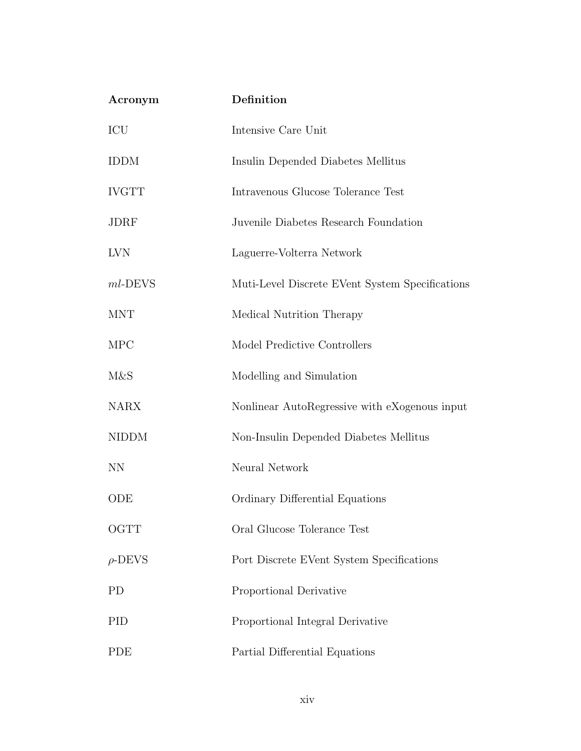| Acronym      | Definition                                      |
|--------------|-------------------------------------------------|
| ICU          | Intensive Care Unit                             |
| <b>IDDM</b>  | Insulin Depended Diabetes Mellitus              |
| <b>IVGTT</b> | Intravenous Glucose Tolerance Test              |
| <b>JDRF</b>  | Juvenile Diabetes Research Foundation           |
| <b>LVN</b>   | Laguerre-Volterra Network                       |
| $ml$ -DEVS   | Muti-Level Discrete EVent System Specifications |
| <b>MNT</b>   | Medical Nutrition Therapy                       |
| <b>MPC</b>   | Model Predictive Controllers                    |
| M&S          | Modelling and Simulation                        |
| <b>NARX</b>  | Nonlinear AutoRegressive with eXogenous input   |
| <b>NIDDM</b> | Non-Insulin Depended Diabetes Mellitus          |
| <b>NN</b>    | Neural Network                                  |
| ODE          | Ordinary Differential Equations                 |
| OGTT         | Oral Glucose Tolerance Test                     |
| $\rho$ -DEVS | Port Discrete EVent System Specifications       |
| <b>PD</b>    | Proportional Derivative                         |
| PID          | Proportional Integral Derivative                |
| <b>PDE</b>   | Partial Differential Equations                  |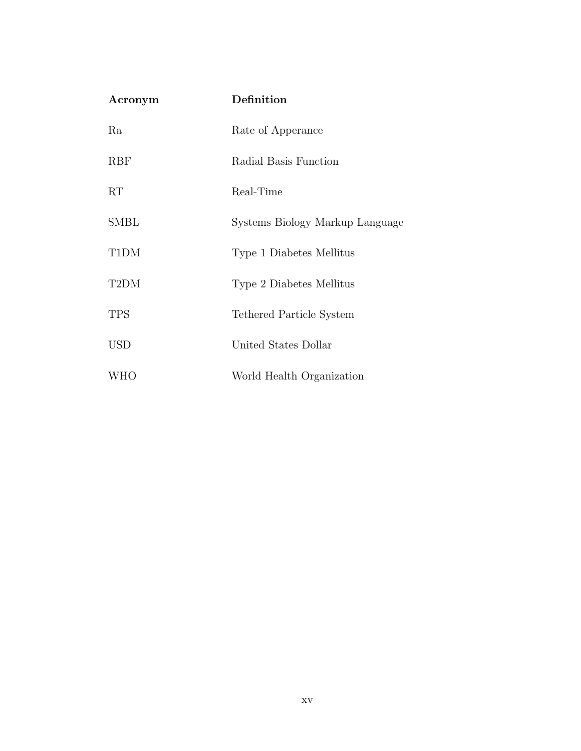| Acronym    | Definition                      |
|------------|---------------------------------|
| Ra         | Rate of Apperance               |
| <b>RBF</b> | Radial Basis Function           |
| RT         | Real-Time                       |
| SMBL       | Systems Biology Markup Language |
| T1DM       | Type 1 Diabetes Mellitus        |
| T2DM       | Type 2 Diabetes Mellitus        |
| <b>TPS</b> | Tethered Particle System        |
| <b>USD</b> | United States Dollar            |
| WHO        | World Health Organization       |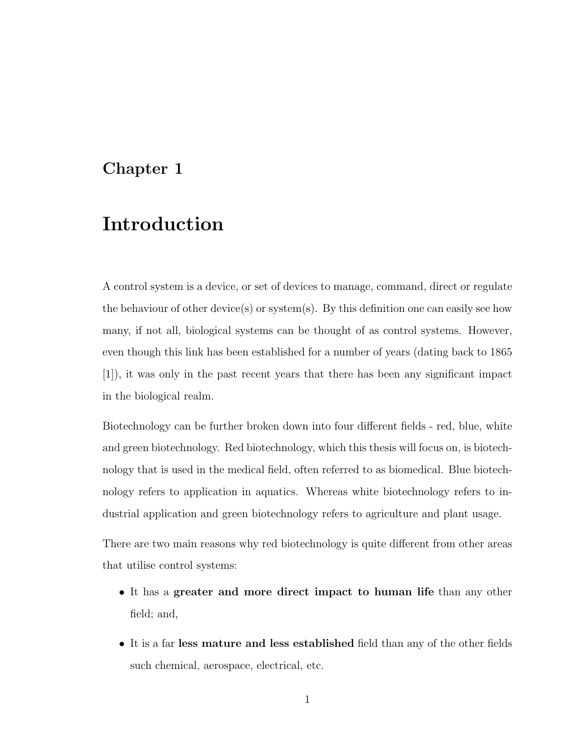## Chapter 1

## Introduction

A control system is a device, or set of devices to manage, command, direct or regulate the behaviour of other device(s) or system(s). By this definition one can easily see how many, if not all, biological systems can be thought of as control systems. However, even though this link has been established for a number of years (dating back to 1865 [1]), it was only in the past recent years that there has been any significant impact in the biological realm.

Biotechnology can be further broken down into four different fields - red, blue, white and green biotechnology. Red biotechnology, which this thesis will focus on, is biotechnology that is used in the medical field, often referred to as biomedical. Blue biotechnology refers to application in aquatics. Whereas white biotechnology refers to industrial application and green biotechnology refers to agriculture and plant usage.

There are two main reasons why red biotechnology is quite different from other areas that utilise control systems:

- It has a greater and more direct impact to human life than any other field; and,
- It is a far less mature and less established field than any of the other fields such chemical, aerospace, electrical, etc.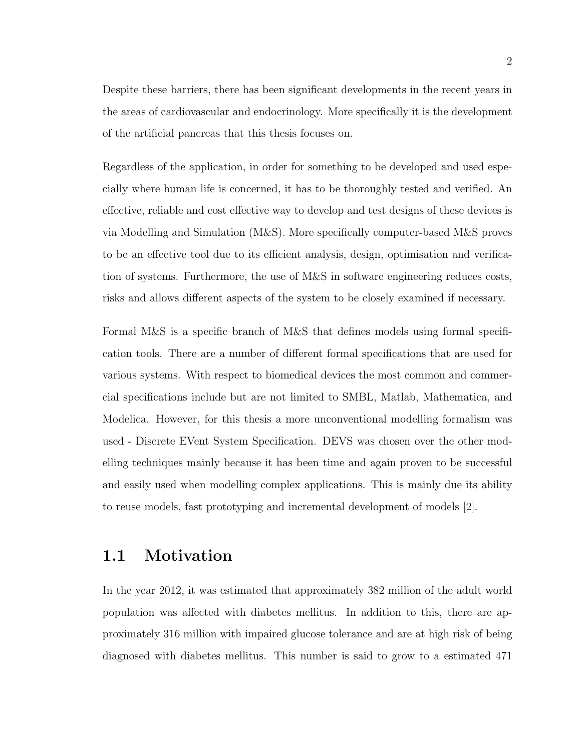Despite these barriers, there has been significant developments in the recent years in the areas of cardiovascular and endocrinology. More specifically it is the development of the artificial pancreas that this thesis focuses on.

Regardless of the application, in order for something to be developed and used especially where human life is concerned, it has to be thoroughly tested and verified. An effective, reliable and cost effective way to develop and test designs of these devices is via Modelling and Simulation (M&S). More specifically computer-based M&S proves to be an effective tool due to its efficient analysis, design, optimisation and verification of systems. Furthermore, the use of M&S in software engineering reduces costs, risks and allows different aspects of the system to be closely examined if necessary.

Formal M&S is a specific branch of M&S that defines models using formal specification tools. There are a number of different formal specifications that are used for various systems. With respect to biomedical devices the most common and commercial specifications include but are not limited to SMBL, Matlab, Mathematica, and Modelica. However, for this thesis a more unconventional modelling formalism was used - Discrete EVent System Specification. DEVS was chosen over the other modelling techniques mainly because it has been time and again proven to be successful and easily used when modelling complex applications. This is mainly due its ability to reuse models, fast prototyping and incremental development of models [2].

### 1.1 Motivation

In the year 2012, it was estimated that approximately 382 million of the adult world population was affected with diabetes mellitus. In addition to this, there are approximately 316 million with impaired glucose tolerance and are at high risk of being diagnosed with diabetes mellitus. This number is said to grow to a estimated 471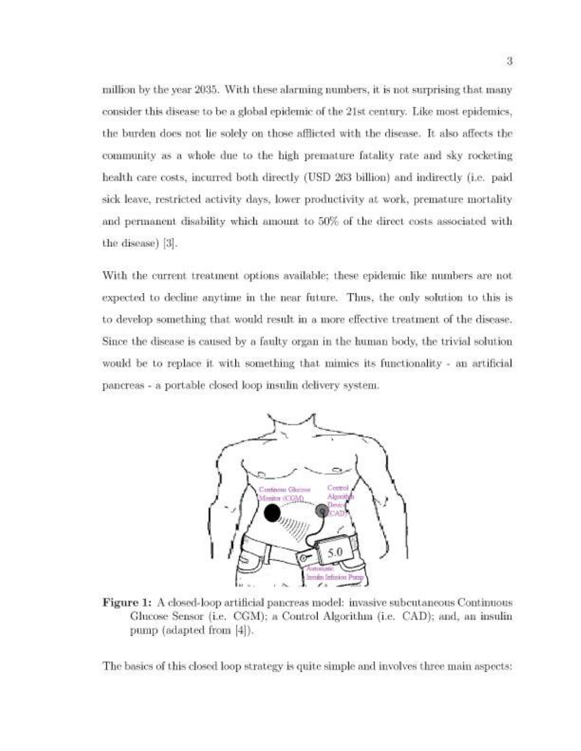million by the year 2035. With these alarming numbers, it is not surprising that many consider this disease to be a global epidemic of the 21st century. Like most epidemics, the burden does not lie solely on those afflicted with the disease. It also affects the community as a whole due to the high premature fatality rate and sky rocketing health care costs, incurred both directly (USD 263 billion) and indirectly (i.e. paid sick leave, restricted activity days, lower productivity at work, premature mortality and permanent disability which amount to 50% of the direct costs associated with the disease) [3].

With the current treatment options available; these epidemic like numbers are not expected to decline anytime in the near future. Thus, the only solution to this is to develop something that would result in a more effective treatment of the disease. Since the disease is caused by a faulty organ in the human body, the trivial solution would be to replace it with something that mimics its functionality - an artificial pancreas - a portable closed loop insulin delivery system.



Figure 1: A closed-loop artificial pancreas model: invasive subcutaneous Continuous Glucose Sensor (i.e. CGM); a Control Algorithm (i.e. CAD); and, an insulin pump (adapted from [4]).

The basics of this closed loop strategy is quite simple and involves three main aspects: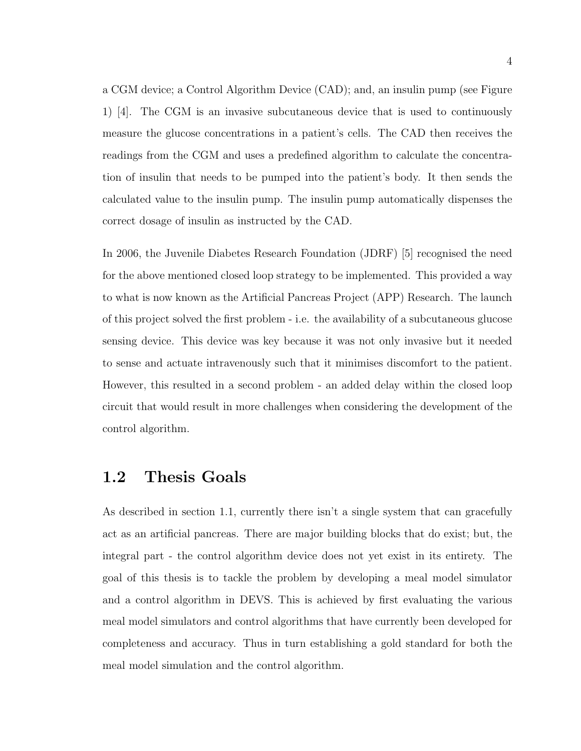a CGM device; a Control Algorithm Device (CAD); and, an insulin pump (see Figure 1) [4]. The CGM is an invasive subcutaneous device that is used to continuously measure the glucose concentrations in a patient's cells. The CAD then receives the readings from the CGM and uses a predefined algorithm to calculate the concentration of insulin that needs to be pumped into the patient's body. It then sends the calculated value to the insulin pump. The insulin pump automatically dispenses the correct dosage of insulin as instructed by the CAD.

In 2006, the Juvenile Diabetes Research Foundation (JDRF) [5] recognised the need for the above mentioned closed loop strategy to be implemented. This provided a way to what is now known as the Artificial Pancreas Project (APP) Research. The launch of this project solved the first problem - i.e. the availability of a subcutaneous glucose sensing device. This device was key because it was not only invasive but it needed to sense and actuate intravenously such that it minimises discomfort to the patient. However, this resulted in a second problem - an added delay within the closed loop circuit that would result in more challenges when considering the development of the control algorithm.

### 1.2 Thesis Goals

As described in section 1.1, currently there isn't a single system that can gracefully act as an artificial pancreas. There are major building blocks that do exist; but, the integral part - the control algorithm device does not yet exist in its entirety. The goal of this thesis is to tackle the problem by developing a meal model simulator and a control algorithm in DEVS. This is achieved by first evaluating the various meal model simulators and control algorithms that have currently been developed for completeness and accuracy. Thus in turn establishing a gold standard for both the meal model simulation and the control algorithm.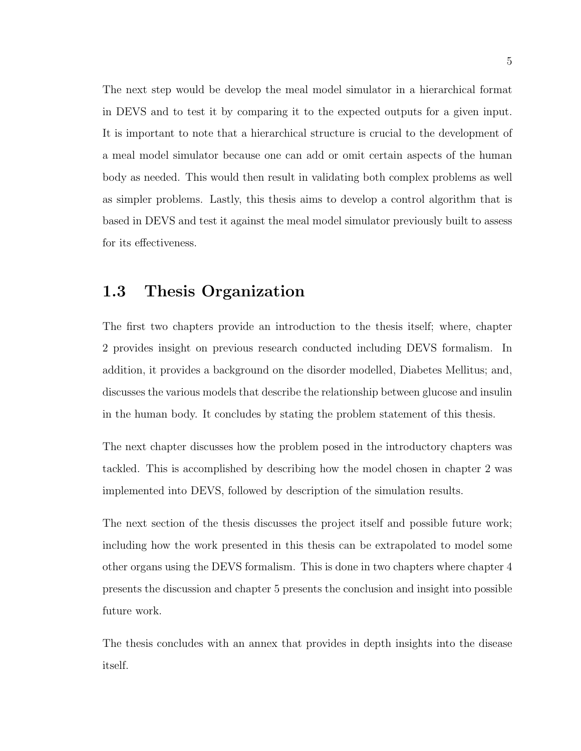The next step would be develop the meal model simulator in a hierarchical format in DEVS and to test it by comparing it to the expected outputs for a given input. It is important to note that a hierarchical structure is crucial to the development of a meal model simulator because one can add or omit certain aspects of the human body as needed. This would then result in validating both complex problems as well as simpler problems. Lastly, this thesis aims to develop a control algorithm that is based in DEVS and test it against the meal model simulator previously built to assess for its effectiveness.

### 1.3 Thesis Organization

The first two chapters provide an introduction to the thesis itself; where, chapter 2 provides insight on previous research conducted including DEVS formalism. In addition, it provides a background on the disorder modelled, Diabetes Mellitus; and, discusses the various models that describe the relationship between glucose and insulin in the human body. It concludes by stating the problem statement of this thesis.

The next chapter discusses how the problem posed in the introductory chapters was tackled. This is accomplished by describing how the model chosen in chapter 2 was implemented into DEVS, followed by description of the simulation results.

The next section of the thesis discusses the project itself and possible future work; including how the work presented in this thesis can be extrapolated to model some other organs using the DEVS formalism. This is done in two chapters where chapter 4 presents the discussion and chapter 5 presents the conclusion and insight into possible future work.

The thesis concludes with an annex that provides in depth insights into the disease itself.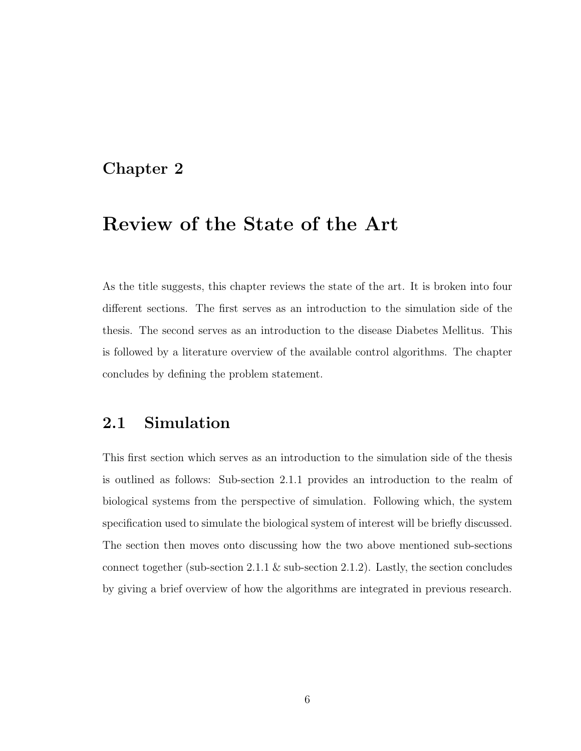## Chapter 2

## Review of the State of the Art

As the title suggests, this chapter reviews the state of the art. It is broken into four different sections. The first serves as an introduction to the simulation side of the thesis. The second serves as an introduction to the disease Diabetes Mellitus. This is followed by a literature overview of the available control algorithms. The chapter concludes by defining the problem statement.

## 2.1 Simulation

This first section which serves as an introduction to the simulation side of the thesis is outlined as follows: Sub-section 2.1.1 provides an introduction to the realm of biological systems from the perspective of simulation. Following which, the system specification used to simulate the biological system of interest will be briefly discussed. The section then moves onto discussing how the two above mentioned sub-sections connect together (sub-section 2.1.1  $\&$  sub-section 2.1.2). Lastly, the section concludes by giving a brief overview of how the algorithms are integrated in previous research.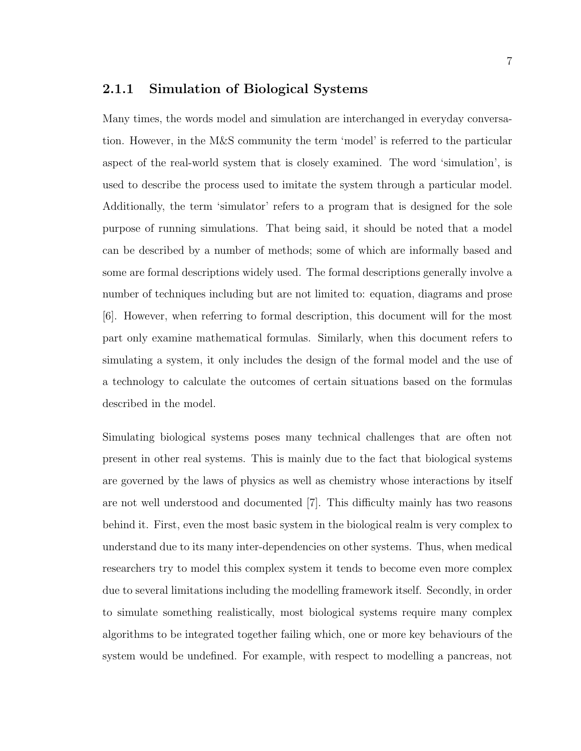#### 2.1.1 Simulation of Biological Systems

Many times, the words model and simulation are interchanged in everyday conversation. However, in the M&S community the term 'model' is referred to the particular aspect of the real-world system that is closely examined. The word 'simulation', is used to describe the process used to imitate the system through a particular model. Additionally, the term 'simulator' refers to a program that is designed for the sole purpose of running simulations. That being said, it should be noted that a model can be described by a number of methods; some of which are informally based and some are formal descriptions widely used. The formal descriptions generally involve a number of techniques including but are not limited to: equation, diagrams and prose [6]. However, when referring to formal description, this document will for the most part only examine mathematical formulas. Similarly, when this document refers to simulating a system, it only includes the design of the formal model and the use of a technology to calculate the outcomes of certain situations based on the formulas described in the model.

Simulating biological systems poses many technical challenges that are often not present in other real systems. This is mainly due to the fact that biological systems are governed by the laws of physics as well as chemistry whose interactions by itself are not well understood and documented [7]. This difficulty mainly has two reasons behind it. First, even the most basic system in the biological realm is very complex to understand due to its many inter-dependencies on other systems. Thus, when medical researchers try to model this complex system it tends to become even more complex due to several limitations including the modelling framework itself. Secondly, in order to simulate something realistically, most biological systems require many complex algorithms to be integrated together failing which, one or more key behaviours of the system would be undefined. For example, with respect to modelling a pancreas, not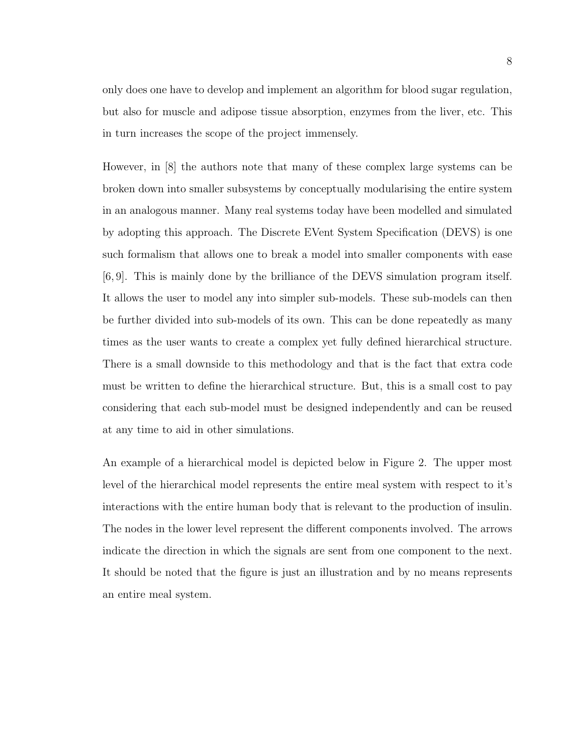only does one have to develop and implement an algorithm for blood sugar regulation, but also for muscle and adipose tissue absorption, enzymes from the liver, etc. This in turn increases the scope of the project immensely.

However, in [8] the authors note that many of these complex large systems can be broken down into smaller subsystems by conceptually modularising the entire system in an analogous manner. Many real systems today have been modelled and simulated by adopting this approach. The Discrete EVent System Specification (DEVS) is one such formalism that allows one to break a model into smaller components with ease [6, 9]. This is mainly done by the brilliance of the DEVS simulation program itself. It allows the user to model any into simpler sub-models. These sub-models can then be further divided into sub-models of its own. This can be done repeatedly as many times as the user wants to create a complex yet fully defined hierarchical structure. There is a small downside to this methodology and that is the fact that extra code must be written to define the hierarchical structure. But, this is a small cost to pay considering that each sub-model must be designed independently and can be reused at any time to aid in other simulations.

An example of a hierarchical model is depicted below in Figure 2. The upper most level of the hierarchical model represents the entire meal system with respect to it's interactions with the entire human body that is relevant to the production of insulin. The nodes in the lower level represent the different components involved. The arrows indicate the direction in which the signals are sent from one component to the next. It should be noted that the figure is just an illustration and by no means represents an entire meal system.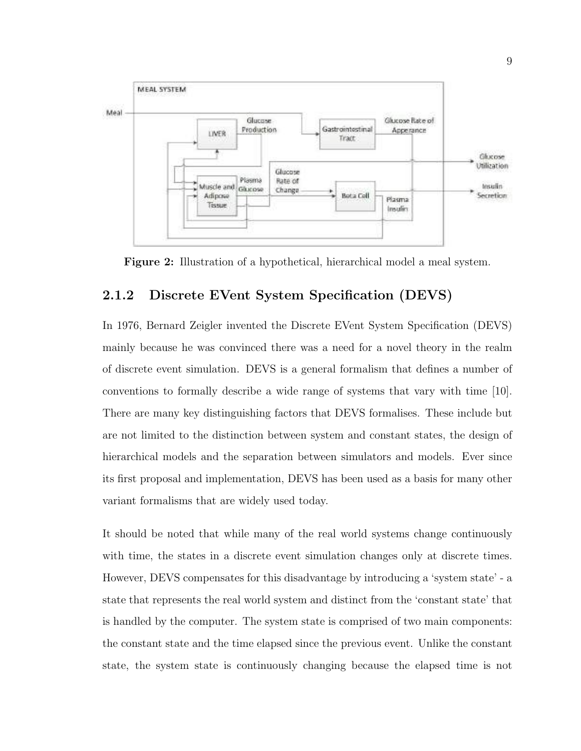

Figure 2: Illustration of a hypothetical, hierarchical model a meal system.

#### 2.1.2 Discrete EVent System Specification (DEVS)

In 1976, Bernard Zeigler invented the Discrete EVent System Specification (DEVS) mainly because he was convinced there was a need for a novel theory in the realm of discrete event simulation. DEVS is a general formalism that defines a number of conventions to formally describe a wide range of systems that vary with time [10]. There are many key distinguishing factors that DEVS formalises. These include but are not limited to the distinction between system and constant states, the design of hierarchical models and the separation between simulators and models. Ever since its first proposal and implementation, DEVS has been used as a basis for many other variant formalisms that are widely used today.

It should be noted that while many of the real world systems change continuously with time, the states in a discrete event simulation changes only at discrete times. However, DEVS compensates for this disadvantage by introducing a 'system state' - a state that represents the real world system and distinct from the 'constant state' that is handled by the computer. The system state is comprised of two main components: the constant state and the time elapsed since the previous event. Unlike the constant state, the system state is continuously changing because the elapsed time is not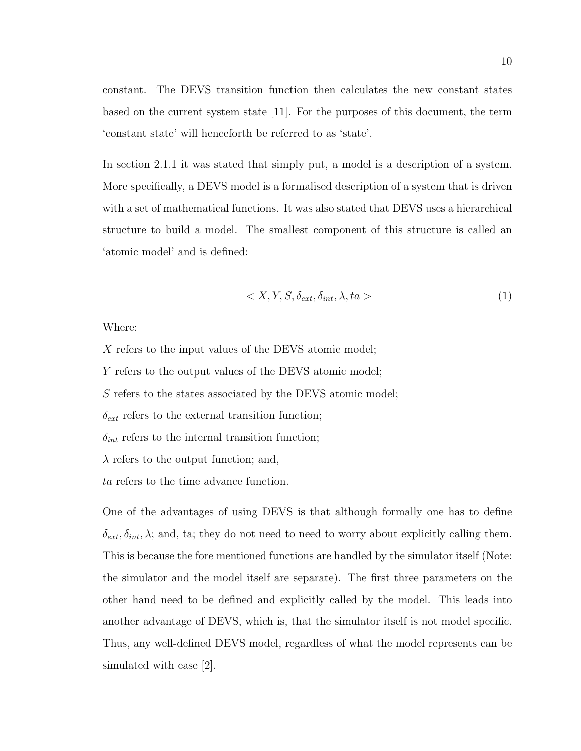constant. The DEVS transition function then calculates the new constant states based on the current system state [11]. For the purposes of this document, the term 'constant state' will henceforth be referred to as 'state'.

In section 2.1.1 it was stated that simply put, a model is a description of a system. More specifically, a DEVS model is a formalised description of a system that is driven with a set of mathematical functions. It was also stated that DEVS uses a hierarchical structure to build a model. The smallest component of this structure is called an 'atomic model' and is defined:

$$
\langle X, Y, S, \delta_{ext}, \delta_{int}, \lambda, ta \rangle \tag{1}
$$

Where:

X refers to the input values of the DEVS atomic model;

Y refers to the output values of the DEVS atomic model;

S refers to the states associated by the DEVS atomic model;

 $\delta_{ext}$  refers to the external transition function;

 $\delta_{int}$  refers to the internal transition function;

 $\lambda$  refers to the output function; and,

ta refers to the time advance function.

One of the advantages of using DEVS is that although formally one has to define  $\delta_{ext}, \delta_{int}, \lambda$ ; and, ta; they do not need to need to worry about explicitly calling them. This is because the fore mentioned functions are handled by the simulator itself (Note: the simulator and the model itself are separate). The first three parameters on the other hand need to be defined and explicitly called by the model. This leads into another advantage of DEVS, which is, that the simulator itself is not model specific. Thus, any well-defined DEVS model, regardless of what the model represents can be simulated with ease [2].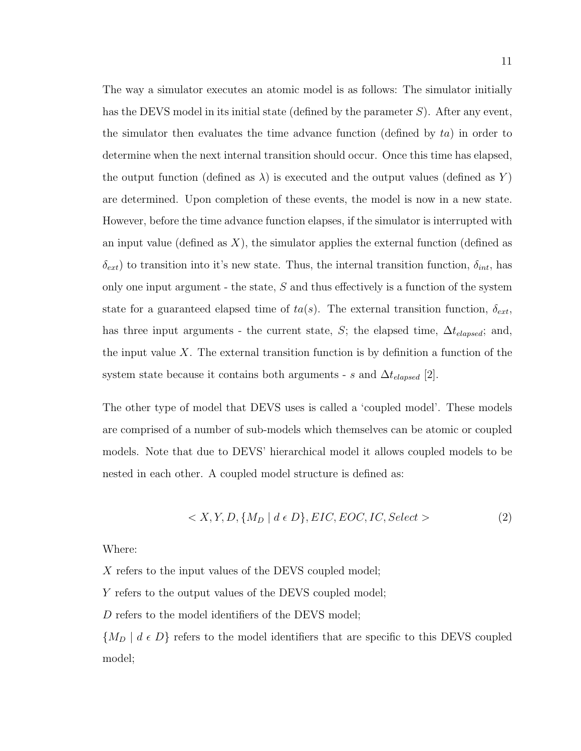The way a simulator executes an atomic model is as follows: The simulator initially has the DEVS model in its initial state (defined by the parameter  $S$ ). After any event, the simulator then evaluates the time advance function (defined by  $ta$ ) in order to determine when the next internal transition should occur. Once this time has elapsed, the output function (defined as  $\lambda$ ) is executed and the output values (defined as Y) are determined. Upon completion of these events, the model is now in a new state. However, before the time advance function elapses, if the simulator is interrupted with an input value (defined as  $X$ ), the simulator applies the external function (defined as  $\delta_{ext}$ ) to transition into it's new state. Thus, the internal transition function,  $\delta_{int}$ , has only one input argument - the state,  $S$  and thus effectively is a function of the system state for a guaranteed elapsed time of  $ta(s)$ . The external transition function,  $\delta_{ext}$ , has three input arguments - the current state, S; the elapsed time,  $\Delta t_{elaped}$ ; and, the input value X. The external transition function is by definition a function of the system state because it contains both arguments - s and  $\Delta t_{elased}$  [2].

The other type of model that DEVS uses is called a 'coupled model'. These models are comprised of a number of sub-models which themselves can be atomic or coupled models. Note that due to DEVS' hierarchical model it allows coupled models to be nested in each other. A coupled model structure is defined as:

$$
\langle X, Y, D, \{M_D \mid d \in D\}, EIC, EOC, IC, Select \rangle \tag{2}
$$

Where:

X refers to the input values of the DEVS coupled model;

Y refers to the output values of the DEVS coupled model;

D refers to the model identifiers of the DEVS model;

 ${M_D | d \epsilon D}$  refers to the model identifiers that are specific to this DEVS coupled model;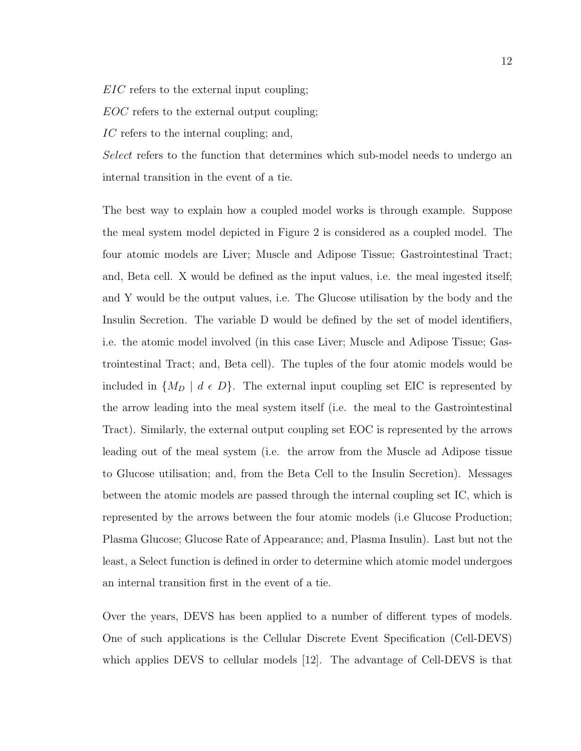EIC refers to the external input coupling;

EOC refers to the external output coupling;

IC refers to the internal coupling; and,

Select refers to the function that determines which sub-model needs to undergo an internal transition in the event of a tie.

The best way to explain how a coupled model works is through example. Suppose the meal system model depicted in Figure 2 is considered as a coupled model. The four atomic models are Liver; Muscle and Adipose Tissue; Gastrointestinal Tract; and, Beta cell. X would be defined as the input values, i.e. the meal ingested itself; and Y would be the output values, i.e. The Glucose utilisation by the body and the Insulin Secretion. The variable D would be defined by the set of model identifiers, i.e. the atomic model involved (in this case Liver; Muscle and Adipose Tissue; Gastrointestinal Tract; and, Beta cell). The tuples of the four atomic models would be included in  $\{M_D \mid d \in D\}$ . The external input coupling set EIC is represented by the arrow leading into the meal system itself (i.e. the meal to the Gastrointestinal Tract). Similarly, the external output coupling set EOC is represented by the arrows leading out of the meal system (i.e. the arrow from the Muscle ad Adipose tissue to Glucose utilisation; and, from the Beta Cell to the Insulin Secretion). Messages between the atomic models are passed through the internal coupling set IC, which is represented by the arrows between the four atomic models (i.e Glucose Production; Plasma Glucose; Glucose Rate of Appearance; and, Plasma Insulin). Last but not the least, a Select function is defined in order to determine which atomic model undergoes an internal transition first in the event of a tie.

Over the years, DEVS has been applied to a number of different types of models. One of such applications is the Cellular Discrete Event Specification (Cell-DEVS) which applies DEVS to cellular models [12]. The advantage of Cell-DEVS is that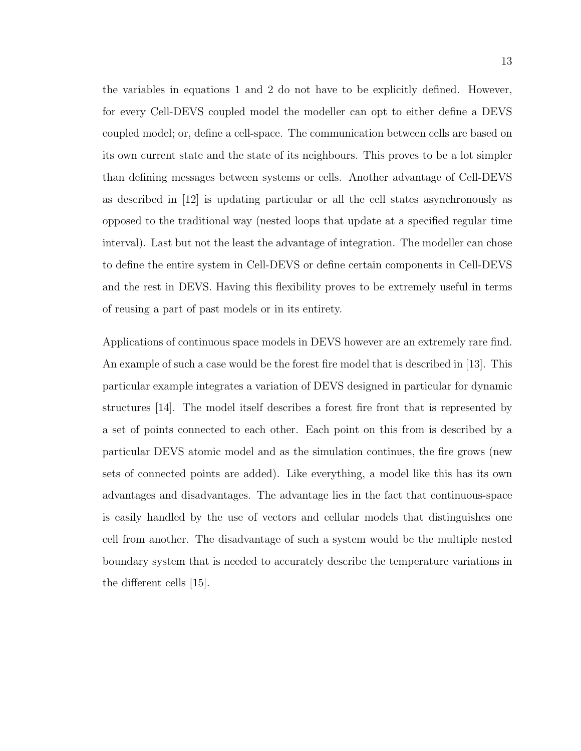the variables in equations 1 and 2 do not have to be explicitly defined. However, for every Cell-DEVS coupled model the modeller can opt to either define a DEVS coupled model; or, define a cell-space. The communication between cells are based on its own current state and the state of its neighbours. This proves to be a lot simpler than defining messages between systems or cells. Another advantage of Cell-DEVS as described in [12] is updating particular or all the cell states asynchronously as opposed to the traditional way (nested loops that update at a specified regular time interval). Last but not the least the advantage of integration. The modeller can chose to define the entire system in Cell-DEVS or define certain components in Cell-DEVS and the rest in DEVS. Having this flexibility proves to be extremely useful in terms of reusing a part of past models or in its entirety.

Applications of continuous space models in DEVS however are an extremely rare find. An example of such a case would be the forest fire model that is described in [13]. This particular example integrates a variation of DEVS designed in particular for dynamic structures [14]. The model itself describes a forest fire front that is represented by a set of points connected to each other. Each point on this from is described by a particular DEVS atomic model and as the simulation continues, the fire grows (new sets of connected points are added). Like everything, a model like this has its own advantages and disadvantages. The advantage lies in the fact that continuous-space is easily handled by the use of vectors and cellular models that distinguishes one cell from another. The disadvantage of such a system would be the multiple nested boundary system that is needed to accurately describe the temperature variations in the different cells [15].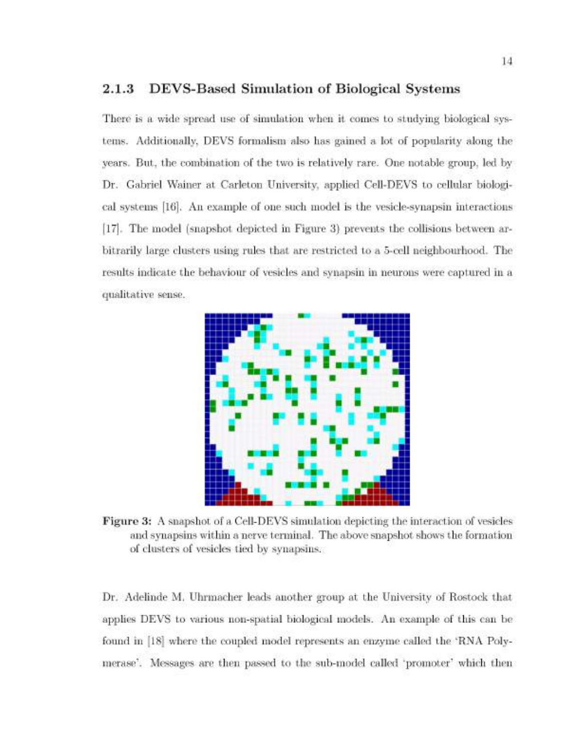#### DEVS-Based Simulation of Biological Systems  $2.1.3$

There is a wide spread use of simulation when it comes to studying biological systems. Additionally, DEVS formalism also has gained a lot of popularity along the years. But, the combination of the two is relatively rare. One notable group, led by Dr. Gabriel Wainer at Carleton University, applied Cell-DEVS to cellular biological systems [16]. An example of one such model is the vesicle-synapsin interactions [17]. The model (snapshot depicted in Figure 3) prevents the collisions between arbitrarily large clusters using rules that are restricted to a 5-cell neighbourhood. The results indicate the behaviour of vesicles and synapsin in neurons were captured in a qualitative sense.



Figure 3: A snapshot of a Cell-DEVS simulation depicting the interaction of vesicles and synapsins within a nerve terminal. The above snapshot shows the formation of clusters of vesicles tied by synapsins.

Dr. Adelinde M. Uhrmacher leads another group at the University of Rostock that applies DEVS to various non-spatial biological models. An example of this can be found in [18] where the coupled model represents an enzyme called the 'RNA Polymerase'. Messages are then passed to the sub-model called 'promoter' which then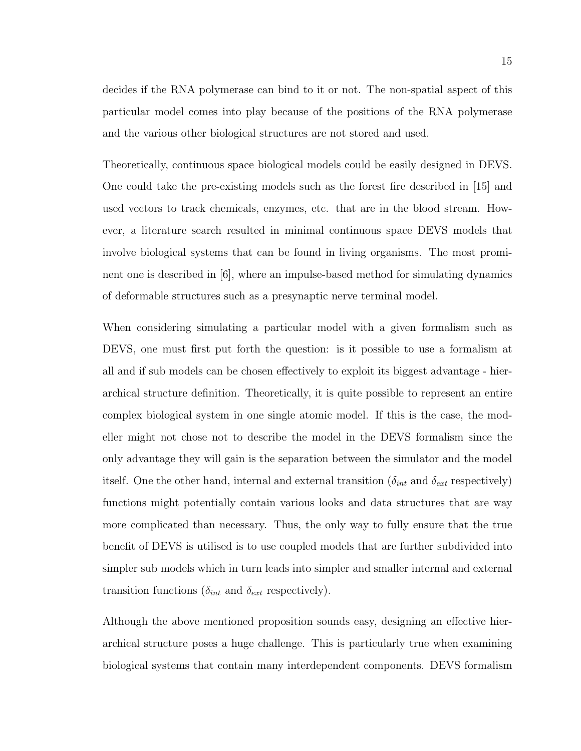decides if the RNA polymerase can bind to it or not. The non-spatial aspect of this particular model comes into play because of the positions of the RNA polymerase and the various other biological structures are not stored and used.

Theoretically, continuous space biological models could be easily designed in DEVS. One could take the pre-existing models such as the forest fire described in [15] and used vectors to track chemicals, enzymes, etc. that are in the blood stream. However, a literature search resulted in minimal continuous space DEVS models that involve biological systems that can be found in living organisms. The most prominent one is described in [6], where an impulse-based method for simulating dynamics of deformable structures such as a presynaptic nerve terminal model.

When considering simulating a particular model with a given formalism such as DEVS, one must first put forth the question: is it possible to use a formalism at all and if sub models can be chosen effectively to exploit its biggest advantage - hierarchical structure definition. Theoretically, it is quite possible to represent an entire complex biological system in one single atomic model. If this is the case, the modeller might not chose not to describe the model in the DEVS formalism since the only advantage they will gain is the separation between the simulator and the model itself. One the other hand, internal and external transition ( $\delta_{int}$  and  $\delta_{ext}$  respectively) functions might potentially contain various looks and data structures that are way more complicated than necessary. Thus, the only way to fully ensure that the true benefit of DEVS is utilised is to use coupled models that are further subdivided into simpler sub models which in turn leads into simpler and smaller internal and external transition functions ( $\delta_{int}$  and  $\delta_{ext}$  respectively).

Although the above mentioned proposition sounds easy, designing an effective hierarchical structure poses a huge challenge. This is particularly true when examining biological systems that contain many interdependent components. DEVS formalism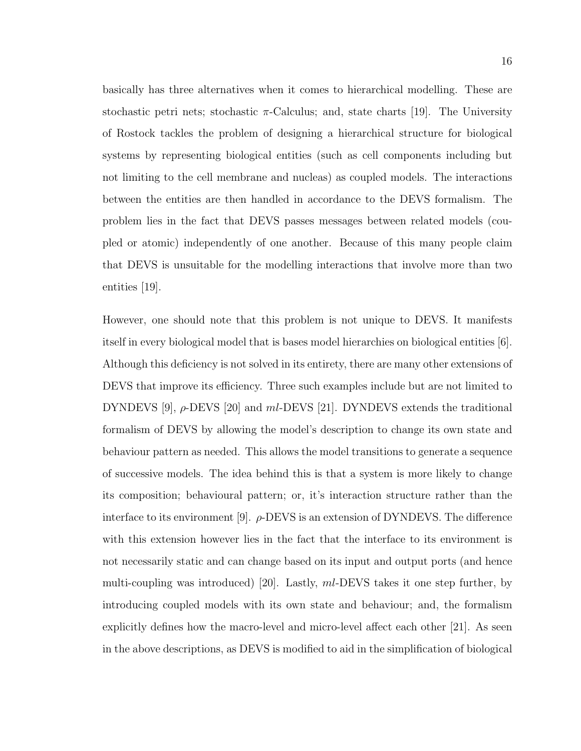basically has three alternatives when it comes to hierarchical modelling. These are stochastic petri nets; stochastic  $\pi$ -Calculus; and, state charts [19]. The University of Rostock tackles the problem of designing a hierarchical structure for biological systems by representing biological entities (such as cell components including but not limiting to the cell membrane and nucleas) as coupled models. The interactions between the entities are then handled in accordance to the DEVS formalism. The problem lies in the fact that DEVS passes messages between related models (coupled or atomic) independently of one another. Because of this many people claim that DEVS is unsuitable for the modelling interactions that involve more than two entities [19].

However, one should note that this problem is not unique to DEVS. It manifests itself in every biological model that is bases model hierarchies on biological entities [6]. Although this deficiency is not solved in its entirety, there are many other extensions of DEVS that improve its efficiency. Three such examples include but are not limited to DYNDEVS [9],  $\rho$ -DEVS [20] and ml-DEVS [21]. DYNDEVS extends the traditional formalism of DEVS by allowing the model's description to change its own state and behaviour pattern as needed. This allows the model transitions to generate a sequence of successive models. The idea behind this is that a system is more likely to change its composition; behavioural pattern; or, it's interaction structure rather than the interface to its environment [9].  $\rho$ -DEVS is an extension of DYNDEVS. The difference with this extension however lies in the fact that the interface to its environment is not necessarily static and can change based on its input and output ports (and hence multi-coupling was introduced) [20]. Lastly, ml-DEVS takes it one step further, by introducing coupled models with its own state and behaviour; and, the formalism explicitly defines how the macro-level and micro-level affect each other [21]. As seen in the above descriptions, as DEVS is modified to aid in the simplification of biological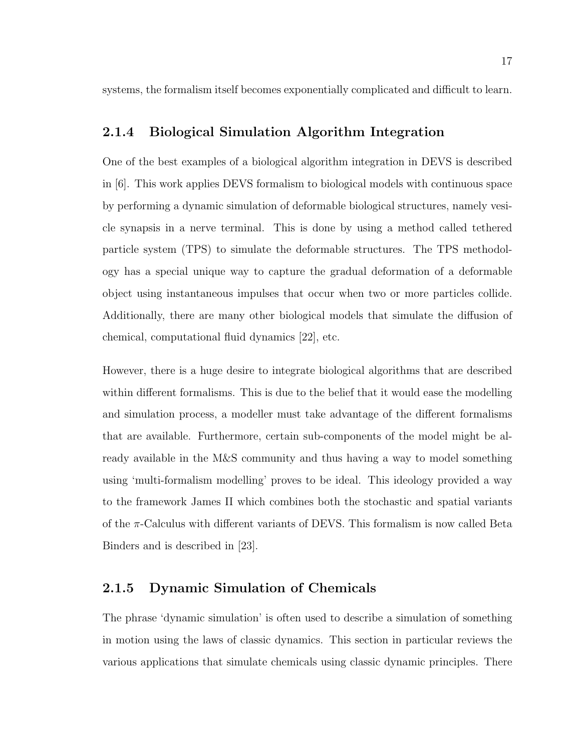systems, the formalism itself becomes exponentially complicated and difficult to learn.

#### 2.1.4 Biological Simulation Algorithm Integration

One of the best examples of a biological algorithm integration in DEVS is described in [6]. This work applies DEVS formalism to biological models with continuous space by performing a dynamic simulation of deformable biological structures, namely vesicle synapsis in a nerve terminal. This is done by using a method called tethered particle system (TPS) to simulate the deformable structures. The TPS methodology has a special unique way to capture the gradual deformation of a deformable object using instantaneous impulses that occur when two or more particles collide. Additionally, there are many other biological models that simulate the diffusion of chemical, computational fluid dynamics [22], etc.

However, there is a huge desire to integrate biological algorithms that are described within different formalisms. This is due to the belief that it would ease the modelling and simulation process, a modeller must take advantage of the different formalisms that are available. Furthermore, certain sub-components of the model might be already available in the M&S community and thus having a way to model something using 'multi-formalism modelling' proves to be ideal. This ideology provided a way to the framework James II which combines both the stochastic and spatial variants of the  $\pi$ -Calculus with different variants of DEVS. This formalism is now called Beta Binders and is described in [23].

#### 2.1.5 Dynamic Simulation of Chemicals

The phrase 'dynamic simulation' is often used to describe a simulation of something in motion using the laws of classic dynamics. This section in particular reviews the various applications that simulate chemicals using classic dynamic principles. There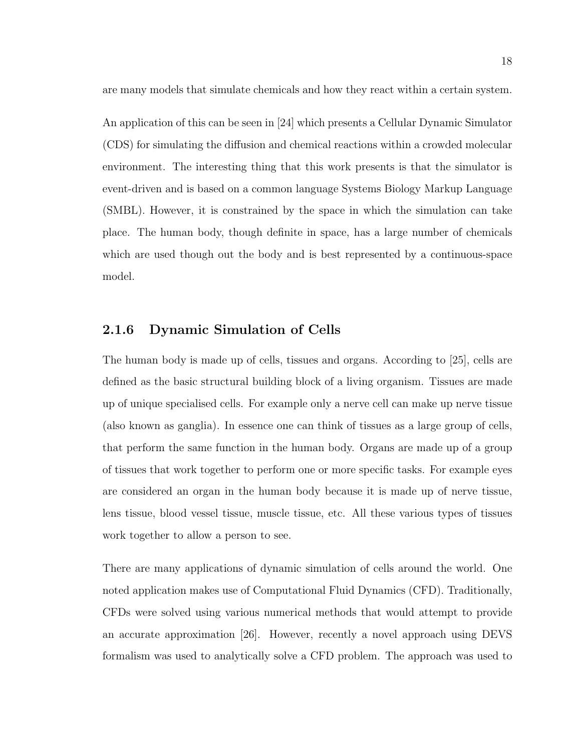are many models that simulate chemicals and how they react within a certain system.

An application of this can be seen in [24] which presents a Cellular Dynamic Simulator (CDS) for simulating the diffusion and chemical reactions within a crowded molecular environment. The interesting thing that this work presents is that the simulator is event-driven and is based on a common language Systems Biology Markup Language (SMBL). However, it is constrained by the space in which the simulation can take place. The human body, though definite in space, has a large number of chemicals which are used though out the body and is best represented by a continuous-space model.

#### 2.1.6 Dynamic Simulation of Cells

The human body is made up of cells, tissues and organs. According to [25], cells are defined as the basic structural building block of a living organism. Tissues are made up of unique specialised cells. For example only a nerve cell can make up nerve tissue (also known as ganglia). In essence one can think of tissues as a large group of cells, that perform the same function in the human body. Organs are made up of a group of tissues that work together to perform one or more specific tasks. For example eyes are considered an organ in the human body because it is made up of nerve tissue, lens tissue, blood vessel tissue, muscle tissue, etc. All these various types of tissues work together to allow a person to see.

There are many applications of dynamic simulation of cells around the world. One noted application makes use of Computational Fluid Dynamics (CFD). Traditionally, CFDs were solved using various numerical methods that would attempt to provide an accurate approximation [26]. However, recently a novel approach using DEVS formalism was used to analytically solve a CFD problem. The approach was used to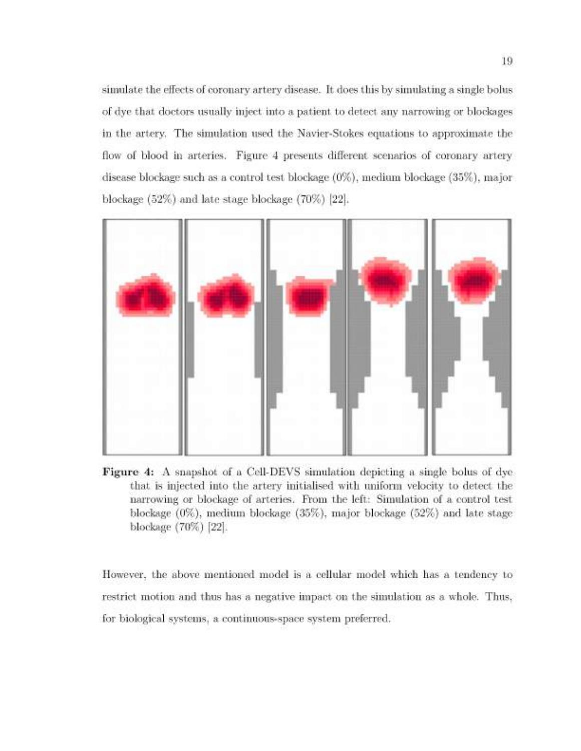simulate the effects of coronary artery disease. It does this by simulating a single bolus of dye that doctors usually inject into a patient to detect any narrowing or blockages in the artery. The simulation used the Navier-Stokes equations to approximate the flow of blood in arteries. Figure 4 presents different scenarios of coronary artery disease blockage such as a control test blockage (0%), medium blockage (35%), major blockage (52%) and late stage blockage (70%) [22].



Figure 4: A snapshot of a Cell-DEVS simulation depicting a single bolus of dye that is injected into the artery initialised with uniform velocity to detect the narrowing or blockage of arteries. From the left: Simulation of a control test blockage  $(0\%)$ , medium blockage  $(35\%)$ , major blockage  $(52\%)$  and late stage blockage (70%) [22].

However, the above mentioned model is a cellular model which has a tendency to restrict motion and thus has a negative impact on the simulation as a whole. Thus, for biological systems, a continuous-space system preferred.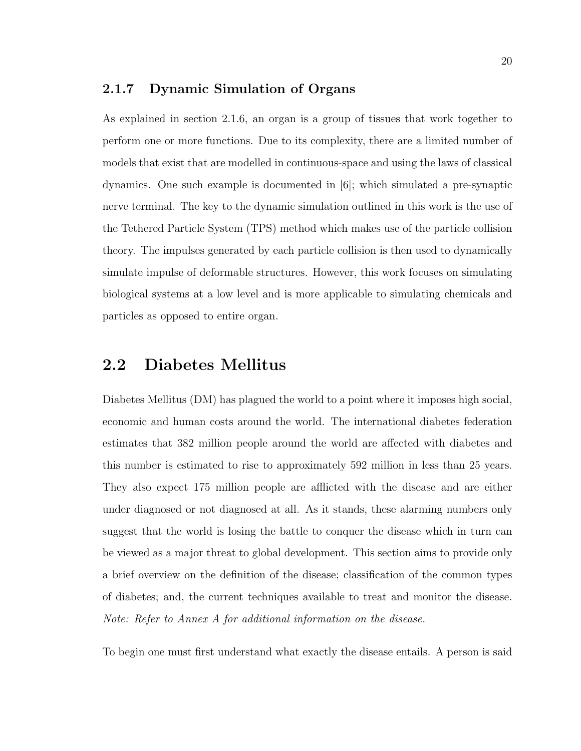#### 2.1.7 Dynamic Simulation of Organs

As explained in section 2.1.6, an organ is a group of tissues that work together to perform one or more functions. Due to its complexity, there are a limited number of models that exist that are modelled in continuous-space and using the laws of classical dynamics. One such example is documented in [6]; which simulated a pre-synaptic nerve terminal. The key to the dynamic simulation outlined in this work is the use of the Tethered Particle System (TPS) method which makes use of the particle collision theory. The impulses generated by each particle collision is then used to dynamically simulate impulse of deformable structures. However, this work focuses on simulating biological systems at a low level and is more applicable to simulating chemicals and particles as opposed to entire organ.

### 2.2 Diabetes Mellitus

Diabetes Mellitus (DM) has plagued the world to a point where it imposes high social, economic and human costs around the world. The international diabetes federation estimates that 382 million people around the world are affected with diabetes and this number is estimated to rise to approximately 592 million in less than 25 years. They also expect 175 million people are afflicted with the disease and are either under diagnosed or not diagnosed at all. As it stands, these alarming numbers only suggest that the world is losing the battle to conquer the disease which in turn can be viewed as a major threat to global development. This section aims to provide only a brief overview on the definition of the disease; classification of the common types of diabetes; and, the current techniques available to treat and monitor the disease. *Note: Refer to Annex A for additional information on the disease.*

To begin one must first understand what exactly the disease entails. A person is said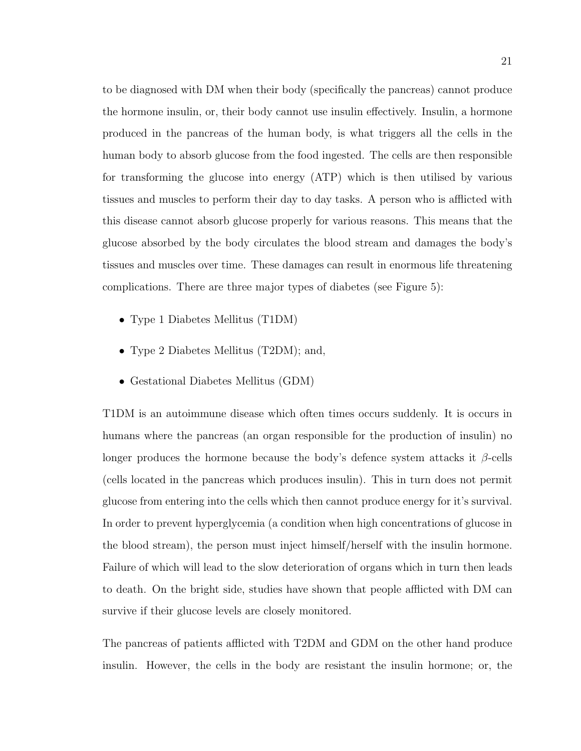to be diagnosed with DM when their body (specifically the pancreas) cannot produce the hormone insulin, or, their body cannot use insulin effectively. Insulin, a hormone produced in the pancreas of the human body, is what triggers all the cells in the human body to absorb glucose from the food ingested. The cells are then responsible for transforming the glucose into energy (ATP) which is then utilised by various tissues and muscles to perform their day to day tasks. A person who is afflicted with this disease cannot absorb glucose properly for various reasons. This means that the glucose absorbed by the body circulates the blood stream and damages the body's tissues and muscles over time. These damages can result in enormous life threatening complications. There are three major types of diabetes (see Figure 5):

- Type 1 Diabetes Mellitus (T1DM)
- Type 2 Diabetes Mellitus (T2DM); and,
- Gestational Diabetes Mellitus (GDM)

T1DM is an autoimmune disease which often times occurs suddenly. It is occurs in humans where the pancreas (an organ responsible for the production of insulin) no longer produces the hormone because the body's defence system attacks it  $\beta$ -cells (cells located in the pancreas which produces insulin). This in turn does not permit glucose from entering into the cells which then cannot produce energy for it's survival. In order to prevent hyperglycemia (a condition when high concentrations of glucose in the blood stream), the person must inject himself/herself with the insulin hormone. Failure of which will lead to the slow deterioration of organs which in turn then leads to death. On the bright side, studies have shown that people afflicted with DM can survive if their glucose levels are closely monitored.

The pancreas of patients afflicted with T2DM and GDM on the other hand produce insulin. However, the cells in the body are resistant the insulin hormone; or, the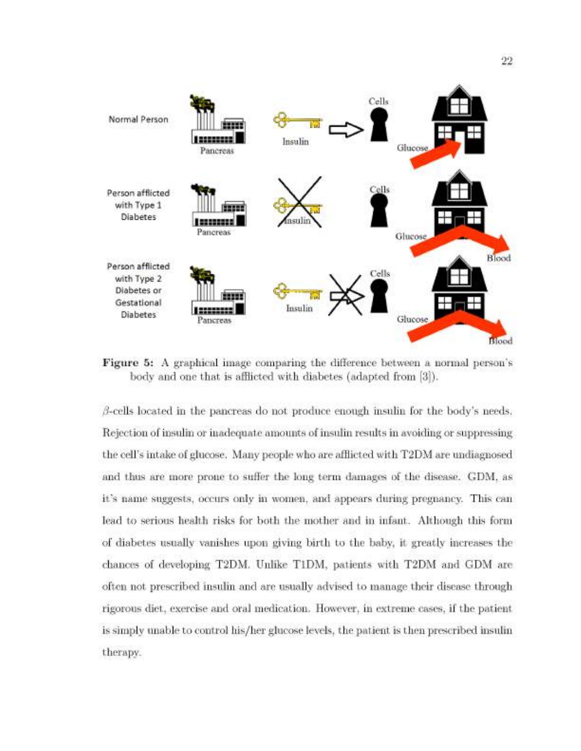

**Figure 5:** A graphical image comparing the difference between a normal person's body and one that is afflicted with diabetes (adapted from [3]).

 $\beta$ -cells located in the pancreas do not produce enough insulin for the body's needs. Rejection of insulin or inadequate amounts of insulin results in avoiding or suppressing the cell's intake of glucose. Many people who are afflicted with T2DM are undiagnosed and thus are more prone to suffer the long term damages of the disease. GDM, as it's name suggests, occurs only in women, and appears during pregnancy. This can lead to serious health risks for both the mother and in infant. Although this form of diabetes usually vanishes upon giving birth to the baby, it greatly increases the chances of developing T2DM. Unlike T1DM, patients with T2DM and GDM are often not prescribed insulin and are usually advised to manage their disease through rigorous diet, exercise and oral medication. However, in extreme cases, if the patient is simply unable to control his/her glucose levels, the patient is then prescribed insulin therapy.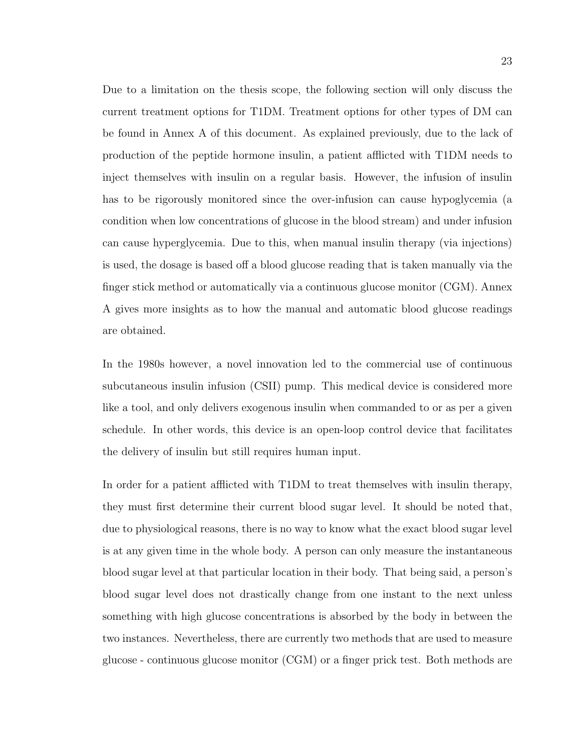Due to a limitation on the thesis scope, the following section will only discuss the current treatment options for T1DM. Treatment options for other types of DM can be found in Annex A of this document. As explained previously, due to the lack of production of the peptide hormone insulin, a patient afflicted with T1DM needs to inject themselves with insulin on a regular basis. However, the infusion of insulin has to be rigorously monitored since the over-infusion can cause hypoglycemia (a condition when low concentrations of glucose in the blood stream) and under infusion can cause hyperglycemia. Due to this, when manual insulin therapy (via injections) is used, the dosage is based off a blood glucose reading that is taken manually via the finger stick method or automatically via a continuous glucose monitor (CGM). Annex A gives more insights as to how the manual and automatic blood glucose readings are obtained.

In the 1980s however, a novel innovation led to the commercial use of continuous subcutaneous insulin infusion (CSII) pump. This medical device is considered more like a tool, and only delivers exogenous insulin when commanded to or as per a given schedule. In other words, this device is an open-loop control device that facilitates the delivery of insulin but still requires human input.

In order for a patient afflicted with T1DM to treat themselves with insulin therapy, they must first determine their current blood sugar level. It should be noted that, due to physiological reasons, there is no way to know what the exact blood sugar level is at any given time in the whole body. A person can only measure the instantaneous blood sugar level at that particular location in their body. That being said, a person's blood sugar level does not drastically change from one instant to the next unless something with high glucose concentrations is absorbed by the body in between the two instances. Nevertheless, there are currently two methods that are used to measure glucose - continuous glucose monitor (CGM) or a finger prick test. Both methods are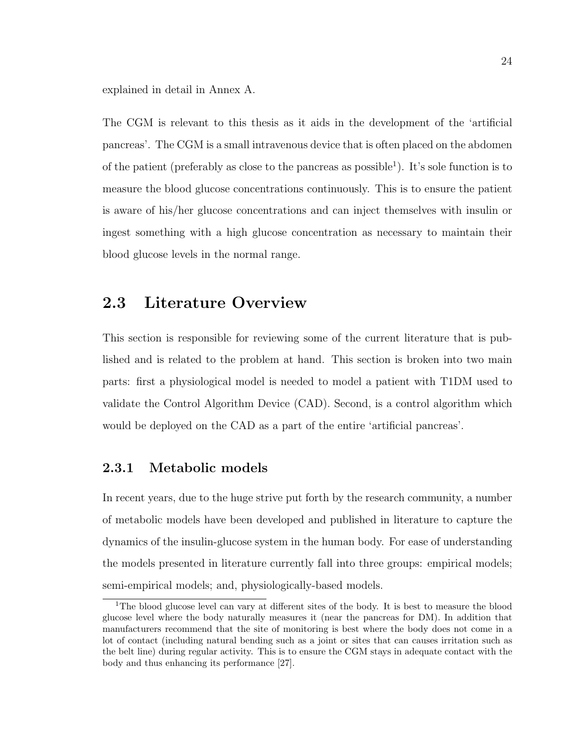explained in detail in Annex A.

The CGM is relevant to this thesis as it aids in the development of the 'artificial pancreas'. The CGM is a small intravenous device that is often placed on the abdomen of the patient (preferably as close to the pancreas as possible<sup>1</sup>). It's sole function is to measure the blood glucose concentrations continuously. This is to ensure the patient is aware of his/her glucose concentrations and can inject themselves with insulin or ingest something with a high glucose concentration as necessary to maintain their blood glucose levels in the normal range.

## 2.3 Literature Overview

This section is responsible for reviewing some of the current literature that is published and is related to the problem at hand. This section is broken into two main parts: first a physiological model is needed to model a patient with T1DM used to validate the Control Algorithm Device (CAD). Second, is a control algorithm which would be deployed on the CAD as a part of the entire 'artificial pancreas'.

### 2.3.1 Metabolic models

In recent years, due to the huge strive put forth by the research community, a number of metabolic models have been developed and published in literature to capture the dynamics of the insulin-glucose system in the human body. For ease of understanding the models presented in literature currently fall into three groups: empirical models; semi-empirical models; and, physiologically-based models.

<sup>&</sup>lt;sup>1</sup>The blood glucose level can vary at different sites of the body. It is best to measure the blood glucose level where the body naturally measures it (near the pancreas for DM). In addition that manufacturers recommend that the site of monitoring is best where the body does not come in a lot of contact (including natural bending such as a joint or sites that can causes irritation such as the belt line) during regular activity. This is to ensure the CGM stays in adequate contact with the body and thus enhancing its performance [27].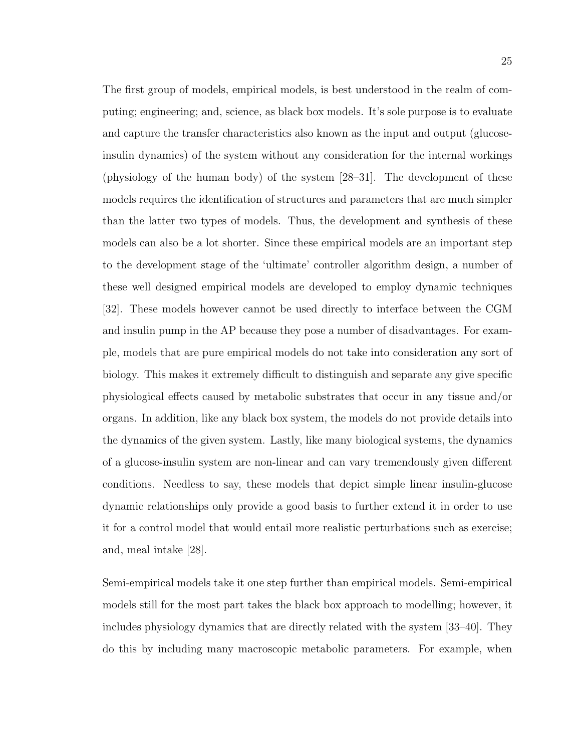The first group of models, empirical models, is best understood in the realm of computing; engineering; and, science, as black box models. It's sole purpose is to evaluate and capture the transfer characteristics also known as the input and output (glucoseinsulin dynamics) of the system without any consideration for the internal workings (physiology of the human body) of the system [28–31]. The development of these models requires the identification of structures and parameters that are much simpler than the latter two types of models. Thus, the development and synthesis of these models can also be a lot shorter. Since these empirical models are an important step to the development stage of the 'ultimate' controller algorithm design, a number of these well designed empirical models are developed to employ dynamic techniques [32]. These models however cannot be used directly to interface between the CGM and insulin pump in the AP because they pose a number of disadvantages. For example, models that are pure empirical models do not take into consideration any sort of biology. This makes it extremely difficult to distinguish and separate any give specific physiological effects caused by metabolic substrates that occur in any tissue and/or organs. In addition, like any black box system, the models do not provide details into the dynamics of the given system. Lastly, like many biological systems, the dynamics of a glucose-insulin system are non-linear and can vary tremendously given different conditions. Needless to say, these models that depict simple linear insulin-glucose dynamic relationships only provide a good basis to further extend it in order to use it for a control model that would entail more realistic perturbations such as exercise; and, meal intake [28].

Semi-empirical models take it one step further than empirical models. Semi-empirical models still for the most part takes the black box approach to modelling; however, it includes physiology dynamics that are directly related with the system [33–40]. They do this by including many macroscopic metabolic parameters. For example, when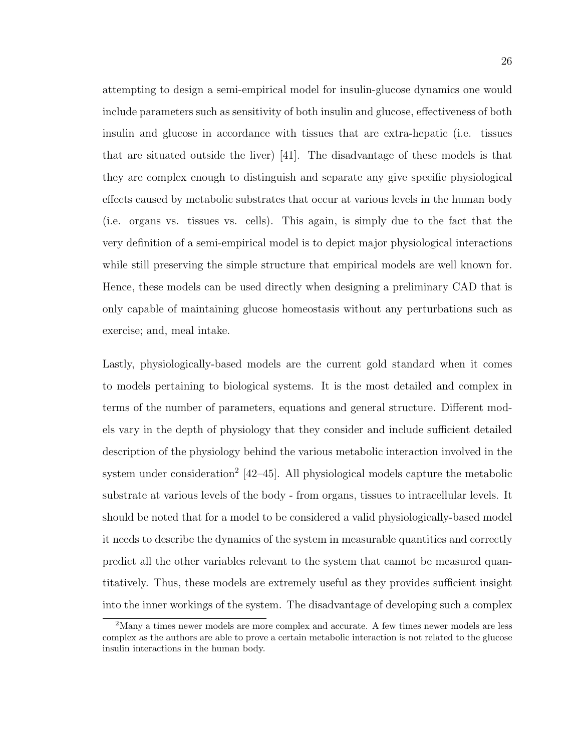attempting to design a semi-empirical model for insulin-glucose dynamics one would include parameters such as sensitivity of both insulin and glucose, effectiveness of both insulin and glucose in accordance with tissues that are extra-hepatic (i.e. tissues that are situated outside the liver) [41]. The disadvantage of these models is that they are complex enough to distinguish and separate any give specific physiological effects caused by metabolic substrates that occur at various levels in the human body (i.e. organs vs. tissues vs. cells). This again, is simply due to the fact that the very definition of a semi-empirical model is to depict major physiological interactions while still preserving the simple structure that empirical models are well known for. Hence, these models can be used directly when designing a preliminary CAD that is only capable of maintaining glucose homeostasis without any perturbations such as exercise; and, meal intake.

Lastly, physiologically-based models are the current gold standard when it comes to models pertaining to biological systems. It is the most detailed and complex in terms of the number of parameters, equations and general structure. Different models vary in the depth of physiology that they consider and include sufficient detailed description of the physiology behind the various metabolic interaction involved in the system under consideration<sup>2</sup>  $[42-45]$ . All physiological models capture the metabolic substrate at various levels of the body - from organs, tissues to intracellular levels. It should be noted that for a model to be considered a valid physiologically-based model it needs to describe the dynamics of the system in measurable quantities and correctly predict all the other variables relevant to the system that cannot be measured quantitatively. Thus, these models are extremely useful as they provides sufficient insight into the inner workings of the system. The disadvantage of developing such a complex

<sup>2</sup>Many a times newer models are more complex and accurate. A few times newer models are less complex as the authors are able to prove a certain metabolic interaction is not related to the glucose insulin interactions in the human body.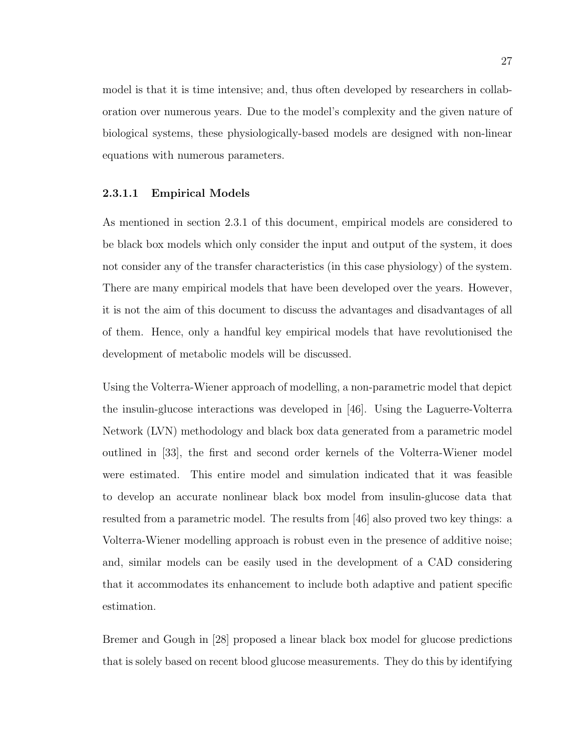model is that it is time intensive; and, thus often developed by researchers in collaboration over numerous years. Due to the model's complexity and the given nature of biological systems, these physiologically-based models are designed with non-linear equations with numerous parameters.

### 2.3.1.1 Empirical Models

As mentioned in section 2.3.1 of this document, empirical models are considered to be black box models which only consider the input and output of the system, it does not consider any of the transfer characteristics (in this case physiology) of the system. There are many empirical models that have been developed over the years. However, it is not the aim of this document to discuss the advantages and disadvantages of all of them. Hence, only a handful key empirical models that have revolutionised the development of metabolic models will be discussed.

Using the Volterra-Wiener approach of modelling, a non-parametric model that depict the insulin-glucose interactions was developed in [46]. Using the Laguerre-Volterra Network (LVN) methodology and black box data generated from a parametric model outlined in [33], the first and second order kernels of the Volterra-Wiener model were estimated. This entire model and simulation indicated that it was feasible to develop an accurate nonlinear black box model from insulin-glucose data that resulted from a parametric model. The results from [46] also proved two key things: a Volterra-Wiener modelling approach is robust even in the presence of additive noise; and, similar models can be easily used in the development of a CAD considering that it accommodates its enhancement to include both adaptive and patient specific estimation.

Bremer and Gough in [28] proposed a linear black box model for glucose predictions that is solely based on recent blood glucose measurements. They do this by identifying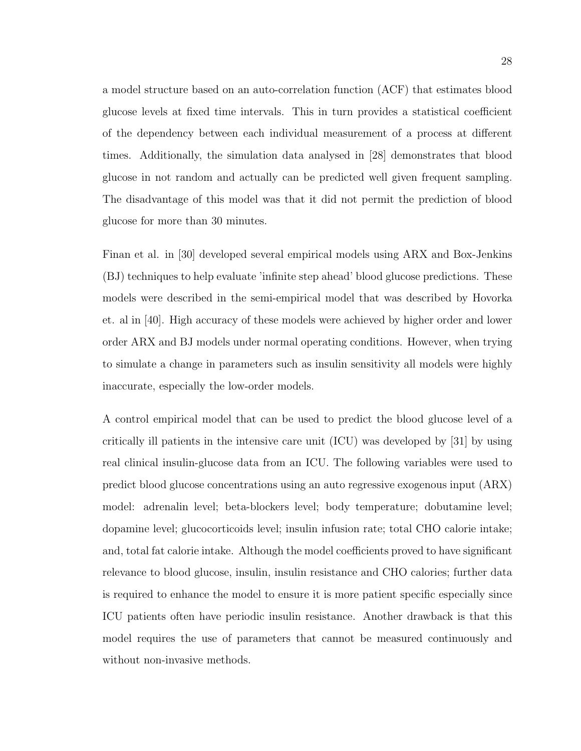a model structure based on an auto-correlation function (ACF) that estimates blood glucose levels at fixed time intervals. This in turn provides a statistical coefficient of the dependency between each individual measurement of a process at different times. Additionally, the simulation data analysed in [28] demonstrates that blood glucose in not random and actually can be predicted well given frequent sampling. The disadvantage of this model was that it did not permit the prediction of blood glucose for more than 30 minutes.

Finan et al. in [30] developed several empirical models using ARX and Box-Jenkins (BJ) techniques to help evaluate 'infinite step ahead' blood glucose predictions. These models were described in the semi-empirical model that was described by Hovorka et. al in [40]. High accuracy of these models were achieved by higher order and lower order ARX and BJ models under normal operating conditions. However, when trying to simulate a change in parameters such as insulin sensitivity all models were highly inaccurate, especially the low-order models.

A control empirical model that can be used to predict the blood glucose level of a critically ill patients in the intensive care unit (ICU) was developed by [31] by using real clinical insulin-glucose data from an ICU. The following variables were used to predict blood glucose concentrations using an auto regressive exogenous input (ARX) model: adrenalin level; beta-blockers level; body temperature; dobutamine level; dopamine level; glucocorticoids level; insulin infusion rate; total CHO calorie intake; and, total fat calorie intake. Although the model coefficients proved to have significant relevance to blood glucose, insulin, insulin resistance and CHO calories; further data is required to enhance the model to ensure it is more patient specific especially since ICU patients often have periodic insulin resistance. Another drawback is that this model requires the use of parameters that cannot be measured continuously and without non-invasive methods.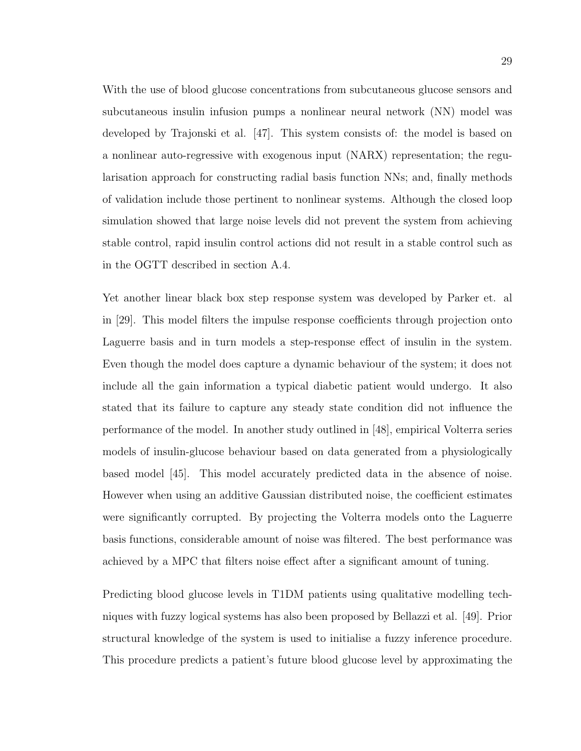With the use of blood glucose concentrations from subcutaneous glucose sensors and subcutaneous insulin infusion pumps a nonlinear neural network (NN) model was developed by Trajonski et al. [47]. This system consists of: the model is based on a nonlinear auto-regressive with exogenous input (NARX) representation; the regularisation approach for constructing radial basis function NNs; and, finally methods of validation include those pertinent to nonlinear systems. Although the closed loop simulation showed that large noise levels did not prevent the system from achieving stable control, rapid insulin control actions did not result in a stable control such as in the OGTT described in section A.4.

Yet another linear black box step response system was developed by Parker et. al in [29]. This model filters the impulse response coefficients through projection onto Laguerre basis and in turn models a step-response effect of insulin in the system. Even though the model does capture a dynamic behaviour of the system; it does not include all the gain information a typical diabetic patient would undergo. It also stated that its failure to capture any steady state condition did not influence the performance of the model. In another study outlined in [48], empirical Volterra series models of insulin-glucose behaviour based on data generated from a physiologically based model [45]. This model accurately predicted data in the absence of noise. However when using an additive Gaussian distributed noise, the coefficient estimates were significantly corrupted. By projecting the Volterra models onto the Laguerre basis functions, considerable amount of noise was filtered. The best performance was achieved by a MPC that filters noise effect after a significant amount of tuning.

Predicting blood glucose levels in T1DM patients using qualitative modelling techniques with fuzzy logical systems has also been proposed by Bellazzi et al. [49]. Prior structural knowledge of the system is used to initialise a fuzzy inference procedure. This procedure predicts a patient's future blood glucose level by approximating the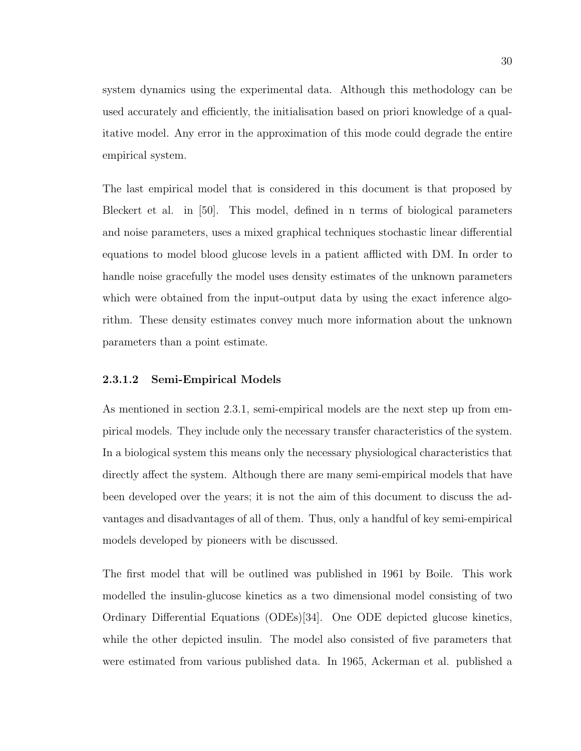system dynamics using the experimental data. Although this methodology can be used accurately and efficiently, the initialisation based on priori knowledge of a qualitative model. Any error in the approximation of this mode could degrade the entire empirical system.

The last empirical model that is considered in this document is that proposed by Bleckert et al. in [50]. This model, defined in n terms of biological parameters and noise parameters, uses a mixed graphical techniques stochastic linear differential equations to model blood glucose levels in a patient afflicted with DM. In order to handle noise gracefully the model uses density estimates of the unknown parameters which were obtained from the input-output data by using the exact inference algorithm. These density estimates convey much more information about the unknown parameters than a point estimate.

### 2.3.1.2 Semi-Empirical Models

As mentioned in section 2.3.1, semi-empirical models are the next step up from empirical models. They include only the necessary transfer characteristics of the system. In a biological system this means only the necessary physiological characteristics that directly affect the system. Although there are many semi-empirical models that have been developed over the years; it is not the aim of this document to discuss the advantages and disadvantages of all of them. Thus, only a handful of key semi-empirical models developed by pioneers with be discussed.

The first model that will be outlined was published in 1961 by Boile. This work modelled the insulin-glucose kinetics as a two dimensional model consisting of two Ordinary Differential Equations (ODEs)[34]. One ODE depicted glucose kinetics, while the other depicted insulin. The model also consisted of five parameters that were estimated from various published data. In 1965, Ackerman et al. published a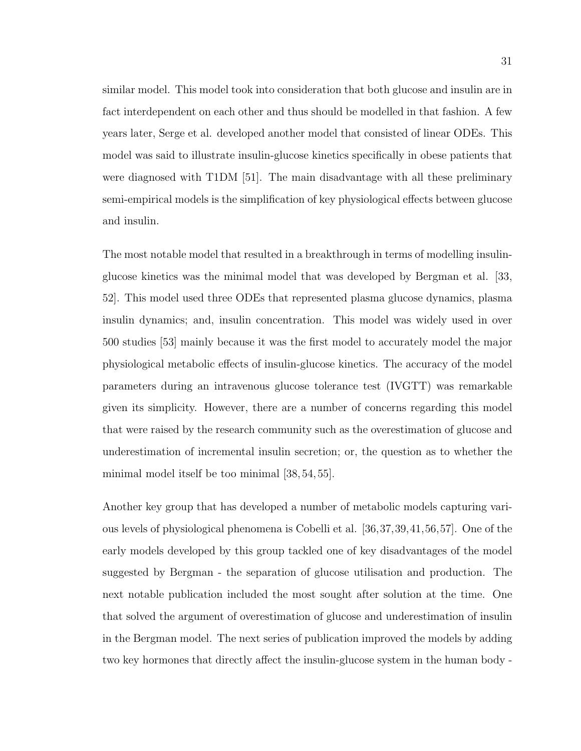similar model. This model took into consideration that both glucose and insulin are in fact interdependent on each other and thus should be modelled in that fashion. A few years later, Serge et al. developed another model that consisted of linear ODEs. This model was said to illustrate insulin-glucose kinetics specifically in obese patients that were diagnosed with T1DM [51]. The main disadvantage with all these preliminary semi-empirical models is the simplification of key physiological effects between glucose and insulin.

The most notable model that resulted in a breakthrough in terms of modelling insulinglucose kinetics was the minimal model that was developed by Bergman et al. [33, 52]. This model used three ODEs that represented plasma glucose dynamics, plasma insulin dynamics; and, insulin concentration. This model was widely used in over 500 studies [53] mainly because it was the first model to accurately model the major physiological metabolic effects of insulin-glucose kinetics. The accuracy of the model parameters during an intravenous glucose tolerance test (IVGTT) was remarkable given its simplicity. However, there are a number of concerns regarding this model that were raised by the research community such as the overestimation of glucose and underestimation of incremental insulin secretion; or, the question as to whether the minimal model itself be too minimal [38, 54, 55].

Another key group that has developed a number of metabolic models capturing various levels of physiological phenomena is Cobelli et al. [36,37,39,41,56,57]. One of the early models developed by this group tackled one of key disadvantages of the model suggested by Bergman - the separation of glucose utilisation and production. The next notable publication included the most sought after solution at the time. One that solved the argument of overestimation of glucose and underestimation of insulin in the Bergman model. The next series of publication improved the models by adding two key hormones that directly affect the insulin-glucose system in the human body -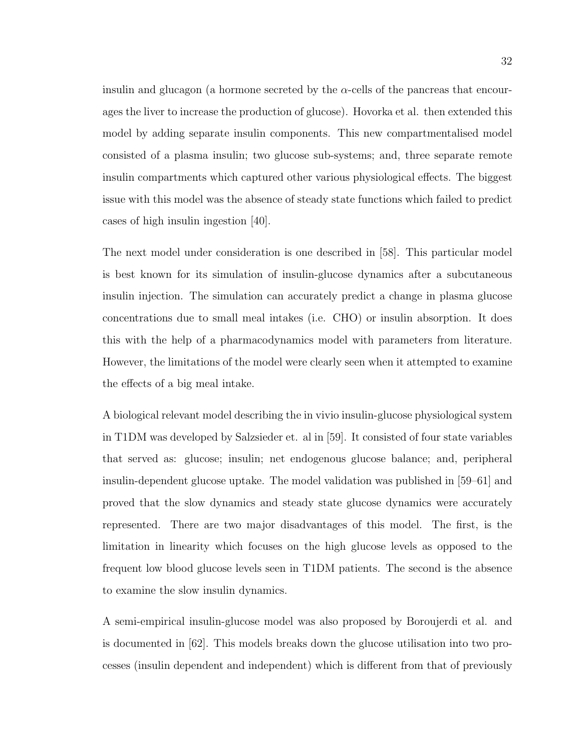insulin and glucagon (a hormone secreted by the  $\alpha$ -cells of the pancreas that encourages the liver to increase the production of glucose). Hovorka et al. then extended this model by adding separate insulin components. This new compartmentalised model consisted of a plasma insulin; two glucose sub-systems; and, three separate remote insulin compartments which captured other various physiological effects. The biggest issue with this model was the absence of steady state functions which failed to predict cases of high insulin ingestion [40].

The next model under consideration is one described in [58]. This particular model is best known for its simulation of insulin-glucose dynamics after a subcutaneous insulin injection. The simulation can accurately predict a change in plasma glucose concentrations due to small meal intakes (i.e. CHO) or insulin absorption. It does this with the help of a pharmacodynamics model with parameters from literature. However, the limitations of the model were clearly seen when it attempted to examine the effects of a big meal intake.

A biological relevant model describing the in vivio insulin-glucose physiological system in T1DM was developed by Salzsieder et. al in [59]. It consisted of four state variables that served as: glucose; insulin; net endogenous glucose balance; and, peripheral insulin-dependent glucose uptake. The model validation was published in [59–61] and proved that the slow dynamics and steady state glucose dynamics were accurately represented. There are two major disadvantages of this model. The first, is the limitation in linearity which focuses on the high glucose levels as opposed to the frequent low blood glucose levels seen in T1DM patients. The second is the absence to examine the slow insulin dynamics.

A semi-empirical insulin-glucose model was also proposed by Boroujerdi et al. and is documented in [62]. This models breaks down the glucose utilisation into two processes (insulin dependent and independent) which is different from that of previously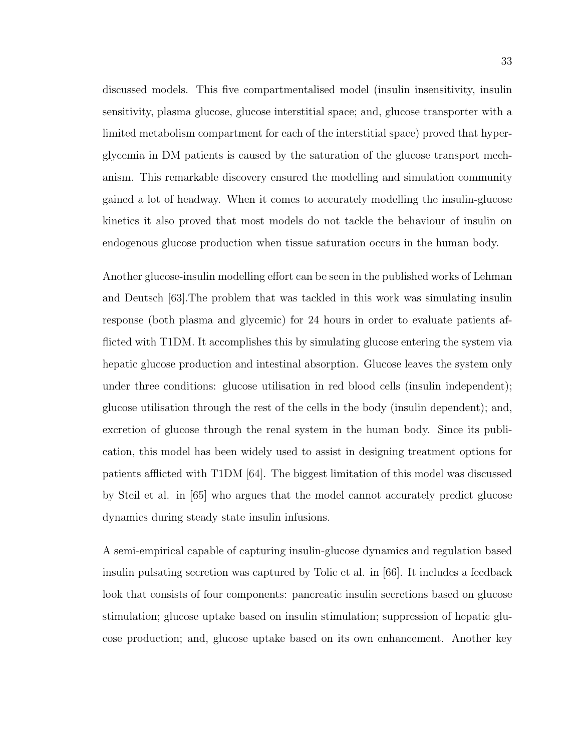discussed models. This five compartmentalised model (insulin insensitivity, insulin sensitivity, plasma glucose, glucose interstitial space; and, glucose transporter with a limited metabolism compartment for each of the interstitial space) proved that hyperglycemia in DM patients is caused by the saturation of the glucose transport mechanism. This remarkable discovery ensured the modelling and simulation community gained a lot of headway. When it comes to accurately modelling the insulin-glucose kinetics it also proved that most models do not tackle the behaviour of insulin on endogenous glucose production when tissue saturation occurs in the human body.

Another glucose-insulin modelling effort can be seen in the published works of Lehman and Deutsch [63].The problem that was tackled in this work was simulating insulin response (both plasma and glycemic) for 24 hours in order to evaluate patients afflicted with T1DM. It accomplishes this by simulating glucose entering the system via hepatic glucose production and intestinal absorption. Glucose leaves the system only under three conditions: glucose utilisation in red blood cells (insulin independent); glucose utilisation through the rest of the cells in the body (insulin dependent); and, excretion of glucose through the renal system in the human body. Since its publication, this model has been widely used to assist in designing treatment options for patients afflicted with T1DM [64]. The biggest limitation of this model was discussed by Steil et al. in [65] who argues that the model cannot accurately predict glucose dynamics during steady state insulin infusions.

A semi-empirical capable of capturing insulin-glucose dynamics and regulation based insulin pulsating secretion was captured by Tolic et al. in [66]. It includes a feedback look that consists of four components: pancreatic insulin secretions based on glucose stimulation; glucose uptake based on insulin stimulation; suppression of hepatic glucose production; and, glucose uptake based on its own enhancement. Another key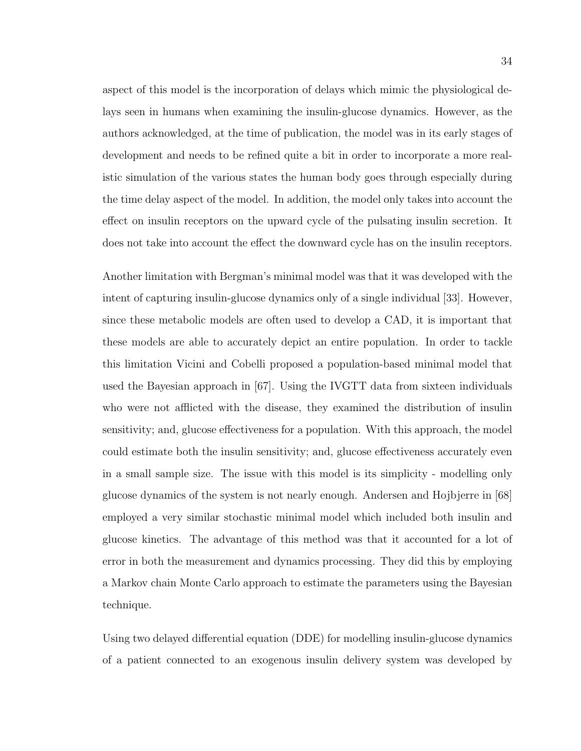aspect of this model is the incorporation of delays which mimic the physiological delays seen in humans when examining the insulin-glucose dynamics. However, as the authors acknowledged, at the time of publication, the model was in its early stages of development and needs to be refined quite a bit in order to incorporate a more realistic simulation of the various states the human body goes through especially during the time delay aspect of the model. In addition, the model only takes into account the effect on insulin receptors on the upward cycle of the pulsating insulin secretion. It does not take into account the effect the downward cycle has on the insulin receptors.

Another limitation with Bergman's minimal model was that it was developed with the intent of capturing insulin-glucose dynamics only of a single individual [33]. However, since these metabolic models are often used to develop a CAD, it is important that these models are able to accurately depict an entire population. In order to tackle this limitation Vicini and Cobelli proposed a population-based minimal model that used the Bayesian approach in [67]. Using the IVGTT data from sixteen individuals who were not afflicted with the disease, they examined the distribution of insulin sensitivity; and, glucose effectiveness for a population. With this approach, the model could estimate both the insulin sensitivity; and, glucose effectiveness accurately even in a small sample size. The issue with this model is its simplicity - modelling only glucose dynamics of the system is not nearly enough. Andersen and Hojbjerre in [68] employed a very similar stochastic minimal model which included both insulin and glucose kinetics. The advantage of this method was that it accounted for a lot of error in both the measurement and dynamics processing. They did this by employing a Markov chain Monte Carlo approach to estimate the parameters using the Bayesian technique.

Using two delayed differential equation (DDE) for modelling insulin-glucose dynamics of a patient connected to an exogenous insulin delivery system was developed by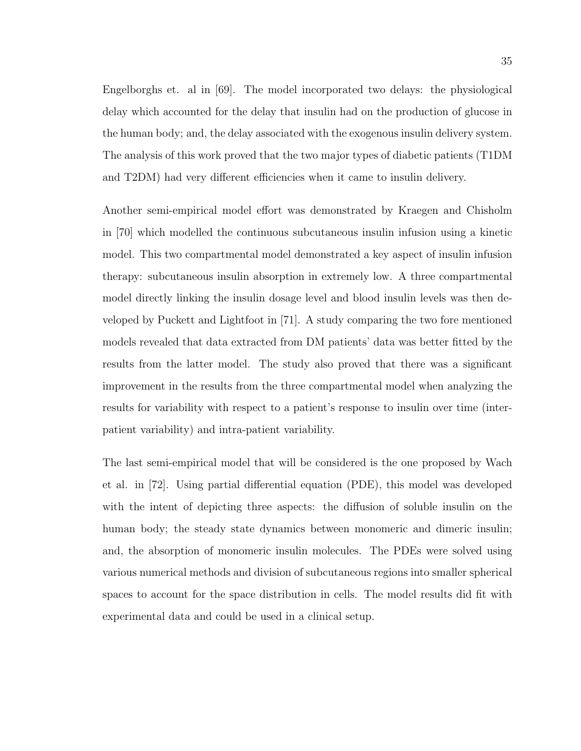Engelborghs et. al in [69]. The model incorporated two delays: the physiological delay which accounted for the delay that insulin had on the production of glucose in the human body; and, the delay associated with the exogenous insulin delivery system. The analysis of this work proved that the two major types of diabetic patients (T1DM and T2DM) had very different efficiencies when it came to insulin delivery.

Another semi-empirical model effort was demonstrated by Kraegen and Chisholm in [70] which modelled the continuous subcutaneous insulin infusion using a kinetic model. This two compartmental model demonstrated a key aspect of insulin infusion therapy: subcutaneous insulin absorption in extremely low. A three compartmental model directly linking the insulin dosage level and blood insulin levels was then developed by Puckett and Lightfoot in [71]. A study comparing the two fore mentioned models revealed that data extracted from DM patients' data was better fitted by the results from the latter model. The study also proved that there was a significant improvement in the results from the three compartmental model when analyzing the results for variability with respect to a patient's response to insulin over time (interpatient variability) and intra-patient variability.

The last semi-empirical model that will be considered is the one proposed by Wach et al. in [72]. Using partial differential equation (PDE), this model was developed with the intent of depicting three aspects: the diffusion of soluble insulin on the human body; the steady state dynamics between monomeric and dimeric insulin; and, the absorption of monomeric insulin molecules. The PDEs were solved using various numerical methods and division of subcutaneous regions into smaller spherical spaces to account for the space distribution in cells. The model results did fit with experimental data and could be used in a clinical setup.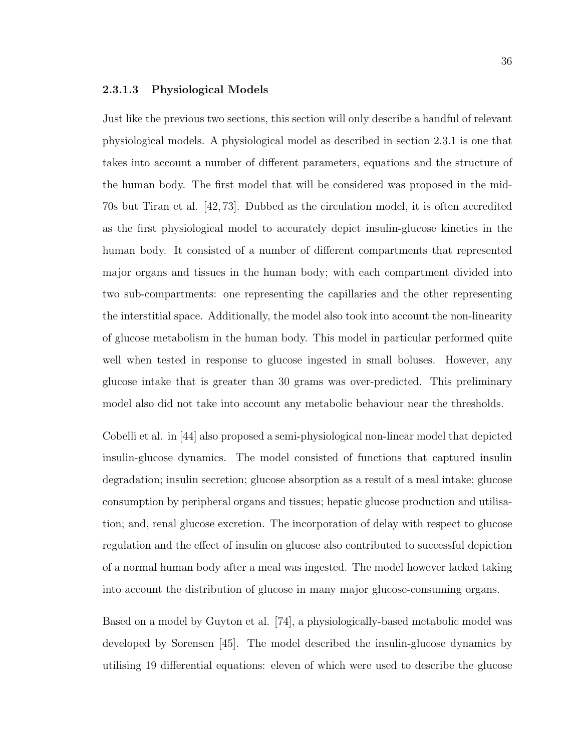### 2.3.1.3 Physiological Models

Just like the previous two sections, this section will only describe a handful of relevant physiological models. A physiological model as described in section 2.3.1 is one that takes into account a number of different parameters, equations and the structure of the human body. The first model that will be considered was proposed in the mid-70s but Tiran et al. [42, 73]. Dubbed as the circulation model, it is often accredited as the first physiological model to accurately depict insulin-glucose kinetics in the human body. It consisted of a number of different compartments that represented major organs and tissues in the human body; with each compartment divided into two sub-compartments: one representing the capillaries and the other representing the interstitial space. Additionally, the model also took into account the non-linearity of glucose metabolism in the human body. This model in particular performed quite well when tested in response to glucose ingested in small boluses. However, any glucose intake that is greater than 30 grams was over-predicted. This preliminary model also did not take into account any metabolic behaviour near the thresholds.

Cobelli et al. in [44] also proposed a semi-physiological non-linear model that depicted insulin-glucose dynamics. The model consisted of functions that captured insulin degradation; insulin secretion; glucose absorption as a result of a meal intake; glucose consumption by peripheral organs and tissues; hepatic glucose production and utilisation; and, renal glucose excretion. The incorporation of delay with respect to glucose regulation and the effect of insulin on glucose also contributed to successful depiction of a normal human body after a meal was ingested. The model however lacked taking into account the distribution of glucose in many major glucose-consuming organs.

Based on a model by Guyton et al. [74], a physiologically-based metabolic model was developed by Sorensen [45]. The model described the insulin-glucose dynamics by utilising 19 differential equations: eleven of which were used to describe the glucose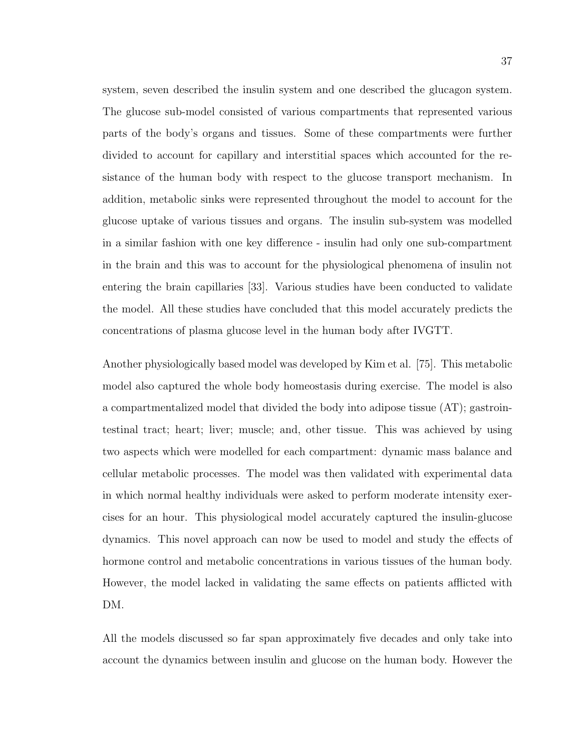system, seven described the insulin system and one described the glucagon system. The glucose sub-model consisted of various compartments that represented various parts of the body's organs and tissues. Some of these compartments were further divided to account for capillary and interstitial spaces which accounted for the resistance of the human body with respect to the glucose transport mechanism. In addition, metabolic sinks were represented throughout the model to account for the glucose uptake of various tissues and organs. The insulin sub-system was modelled in a similar fashion with one key difference - insulin had only one sub-compartment in the brain and this was to account for the physiological phenomena of insulin not entering the brain capillaries [33]. Various studies have been conducted to validate the model. All these studies have concluded that this model accurately predicts the concentrations of plasma glucose level in the human body after IVGTT.

Another physiologically based model was developed by Kim et al. [75]. This metabolic model also captured the whole body homeostasis during exercise. The model is also a compartmentalized model that divided the body into adipose tissue (AT); gastrointestinal tract; heart; liver; muscle; and, other tissue. This was achieved by using two aspects which were modelled for each compartment: dynamic mass balance and cellular metabolic processes. The model was then validated with experimental data in which normal healthy individuals were asked to perform moderate intensity exercises for an hour. This physiological model accurately captured the insulin-glucose dynamics. This novel approach can now be used to model and study the effects of hormone control and metabolic concentrations in various tissues of the human body. However, the model lacked in validating the same effects on patients afflicted with DM.

All the models discussed so far span approximately five decades and only take into account the dynamics between insulin and glucose on the human body. However the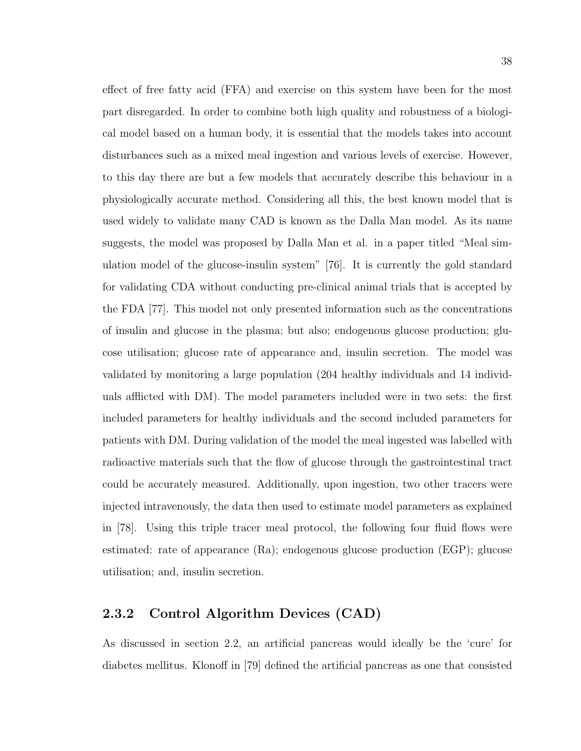effect of free fatty acid (FFA) and exercise on this system have been for the most part disregarded. In order to combine both high quality and robustness of a biological model based on a human body, it is essential that the models takes into account disturbances such as a mixed meal ingestion and various levels of exercise. However, to this day there are but a few models that accurately describe this behaviour in a physiologically accurate method. Considering all this, the best known model that is used widely to validate many CAD is known as the Dalla Man model. As its name suggests, the model was proposed by Dalla Man et al. in a paper titled "Meal simulation model of the glucose-insulin system" [76]. It is currently the gold standard for validating CDA without conducting pre-clinical animal trials that is accepted by the FDA [77]. This model not only presented information such as the concentrations of insulin and glucose in the plasma; but also; endogenous glucose production; glucose utilisation; glucose rate of appearance and, insulin secretion. The model was validated by monitoring a large population (204 healthy individuals and 14 individuals afflicted with DM). The model parameters included were in two sets: the first included parameters for healthy individuals and the second included parameters for patients with DM. During validation of the model the meal ingested was labelled with radioactive materials such that the flow of glucose through the gastrointestinal tract could be accurately measured. Additionally, upon ingestion, two other tracers were injected intravenously, the data then used to estimate model parameters as explained in [78]. Using this triple tracer meal protocol, the following four fluid flows were estimated: rate of appearance (Ra); endogenous glucose production (EGP); glucose utilisation; and, insulin secretion.

## 2.3.2 Control Algorithm Devices (CAD)

As discussed in section 2.2, an artificial pancreas would ideally be the 'cure' for diabetes mellitus. Klonoff in [79] defined the artificial pancreas as one that consisted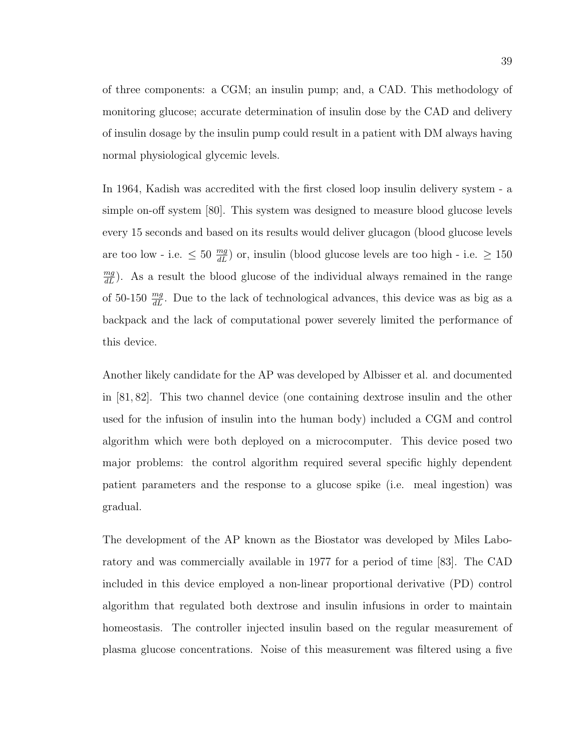of three components: a CGM; an insulin pump; and, a CAD. This methodology of monitoring glucose; accurate determination of insulin dose by the CAD and delivery of insulin dosage by the insulin pump could result in a patient with DM always having normal physiological glycemic levels.

In 1964, Kadish was accredited with the first closed loop insulin delivery system - a simple on-off system [80]. This system was designed to measure blood glucose levels every 15 seconds and based on its results would deliver glucagon (blood glucose levels are too low - i.e.  $\leq 50 \frac{mg}{dL}$  or, insulin (blood glucose levels are too high - i.e.  $\geq 150$  $\frac{mg}{dL}$ ). As a result the blood glucose of the individual always remained in the range of 50-150  $\frac{mg}{dL}$ . Due to the lack of technological advances, this device was as big as a backpack and the lack of computational power severely limited the performance of this device.

Another likely candidate for the AP was developed by Albisser et al. and documented in [81, 82]. This two channel device (one containing dextrose insulin and the other used for the infusion of insulin into the human body) included a CGM and control algorithm which were both deployed on a microcomputer. This device posed two major problems: the control algorithm required several specific highly dependent patient parameters and the response to a glucose spike (i.e. meal ingestion) was gradual.

The development of the AP known as the Biostator was developed by Miles Laboratory and was commercially available in 1977 for a period of time [83]. The CAD included in this device employed a non-linear proportional derivative (PD) control algorithm that regulated both dextrose and insulin infusions in order to maintain homeostasis. The controller injected insulin based on the regular measurement of plasma glucose concentrations. Noise of this measurement was filtered using a five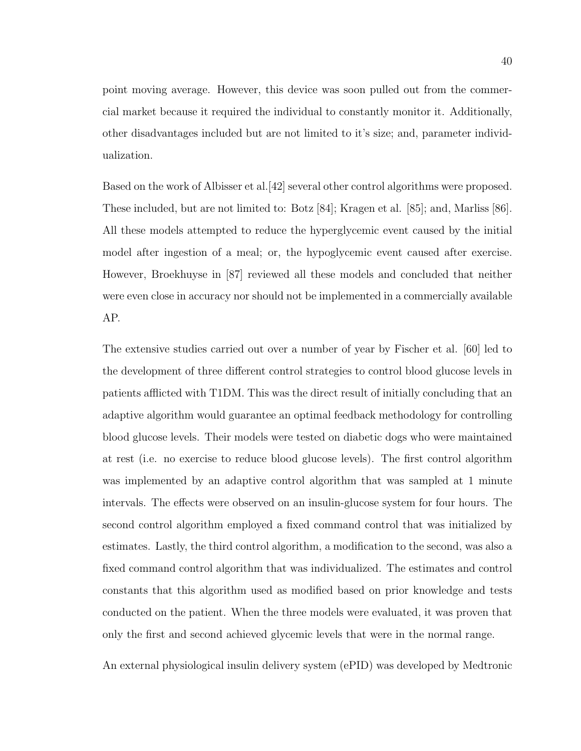point moving average. However, this device was soon pulled out from the commercial market because it required the individual to constantly monitor it. Additionally, other disadvantages included but are not limited to it's size; and, parameter individualization.

Based on the work of Albisser et al.[42] several other control algorithms were proposed. These included, but are not limited to: Botz [84]; Kragen et al. [85]; and, Marliss [86]. All these models attempted to reduce the hyperglycemic event caused by the initial model after ingestion of a meal; or, the hypoglycemic event caused after exercise. However, Broekhuyse in [87] reviewed all these models and concluded that neither were even close in accuracy nor should not be implemented in a commercially available AP.

The extensive studies carried out over a number of year by Fischer et al. [60] led to the development of three different control strategies to control blood glucose levels in patients afflicted with T1DM. This was the direct result of initially concluding that an adaptive algorithm would guarantee an optimal feedback methodology for controlling blood glucose levels. Their models were tested on diabetic dogs who were maintained at rest (i.e. no exercise to reduce blood glucose levels). The first control algorithm was implemented by an adaptive control algorithm that was sampled at 1 minute intervals. The effects were observed on an insulin-glucose system for four hours. The second control algorithm employed a fixed command control that was initialized by estimates. Lastly, the third control algorithm, a modification to the second, was also a fixed command control algorithm that was individualized. The estimates and control constants that this algorithm used as modified based on prior knowledge and tests conducted on the patient. When the three models were evaluated, it was proven that only the first and second achieved glycemic levels that were in the normal range.

An external physiological insulin delivery system (ePID) was developed by Medtronic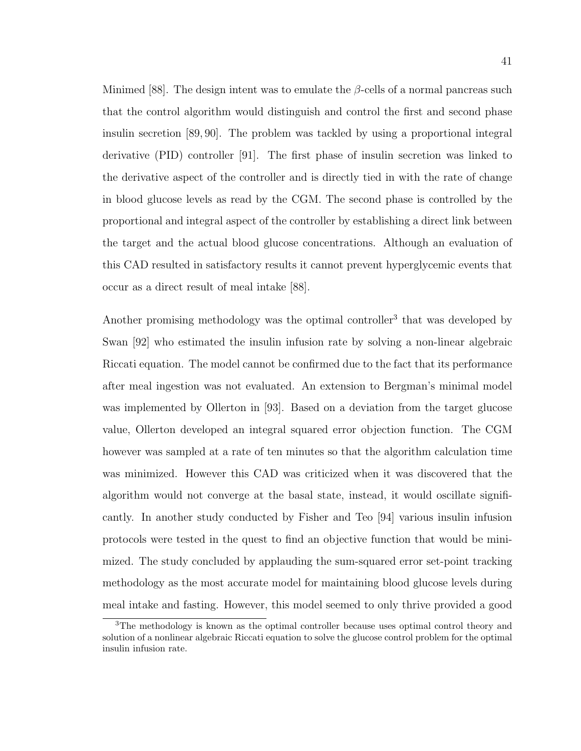Minimed [88]. The design intent was to emulate the  $\beta$ -cells of a normal pancreas such that the control algorithm would distinguish and control the first and second phase insulin secretion [89, 90]. The problem was tackled by using a proportional integral derivative (PID) controller [91]. The first phase of insulin secretion was linked to the derivative aspect of the controller and is directly tied in with the rate of change in blood glucose levels as read by the CGM. The second phase is controlled by the proportional and integral aspect of the controller by establishing a direct link between the target and the actual blood glucose concentrations. Although an evaluation of this CAD resulted in satisfactory results it cannot prevent hyperglycemic events that occur as a direct result of meal intake [88].

Another promising methodology was the optimal controller<sup>3</sup> that was developed by Swan [92] who estimated the insulin infusion rate by solving a non-linear algebraic Riccati equation. The model cannot be confirmed due to the fact that its performance after meal ingestion was not evaluated. An extension to Bergman's minimal model was implemented by Ollerton in [93]. Based on a deviation from the target glucose value, Ollerton developed an integral squared error objection function. The CGM however was sampled at a rate of ten minutes so that the algorithm calculation time was minimized. However this CAD was criticized when it was discovered that the algorithm would not converge at the basal state, instead, it would oscillate significantly. In another study conducted by Fisher and Teo [94] various insulin infusion protocols were tested in the quest to find an objective function that would be minimized. The study concluded by applauding the sum-squared error set-point tracking methodology as the most accurate model for maintaining blood glucose levels during meal intake and fasting. However, this model seemed to only thrive provided a good

<sup>&</sup>lt;sup>3</sup>The methodology is known as the optimal controller because uses optimal control theory and solution of a nonlinear algebraic Riccati equation to solve the glucose control problem for the optimal insulin infusion rate.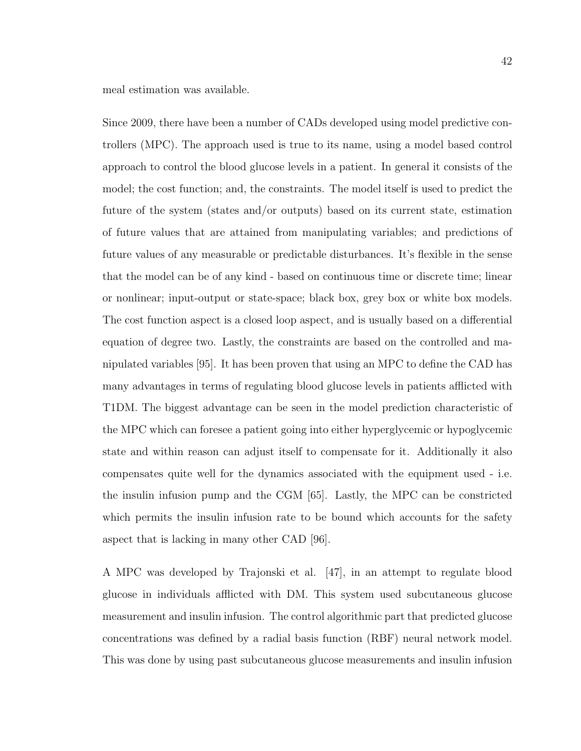meal estimation was available.

Since 2009, there have been a number of CADs developed using model predictive controllers (MPC). The approach used is true to its name, using a model based control approach to control the blood glucose levels in a patient. In general it consists of the model; the cost function; and, the constraints. The model itself is used to predict the future of the system (states and/or outputs) based on its current state, estimation of future values that are attained from manipulating variables; and predictions of future values of any measurable or predictable disturbances. It's flexible in the sense that the model can be of any kind - based on continuous time or discrete time; linear or nonlinear; input-output or state-space; black box, grey box or white box models. The cost function aspect is a closed loop aspect, and is usually based on a differential equation of degree two. Lastly, the constraints are based on the controlled and manipulated variables [95]. It has been proven that using an MPC to define the CAD has many advantages in terms of regulating blood glucose levels in patients afflicted with T1DM. The biggest advantage can be seen in the model prediction characteristic of the MPC which can foresee a patient going into either hyperglycemic or hypoglycemic state and within reason can adjust itself to compensate for it. Additionally it also compensates quite well for the dynamics associated with the equipment used - i.e. the insulin infusion pump and the CGM [65]. Lastly, the MPC can be constricted which permits the insulin infusion rate to be bound which accounts for the safety aspect that is lacking in many other CAD [96].

A MPC was developed by Trajonski et al. [47], in an attempt to regulate blood glucose in individuals afflicted with DM. This system used subcutaneous glucose measurement and insulin infusion. The control algorithmic part that predicted glucose concentrations was defined by a radial basis function (RBF) neural network model. This was done by using past subcutaneous glucose measurements and insulin infusion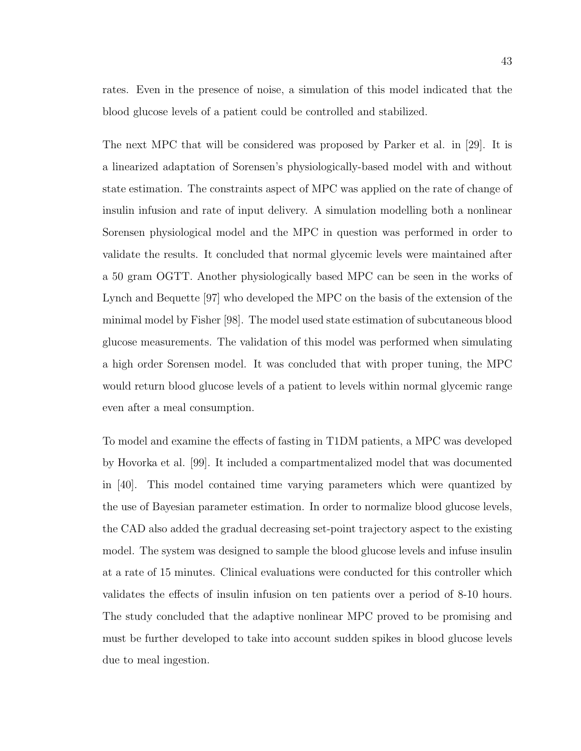rates. Even in the presence of noise, a simulation of this model indicated that the blood glucose levels of a patient could be controlled and stabilized.

The next MPC that will be considered was proposed by Parker et al. in [29]. It is a linearized adaptation of Sorensen's physiologically-based model with and without state estimation. The constraints aspect of MPC was applied on the rate of change of insulin infusion and rate of input delivery. A simulation modelling both a nonlinear Sorensen physiological model and the MPC in question was performed in order to validate the results. It concluded that normal glycemic levels were maintained after a 50 gram OGTT. Another physiologically based MPC can be seen in the works of Lynch and Bequette [97] who developed the MPC on the basis of the extension of the minimal model by Fisher [98]. The model used state estimation of subcutaneous blood glucose measurements. The validation of this model was performed when simulating a high order Sorensen model. It was concluded that with proper tuning, the MPC would return blood glucose levels of a patient to levels within normal glycemic range even after a meal consumption.

To model and examine the effects of fasting in T1DM patients, a MPC was developed by Hovorka et al. [99]. It included a compartmentalized model that was documented in [40]. This model contained time varying parameters which were quantized by the use of Bayesian parameter estimation. In order to normalize blood glucose levels, the CAD also added the gradual decreasing set-point trajectory aspect to the existing model. The system was designed to sample the blood glucose levels and infuse insulin at a rate of 15 minutes. Clinical evaluations were conducted for this controller which validates the effects of insulin infusion on ten patients over a period of 8-10 hours. The study concluded that the adaptive nonlinear MPC proved to be promising and must be further developed to take into account sudden spikes in blood glucose levels due to meal ingestion.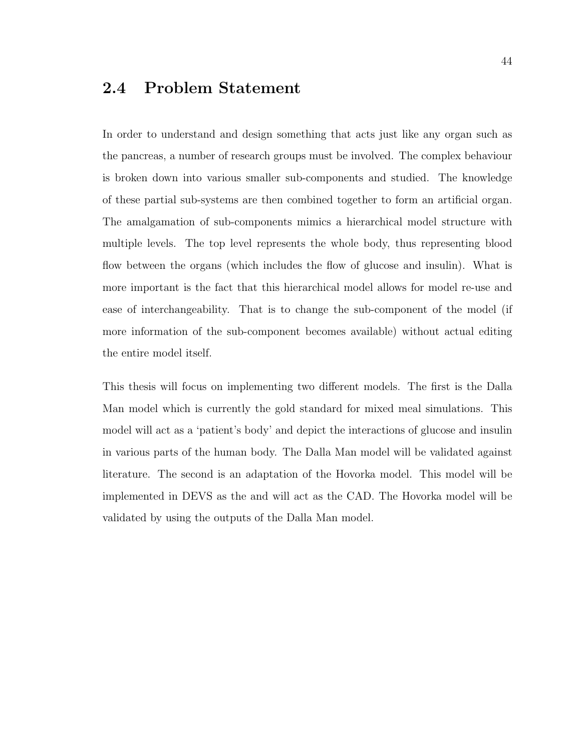# 2.4 Problem Statement

In order to understand and design something that acts just like any organ such as the pancreas, a number of research groups must be involved. The complex behaviour is broken down into various smaller sub-components and studied. The knowledge of these partial sub-systems are then combined together to form an artificial organ. The amalgamation of sub-components mimics a hierarchical model structure with multiple levels. The top level represents the whole body, thus representing blood flow between the organs (which includes the flow of glucose and insulin). What is more important is the fact that this hierarchical model allows for model re-use and ease of interchangeability. That is to change the sub-component of the model (if more information of the sub-component becomes available) without actual editing the entire model itself.

This thesis will focus on implementing two different models. The first is the Dalla Man model which is currently the gold standard for mixed meal simulations. This model will act as a 'patient's body' and depict the interactions of glucose and insulin in various parts of the human body. The Dalla Man model will be validated against literature. The second is an adaptation of the Hovorka model. This model will be implemented in DEVS as the and will act as the CAD. The Hovorka model will be validated by using the outputs of the Dalla Man model.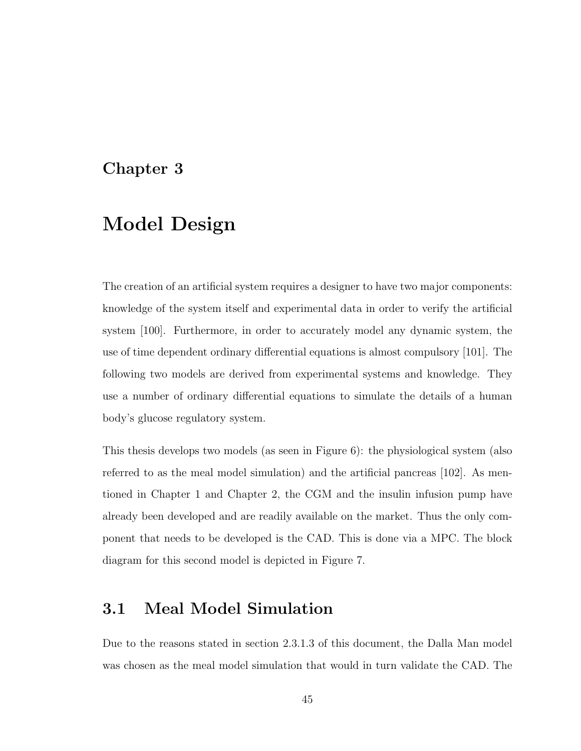# Chapter 3

# Model Design

The creation of an artificial system requires a designer to have two major components: knowledge of the system itself and experimental data in order to verify the artificial system [100]. Furthermore, in order to accurately model any dynamic system, the use of time dependent ordinary differential equations is almost compulsory [101]. The following two models are derived from experimental systems and knowledge. They use a number of ordinary differential equations to simulate the details of a human body's glucose regulatory system.

This thesis develops two models (as seen in Figure 6): the physiological system (also referred to as the meal model simulation) and the artificial pancreas [102]. As mentioned in Chapter 1 and Chapter 2, the CGM and the insulin infusion pump have already been developed and are readily available on the market. Thus the only component that needs to be developed is the CAD. This is done via a MPC. The block diagram for this second model is depicted in Figure 7.

# 3.1 Meal Model Simulation

Due to the reasons stated in section 2.3.1.3 of this document, the Dalla Man model was chosen as the meal model simulation that would in turn validate the CAD. The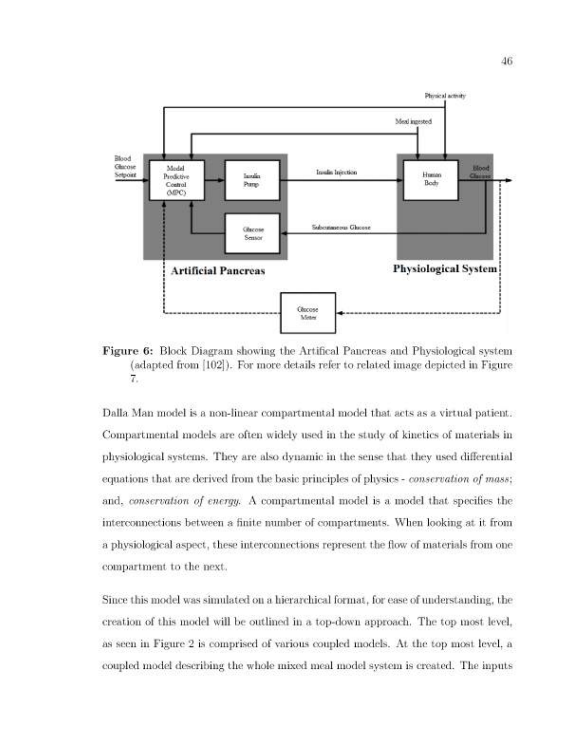

Figure 6: Block Diagram showing the Artifical Pancreas and Physiological system (adapted from [102]). For more details refer to related image depicted in Figure 7.

Dalla Man model is a non-linear compartmental model that acts as a virtual patient. Compartmental models are often widely used in the study of kinetics of materials in physiological systems. They are also dynamic in the sense that they used differential equations that are derived from the basic principles of physics - conservation of mass; and, conservation of energy. A compartmental model is a model that specifies the interconnections between a finite number of compartments. When looking at it from a physiological aspect, these interconnections represent the flow of materials from one compartment to the next.

Since this model was simulated on a hierarchical format, for ease of understanding, the creation of this model will be outlined in a top-down approach. The top most level, as seen in Figure 2 is comprised of various coupled models. At the top most level, a coupled model describing the whole mixed meal model system is created. The inputs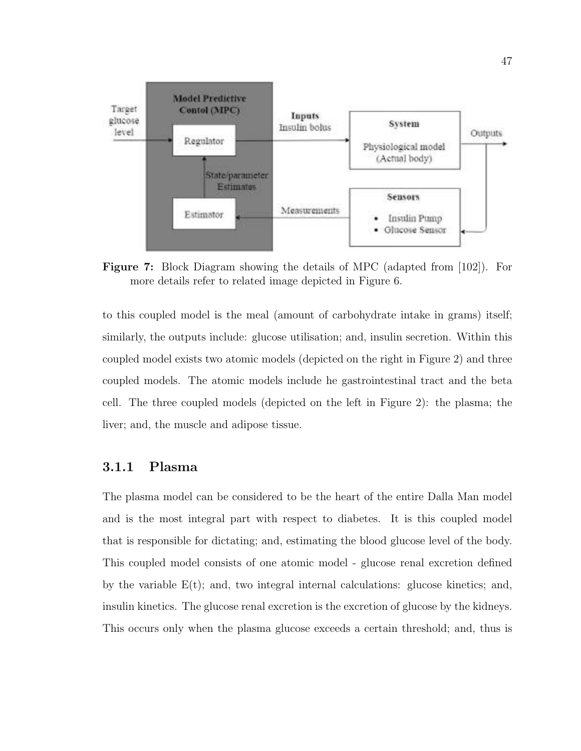

Figure 7: Block Diagram showing the details of MPC (adapted from [102]). For more details refer to related image depicted in Figure 6.

to this coupled model is the meal (amount of carbohydrate intake in grams) itself; similarly, the outputs include: glucose utilisation; and, insulin secretion. Within this coupled model exists two atomic models (depicted on the right in Figure 2) and three coupled models. The atomic models include he gastrointestinal tract and the beta cell. The three coupled models (depicted on the left in Figure 2): the plasma; the liver; and, the muscle and adipose tissue.

## 3.1.1 Plasma

The plasma model can be considered to be the heart of the entire Dalla Man model and is the most integral part with respect to diabetes. It is this coupled model that is responsible for dictating; and, estimating the blood glucose level of the body. This coupled model consists of one atomic model - glucose renal excretion defined by the variable  $E(t)$ ; and, two integral internal calculations: glucose kinetics; and, insulin kinetics. The glucose renal excretion is the excretion of glucose by the kidneys. This occurs only when the plasma glucose exceeds a certain threshold; and, thus is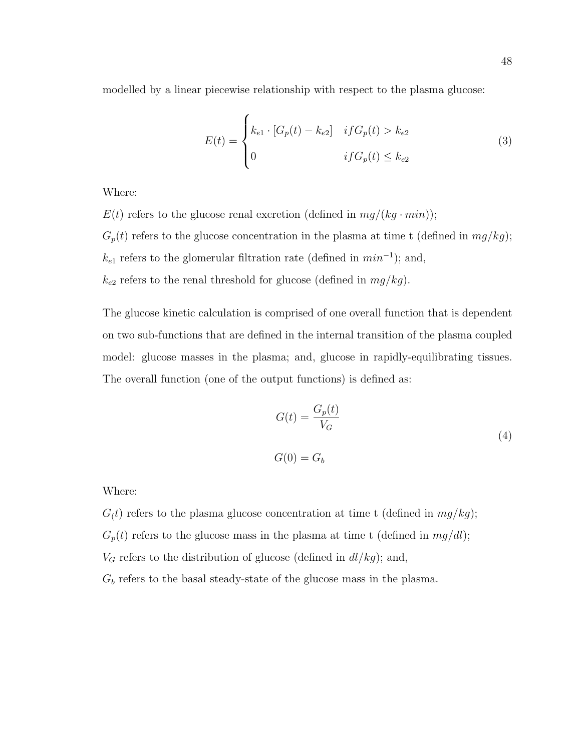modelled by a linear piecewise relationship with respect to the plasma glucose:

$$
E(t) = \begin{cases} k_{e1} \cdot [G_p(t) - k_{e2}] & if G_p(t) > k_{e2} \\ 0 & if G_p(t) \le k_{e2} \end{cases}
$$
(3)

Where:

 $E(t)$  refers to the glucose renal excretion (defined in  $mq/(kq \cdot min)$ );

 $G_p(t)$  refers to the glucose concentration in the plasma at time t (defined in  $mg/kg$ );  $k_{e1}$  refers to the glomerular filtration rate (defined in  $min^{-1}$ ); and,  $k_{e2}$  refers to the renal threshold for glucose (defined in  $mg/kg$ ).

The glucose kinetic calculation is comprised of one overall function that is dependent on two sub-functions that are defined in the internal transition of the plasma coupled model: glucose masses in the plasma; and, glucose in rapidly-equilibrating tissues. The overall function (one of the output functions) is defined as:

$$
G(t) = \frac{G_p(t)}{V_G}
$$
\n
$$
G(0) = G_b
$$
\n(4)

Where:

 $G(t)$  refers to the plasma glucose concentration at time t (defined in  $mg/kg$ );  $G_p(t)$  refers to the glucose mass in the plasma at time t (defined in  $mg/dl$ );  $V_G$  refers to the distribution of glucose (defined in  $dl/kg$ ); and,  $G_b$  refers to the basal steady-state of the glucose mass in the plasma.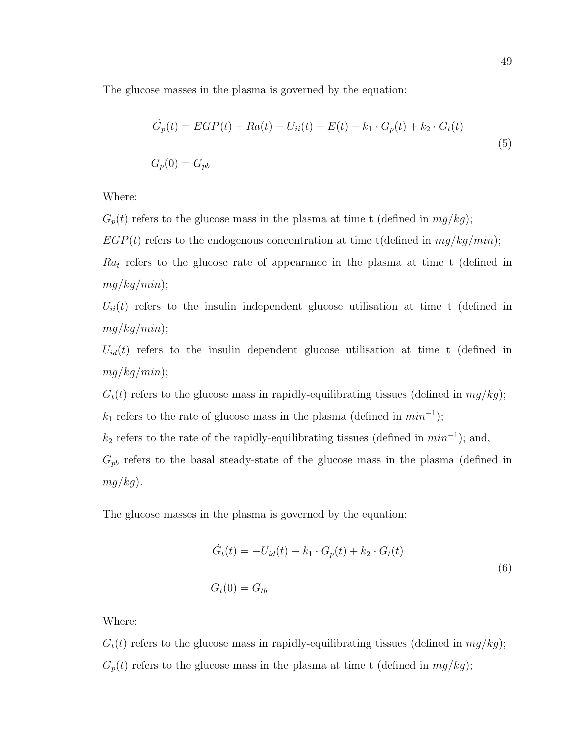The glucose masses in the plasma is governed by the equation:

$$
\dot{G}_p(t) = EGP(t) + Ra(t) - U_{ii}(t) - E(t) - k_1 \cdot G_p(t) + k_2 \cdot G_t(t)
$$
\n
$$
G_p(0) = G_{pb}
$$
\n(5)

Where:

- $G_p(t)$  refers to the glucose mass in the plasma at time t (defined in  $mg/kg$ );
- $EGP(t)$  refers to the endogenous concentration at time t(defined in  $mg/kg/min$ );

 $Ra_t$  refers to the glucose rate of appearance in the plasma at time t (defined in  $mg/kg/min);$ 

 $U_{ii}(t)$  refers to the insulin independent glucose utilisation at time t (defined in  $mg/kg/min);$ 

 $U_{id}(t)$  refers to the insulin dependent glucose utilisation at time t (defined in  $mq/kg/min);$ 

 $G_t(t)$  refers to the glucose mass in rapidly-equilibrating tissues (defined in  $mg/kg$ );

 $k_1$  refers to the rate of glucose mass in the plasma (defined in  $min^{-1}$ );

 $k_2$  refers to the rate of the rapidly-equilibrating tissues (defined in  $min^{-1}$ ); and,

 $G_{pb}$  refers to the basal steady-state of the glucose mass in the plasma (defined in  $mq/kg$ ).

The glucose masses in the plasma is governed by the equation:

$$
\dot{G}_t(t) = -U_{id}(t) - k_1 \cdot G_p(t) + k_2 \cdot G_t(t)
$$
  
(6)  

$$
G_t(0) = G_{tb}
$$

Where:

 $G_t(t)$  refers to the glucose mass in rapidly-equilibrating tissues (defined in  $mg/kg$ );  $G_p(t)$  refers to the glucose mass in the plasma at time t (defined in  $mg/kg$ );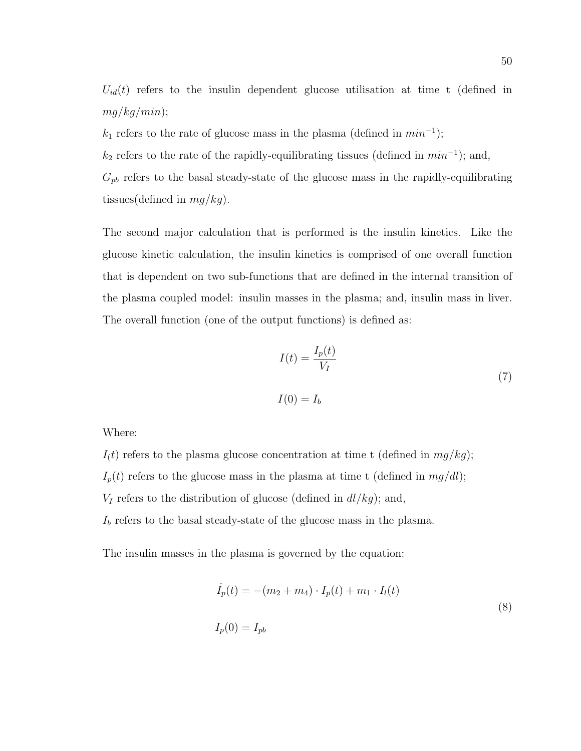$U_{id}(t)$  refers to the insulin dependent glucose utilisation at time t (defined in  $mg/kg/min);$ 

 $k_1$  refers to the rate of glucose mass in the plasma (defined in  $min^{-1}$ );

 $k_2$  refers to the rate of the rapidly-equilibrating tissues (defined in  $min^{-1}$ ); and,

 $G_{pb}$  refers to the basal steady-state of the glucose mass in the rapidly-equilibrating tissues(defined in  $mg/kg$ ).

The second major calculation that is performed is the insulin kinetics. Like the glucose kinetic calculation, the insulin kinetics is comprised of one overall function that is dependent on two sub-functions that are defined in the internal transition of the plasma coupled model: insulin masses in the plasma; and, insulin mass in liver. The overall function (one of the output functions) is defined as:

$$
I(t) = \frac{I_p(t)}{V_I}
$$
  

$$
I(0) = I_b
$$
 (7)

Where:

- $I(t)$  refers to the plasma glucose concentration at time t (defined in  $mg/kg$ );
- $I_p(t)$  refers to the glucose mass in the plasma at time t (defined in  $mg/dl$ );
- $V_I$  refers to the distribution of glucose (defined in  $dl/kg$ ); and,

 $I<sub>b</sub>$  refers to the basal steady-state of the glucose mass in the plasma.

The insulin masses in the plasma is governed by the equation:

$$
\dot{I}_p(t) = -(m_2 + m_4) \cdot I_p(t) + m_1 \cdot I_l(t)
$$
\n
$$
I_p(0) = I_{pb}
$$
\n(8)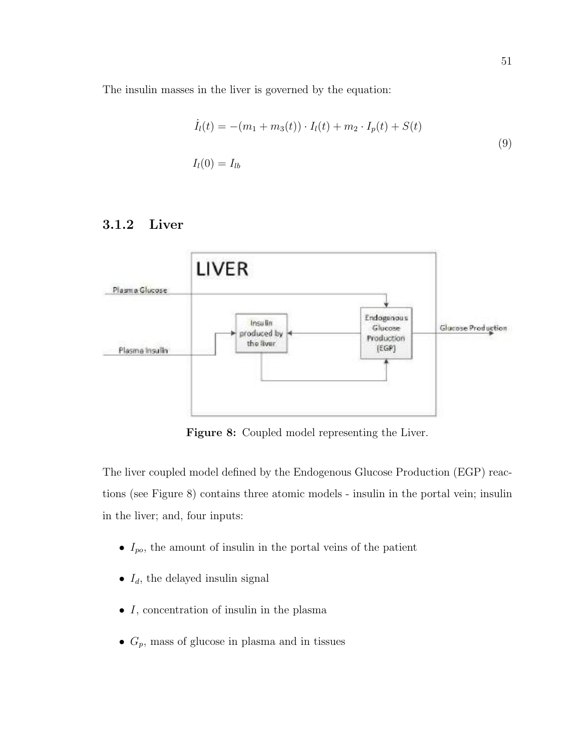The insulin masses in the liver is governed by the equation:

$$
\dot{I}_l(t) = -(m_1 + m_3(t)) \cdot I_l(t) + m_2 \cdot I_p(t) + S(t)
$$
\n
$$
I_l(0) = I_{lb}
$$
\n(9)

## 3.1.2 Liver



Figure 8: Coupled model representing the Liver.

The liver coupled model defined by the Endogenous Glucose Production (EGP) reactions (see Figure 8) contains three atomic models - insulin in the portal vein; insulin in the liver; and, four inputs:

- $I_{po}$ , the amount of insulin in the portal veins of the patient
- $I_d$ , the delayed insulin signal
- $\bullet$  *I*, concentration of insulin in the plasma
- $G_p$ , mass of glucose in plasma and in tissues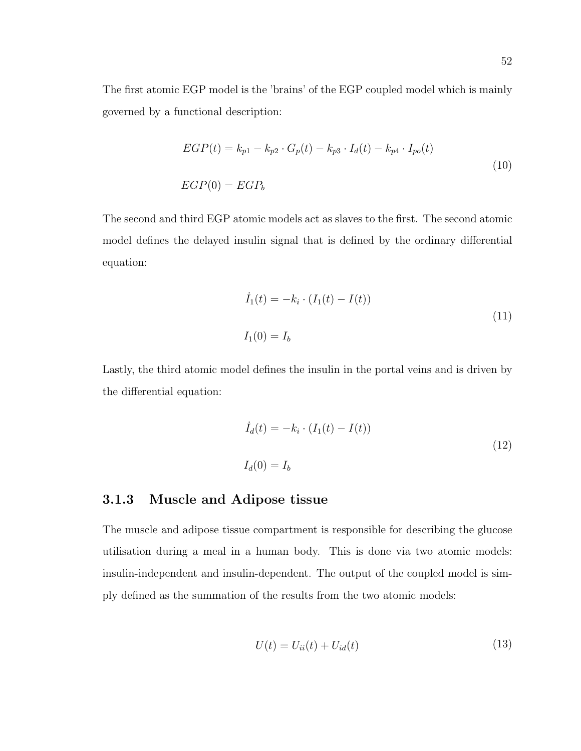The first atomic EGP model is the 'brains' of the EGP coupled model which is mainly governed by a functional description:

$$
EGP(t) = k_{p1} - k_{p2} \cdot G_p(t) - k_{p3} \cdot I_d(t) - k_{p4} \cdot I_{po}(t)
$$
  
\n
$$
EGP(0) = EGP_b
$$
\n(10)

The second and third EGP atomic models act as slaves to the first. The second atomic model defines the delayed insulin signal that is defined by the ordinary differential equation:

$$
\dot{I}_1(t) = -k_i \cdot (I_1(t) - I(t))
$$
\n
$$
I_1(0) = I_b
$$
\n(11)

Lastly, the third atomic model defines the insulin in the portal veins and is driven by the differential equation:

$$
\dot{I}_d(t) = -k_i \cdot (I_1(t) - I(t))
$$
\n
$$
I_d(0) = I_b
$$
\n(12)

### 3.1.3 Muscle and Adipose tissue

The muscle and adipose tissue compartment is responsible for describing the glucose utilisation during a meal in a human body. This is done via two atomic models: insulin-independent and insulin-dependent. The output of the coupled model is simply defined as the summation of the results from the two atomic models:

$$
U(t) = U_{ii}(t) + U_{id}(t)
$$
\n(13)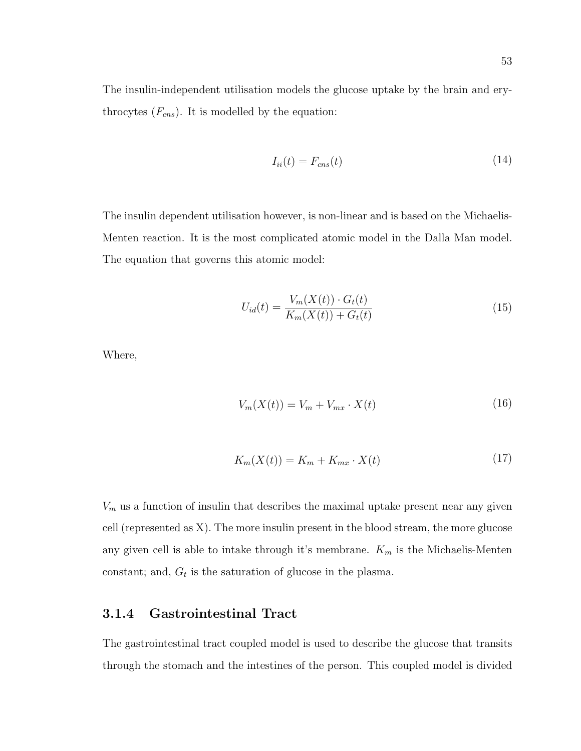The insulin-independent utilisation models the glucose uptake by the brain and erythrocytes  $(F_{\text{cns}})$ . It is modelled by the equation:

$$
I_{ii}(t) = F_{\rm cms}(t) \tag{14}
$$

The insulin dependent utilisation however, is non-linear and is based on the Michaelis-Menten reaction. It is the most complicated atomic model in the Dalla Man model. The equation that governs this atomic model:

$$
U_{id}(t) = \frac{V_m(X(t)) \cdot G_t(t)}{K_m(X(t)) + G_t(t)}
$$
\n(15)

Where,

$$
V_m(X(t)) = V_m + V_{mx} \cdot X(t) \tag{16}
$$

$$
K_m(X(t)) = K_m + K_{mx} \cdot X(t) \tag{17}
$$

 $V_m$  us a function of insulin that describes the maximal uptake present near any given cell (represented as X). The more insulin present in the blood stream, the more glucose any given cell is able to intake through it's membrane.  $K_m$  is the Michaelis-Menten constant; and,  $G_t$  is the saturation of glucose in the plasma.

### 3.1.4 Gastrointestinal Tract

The gastrointestinal tract coupled model is used to describe the glucose that transits through the stomach and the intestines of the person. This coupled model is divided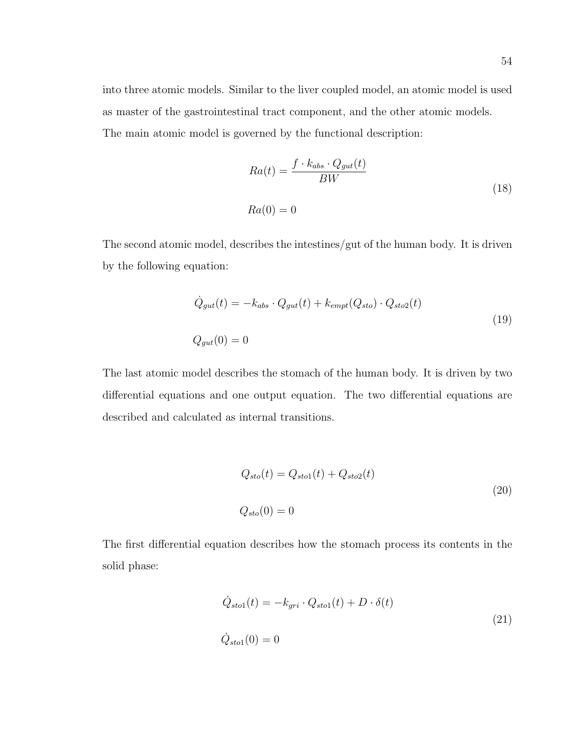into three atomic models. Similar to the liver coupled model, an atomic model is used as master of the gastrointestinal tract component, and the other atomic models. The main atomic model is governed by the functional description:

$$
Ra(t) = \frac{f \cdot k_{abs} \cdot Q_{gut}(t)}{BW}
$$
  

$$
Ra(0) = 0
$$
 (18)

The second atomic model, describes the intestines/gut of the human body. It is driven by the following equation:

$$
\dot{Q}_{gut}(t) = -k_{abs} \cdot Q_{gut}(t) + k_{empt}(Q_{sto}) \cdot Q_{sto2}(t)
$$
\n
$$
Q_{gut}(0) = 0
$$
\n(19)

The last atomic model describes the stomach of the human body. It is driven by two differential equations and one output equation. The two differential equations are described and calculated as internal transitions.

$$
Q_{sto}(t) = Q_{sto1}(t) + Q_{sto2}(t)
$$
  

$$
Q_{sto}(0) = 0
$$
 (20)

The first differential equation describes how the stomach process its contents in the solid phase:

$$
\dot{Q}_{sto1}(t) = -k_{gri} \cdot Q_{sto1}(t) + D \cdot \delta(t)
$$
\n
$$
\dot{Q}_{sto1}(0) = 0
$$
\n(21)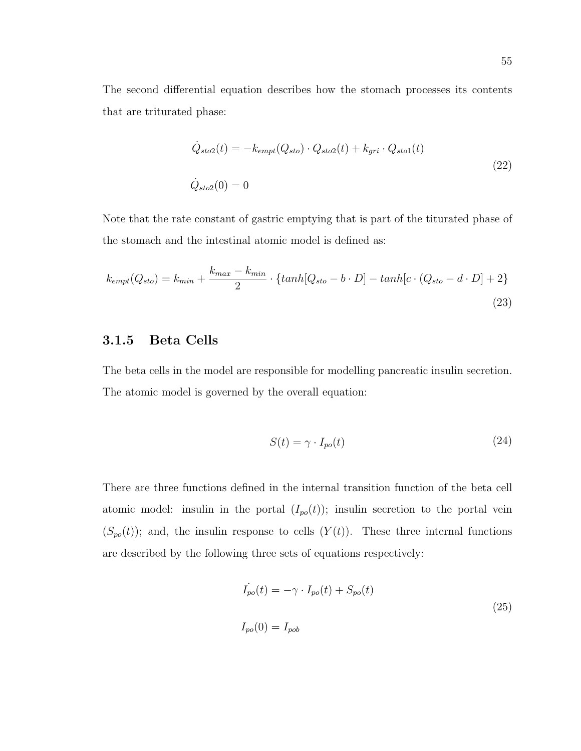The second differential equation describes how the stomach processes its contents that are triturated phase:

$$
\dot{Q}_{sto2}(t) = -k_{empt}(Q_{sto}) \cdot Q_{sto2}(t) + k_{gri} \cdot Q_{sto1}(t)
$$
\n
$$
\dot{Q}_{sto2}(0) = 0
$$
\n(22)

Note that the rate constant of gastric emptying that is part of the titurated phase of the stomach and the intestinal atomic model is defined as:

$$
k_{empt}(Q_{sto}) = k_{min} + \frac{k_{max} - k_{min}}{2} \cdot \{ \tanh[Q_{sto} - b \cdot D] - \tanh[c \cdot (Q_{sto} - d \cdot D] + 2 \}
$$
\n(23)

### 3.1.5 Beta Cells

The beta cells in the model are responsible for modelling pancreatic insulin secretion. The atomic model is governed by the overall equation:

$$
S(t) = \gamma \cdot I_{po}(t) \tag{24}
$$

There are three functions defined in the internal transition function of the beta cell atomic model: insulin in the portal  $(I_{po}(t))$ ; insulin secretion to the portal vein  $(S_{po}(t))$ ; and, the insulin response to cells  $(Y(t))$ . These three internal functions are described by the following three sets of equations respectively:

$$
\dot{I}_{po}(t) = -\gamma \cdot I_{po}(t) + S_{po}(t)
$$
\n
$$
I_{po}(0) = I_{pob}
$$
\n(25)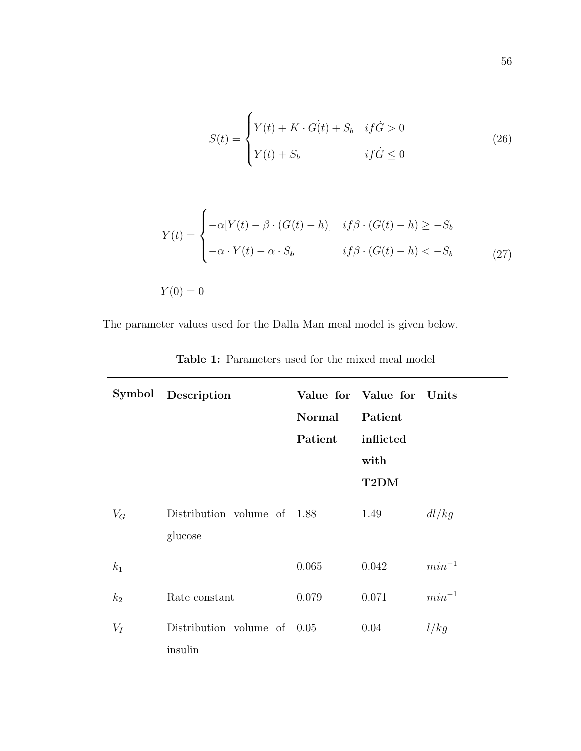$$
S(t) = \begin{cases} Y(t) + K \cdot G(t) + S_b & \text{if } G > 0 \\ Y(t) + S_b & \text{if } G \le 0 \end{cases} \tag{26}
$$

$$
Y(t) = \begin{cases} -\alpha [Y(t) - \beta \cdot (G(t) - h)] & \text{if } \beta \cdot (G(t) - h) \ge -S_b \\ -\alpha \cdot Y(t) - \alpha \cdot S_b & \text{if } \beta \cdot (G(t) - h) < -S_b \end{cases} \tag{27}
$$

 $Y(0) = 0$ 

The parameter values used for the Dalla Man meal model is given below.

|       | Symbol Description                     | Normal<br>Patient | Value for Value for Units<br>Patient<br>inflicted<br>with |            |
|-------|----------------------------------------|-------------------|-----------------------------------------------------------|------------|
|       |                                        |                   | T2DM                                                      |            |
| $V_G$ | Distribution volume of 1.88<br>glucose |                   | 1.49                                                      | dl/kg      |
| $k_1$ |                                        | 0.065             | 0.042                                                     | $min^{-1}$ |
| $k_2$ | Rate constant                          | 0.079             | 0.071                                                     | $min^{-1}$ |
| $V_I$ | Distribution volume of 0.05<br>insulin |                   | 0.04                                                      | l/kg       |

Table 1: Parameters used for the mixed meal model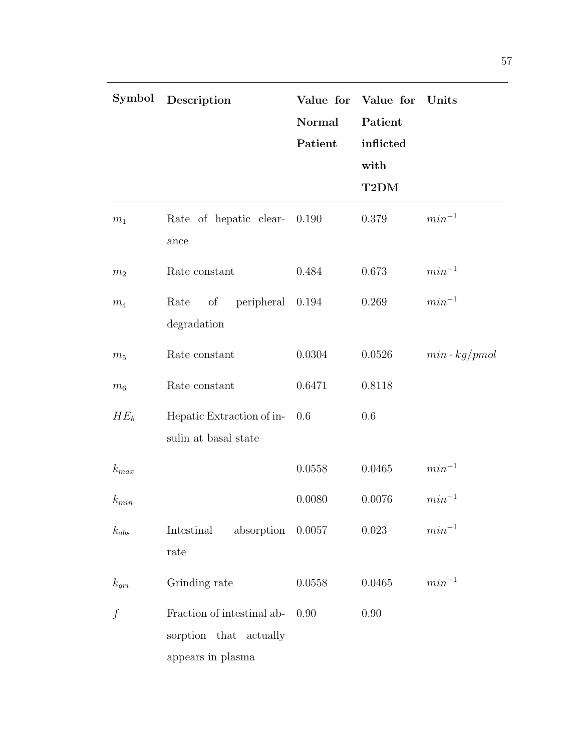| Symbol         | Description                                                                  | Normal<br>Patient | Value for Value for<br>Patient<br>inflicted<br>with<br>T2DM | $\boldsymbol{\mathrm{Units}}$ |
|----------------|------------------------------------------------------------------------------|-------------------|-------------------------------------------------------------|-------------------------------|
| $\,m_1$        | Rate of hepatic clear-<br>ance                                               | 0.190             | 0.379                                                       | $min^{-1}$                    |
| m <sub>2</sub> | Rate constant                                                                | 0.484             | 0.673                                                       | $min^{-1}$                    |
| $\,m_4$        | peripheral 0.194<br>Rate<br>of<br>degradation                                |                   | 0.269                                                       | $min^{-1}$                    |
| $m_5$          | Rate constant                                                                | 0.0304            | 0.0526                                                      | $min \cdot kg/pmol$           |
| m <sub>6</sub> | Rate constant                                                                | 0.6471            | 0.8118                                                      |                               |
| $HE_b$         | Hepatic Extraction of in-<br>sulin at basal state                            | 0.6               | 0.6                                                         |                               |
| $k_{max}$      |                                                                              | 0.0558            | 0.0465                                                      | $min^{-1}$                    |
| $k_{min}$      |                                                                              | 0.0080            | 0.0076                                                      | $min^{-1}$                    |
| $k_{abs}$      | Intestinal<br>absorption $0.0057$<br>rate                                    |                   | 0.023                                                       | $min^{-1}$                    |
| $k_{gri}$      | Grinding rate                                                                | 0.0558            | 0.0465                                                      | $min^{-1}$                    |
| $\int$         | Fraction of intestinal ab-<br>sorption that<br>actually<br>appears in plasma | 0.90              | 0.90                                                        |                               |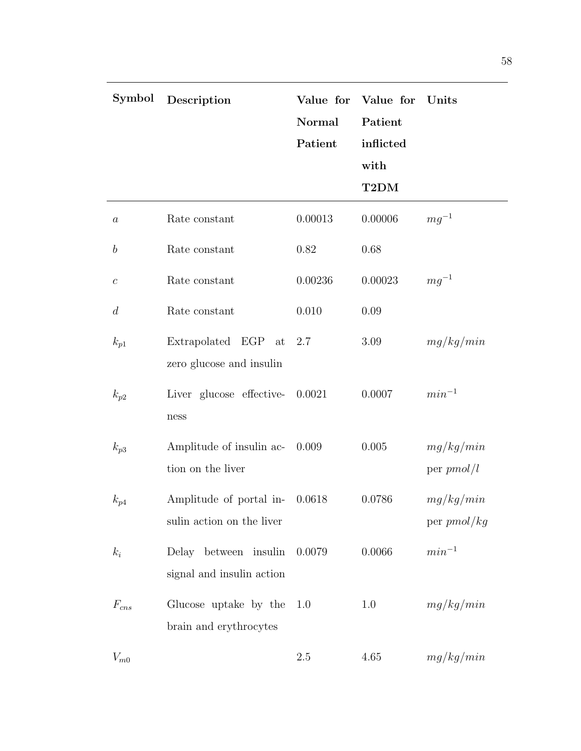| Symbol           | Description                                          | Normal<br>Patient | Value for Value for<br>Patient<br>inflicted<br>with<br>T2DM | Units                      |
|------------------|------------------------------------------------------|-------------------|-------------------------------------------------------------|----------------------------|
| $\boldsymbol{a}$ | Rate constant                                        | 0.00013           | 0.00006                                                     | $mg^{-1}$                  |
| $\boldsymbol{b}$ | Rate constant                                        | 0.82              | 0.68                                                        |                            |
| $\boldsymbol{c}$ | Rate constant                                        | 0.00236           | 0.00023                                                     | $mg^{-1}$                  |
| d                | Rate constant                                        | 0.010             | 0.09                                                        |                            |
| $k_{p1}$         | Extrapolated EGP<br>at<br>zero glucose and insulin   | 2.7               | 3.09                                                        | mg/kg/min                  |
| $k_{p2}$         | Liver glucose effective-<br>ness                     | 0.0021            | 0.0007                                                      | $min^{-1}$                 |
| $k_{p3}$         | Amplitude of insulin ac-<br>tion on the liver        | 0.009             | 0.005                                                       | mg/kg/min<br>per $pmol/l$  |
| $k_{p4}$         | Amplitude of portal in-<br>sulin action on the liver | 0.0618            | 0.0786                                                      | mg/kg/min<br>per $pmol/kg$ |
| $k_i$            | Delay between insulin<br>signal and insulin action   | 0.0079            | 0.0066                                                      | $min^{-1}$                 |
| $F_{cns}$        | Glucose uptake by the<br>brain and erythrocytes      | 1.0               | 1.0                                                         | mg/kg/min                  |
| $V_{m0}$         |                                                      | 2.5               | 4.65                                                        | mg/kg/min                  |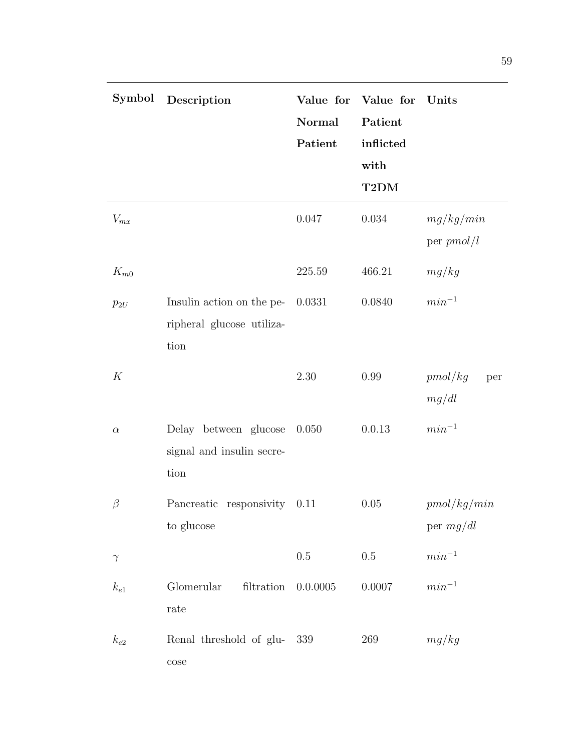| Symbol   | Description                                                    | Value for<br>Normal<br>Patient | Value for<br>Patient<br>inflicted<br>with<br>T2DM | Units                      |
|----------|----------------------------------------------------------------|--------------------------------|---------------------------------------------------|----------------------------|
| $V_{mx}$ |                                                                | 0.047                          | 0.034                                             | mg/kg/min<br>per $pmol/l$  |
| $K_{m0}$ |                                                                | 225.59                         | 466.21                                            | mg/kg                      |
| $p_{2U}$ | Insulin action on the pe-<br>ripheral glucose utiliza-<br>tion | 0.0331                         | 0.0840                                            | $min^{-1}$                 |
| K        |                                                                | 2.30                           | 0.99                                              | pmol/kg<br>per<br>mg/dl    |
| $\alpha$ | Delay between glucose<br>signal and insulin secre-<br>tion     | 0.050                          | 0.0.13                                            | $min^{-1}$                 |
| $\beta$  | Pancreatic responsivity<br>to glucose                          | 0.11                           | 0.05                                              | pmol/kg/min<br>per $mg/dl$ |
| $\gamma$ |                                                                | $0.5\,$                        | $0.5\,$                                           | $min^{-1}$                 |
| $k_{e1}$ | Glomerular<br>filtration<br>rate                               | 0.0.0005                       | 0.0007                                            | $min^{-1}$                 |
| $k_{e2}$ | Renal threshold of glu-<br>$\cos$ e                            | 339                            | 269                                               | mg/kg                      |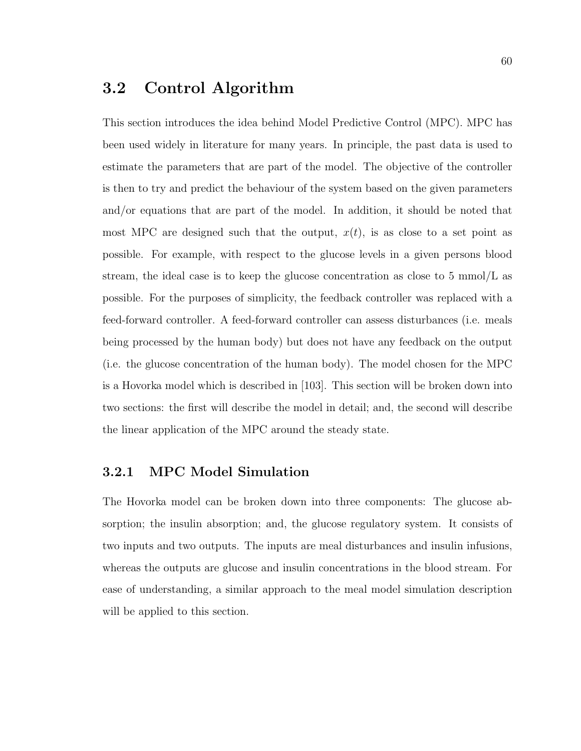### 3.2 Control Algorithm

This section introduces the idea behind Model Predictive Control (MPC). MPC has been used widely in literature for many years. In principle, the past data is used to estimate the parameters that are part of the model. The objective of the controller is then to try and predict the behaviour of the system based on the given parameters and/or equations that are part of the model. In addition, it should be noted that most MPC are designed such that the output,  $x(t)$ , is as close to a set point as possible. For example, with respect to the glucose levels in a given persons blood stream, the ideal case is to keep the glucose concentration as close to 5 mmol/L as possible. For the purposes of simplicity, the feedback controller was replaced with a feed-forward controller. A feed-forward controller can assess disturbances (i.e. meals being processed by the human body) but does not have any feedback on the output (i.e. the glucose concentration of the human body). The model chosen for the MPC is a Hovorka model which is described in [103]. This section will be broken down into two sections: the first will describe the model in detail; and, the second will describe the linear application of the MPC around the steady state.

#### 3.2.1 MPC Model Simulation

The Hovorka model can be broken down into three components: The glucose absorption; the insulin absorption; and, the glucose regulatory system. It consists of two inputs and two outputs. The inputs are meal disturbances and insulin infusions, whereas the outputs are glucose and insulin concentrations in the blood stream. For ease of understanding, a similar approach to the meal model simulation description will be applied to this section.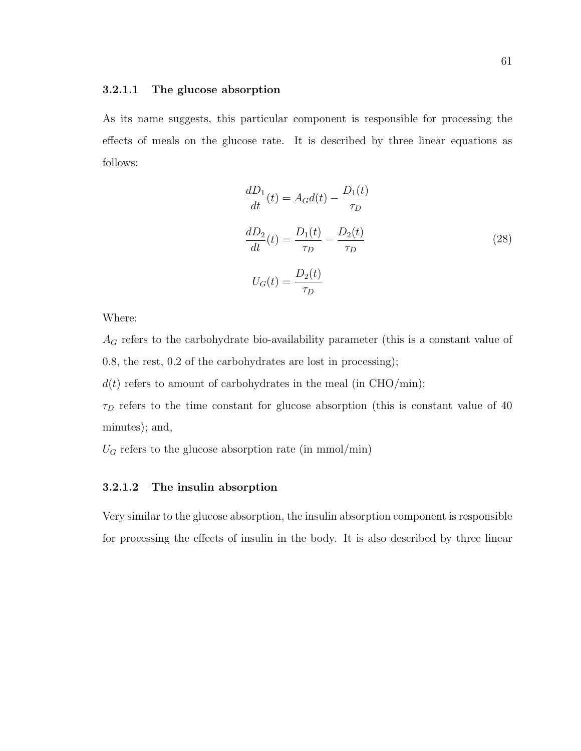#### 3.2.1.1 The glucose absorption

As its name suggests, this particular component is responsible for processing the effects of meals on the glucose rate. It is described by three linear equations as follows:

$$
\frac{dD_1}{dt}(t) = A_G d(t) - \frac{D_1(t)}{\tau_D}
$$
\n
$$
\frac{dD_2}{dt}(t) = \frac{D_1(t)}{\tau_D} - \frac{D_2(t)}{\tau_D}
$$
\n
$$
U_G(t) = \frac{D_2(t)}{\tau_D}
$$
\n(28)

Where:

 $A_G$  refers to the carbohydrate bio-availability parameter (this is a constant value of 0.8, the rest, 0.2 of the carbohydrates are lost in processing);

 $d(t)$  refers to amount of carbohydrates in the meal (in CHO/min);

 $\tau_D$  refers to the time constant for glucose absorption (this is constant value of 40 minutes); and,

 $U_G$  refers to the glucose absorption rate (in mmol/min)

#### 3.2.1.2 The insulin absorption

Very similar to the glucose absorption, the insulin absorption component is responsible for processing the effects of insulin in the body. It is also described by three linear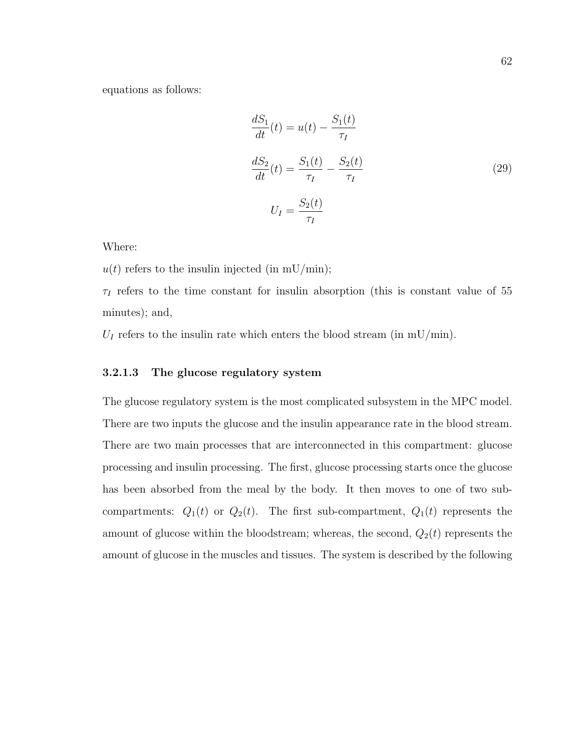equations as follows:

$$
\frac{dS_1}{dt}(t) = u(t) - \frac{S_1(t)}{\tau_I}
$$
\n
$$
\frac{dS_2}{dt}(t) = \frac{S_1(t)}{\tau_I} - \frac{S_2(t)}{\tau_I}
$$
\n
$$
U_I = \frac{S_2(t)}{\tau_I}
$$
\n(29)

Where:

 $u(t)$  refers to the insulin injected (in mU/min);

 $\tau_I$  refers to the time constant for insulin absorption (this is constant value of 55 minutes); and,

 $U_I$  refers to the insulin rate which enters the blood stream (in mU/min).

#### 3.2.1.3 The glucose regulatory system

The glucose regulatory system is the most complicated subsystem in the MPC model. There are two inputs the glucose and the insulin appearance rate in the blood stream. There are two main processes that are interconnected in this compartment: glucose processing and insulin processing. The first, glucose processing starts once the glucose has been absorbed from the meal by the body. It then moves to one of two subcompartments:  $Q_1(t)$  or  $Q_2(t)$ . The first sub-compartment,  $Q_1(t)$  represents the amount of glucose within the bloodstream; whereas, the second,  $Q_2(t)$  represents the amount of glucose in the muscles and tissues. The system is described by the following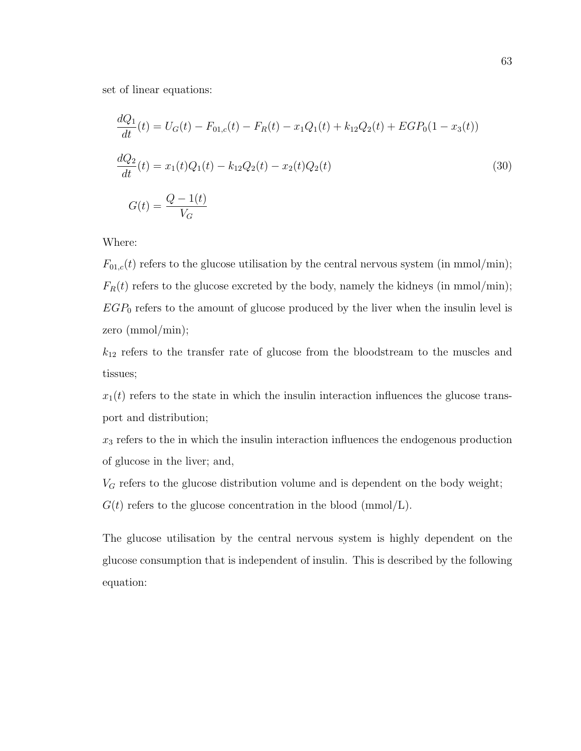set of linear equations:

$$
\frac{dQ_1}{dt}(t) = U_G(t) - F_{01,c}(t) - F_R(t) - x_1Q_1(t) + k_{12}Q_2(t) + EGP_0(1 - x_3(t))
$$
\n
$$
\frac{dQ_2}{dt}(t) = x_1(t)Q_1(t) - k_{12}Q_2(t) - x_2(t)Q_2(t)
$$
\n
$$
G(t) = \frac{Q - 1(t)}{V_G}
$$
\n(30)

Where:

 $F_{01,c}(t)$  refers to the glucose utilisation by the central nervous system (in mmol/min);  $F_R(t)$  refers to the glucose excreted by the body, namely the kidneys (in mmol/min);  $EGP_0$  refers to the amount of glucose produced by the liver when the insulin level is zero (mmol/min);

 $k_{12}$  refers to the transfer rate of glucose from the bloodstream to the muscles and tissues;

 $x_1(t)$  refers to the state in which the insulin interaction influences the glucose transport and distribution;

 $x_3$  refers to the in which the insulin interaction influences the endogenous production of glucose in the liver; and,

 $V_G$  refers to the glucose distribution volume and is dependent on the body weight;

 $G(t)$  refers to the glucose concentration in the blood (mmol/L).

The glucose utilisation by the central nervous system is highly dependent on the glucose consumption that is independent of insulin. This is described by the following equation: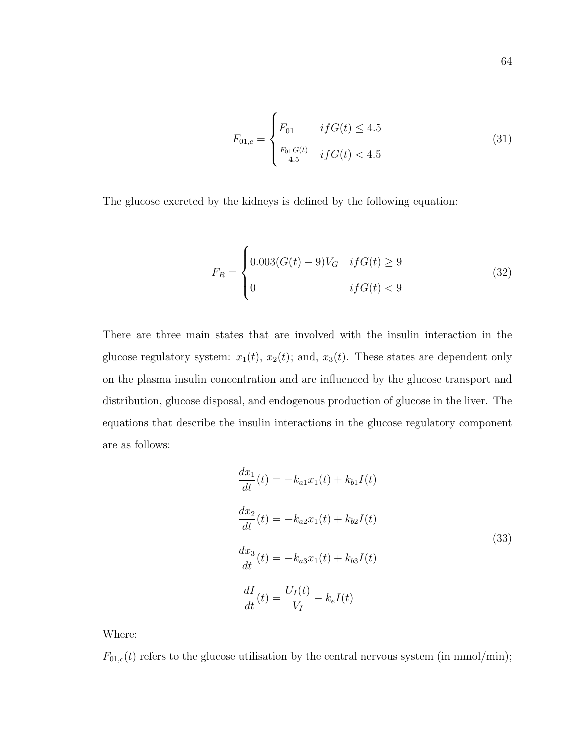$$
F_{01,c} = \begin{cases} F_{01} & if G(t) \le 4.5\\ \frac{F_{01}G(t)}{4.5} & if G(t) < 4.5 \end{cases}
$$
(31)

The glucose excreted by the kidneys is defined by the following equation:

$$
F_R = \begin{cases} 0.003(G(t) - 9)V_G & if G(t) \ge 9\\ 0 & if G(t) < 9 \end{cases}
$$
(32)

There are three main states that are involved with the insulin interaction in the glucose regulatory system:  $x_1(t)$ ,  $x_2(t)$ ; and,  $x_3(t)$ . These states are dependent only on the plasma insulin concentration and are influenced by the glucose transport and distribution, glucose disposal, and endogenous production of glucose in the liver. The equations that describe the insulin interactions in the glucose regulatory component are as follows:

$$
\frac{dx_1}{dt}(t) = -k_{a1}x_1(t) + k_{b1}I(t)
$$
\n
$$
\frac{dx_2}{dt}(t) = -k_{a2}x_1(t) + k_{b2}I(t)
$$
\n
$$
\frac{dx_3}{dt}(t) = -k_{a3}x_1(t) + k_{b3}I(t)
$$
\n
$$
\frac{dI}{dt}(t) = \frac{U_I(t)}{V_I} - k_eI(t)
$$
\n(33)

Where:

 $F_{01,c}(t)$  refers to the glucose utilisation by the central nervous system (in mmol/min);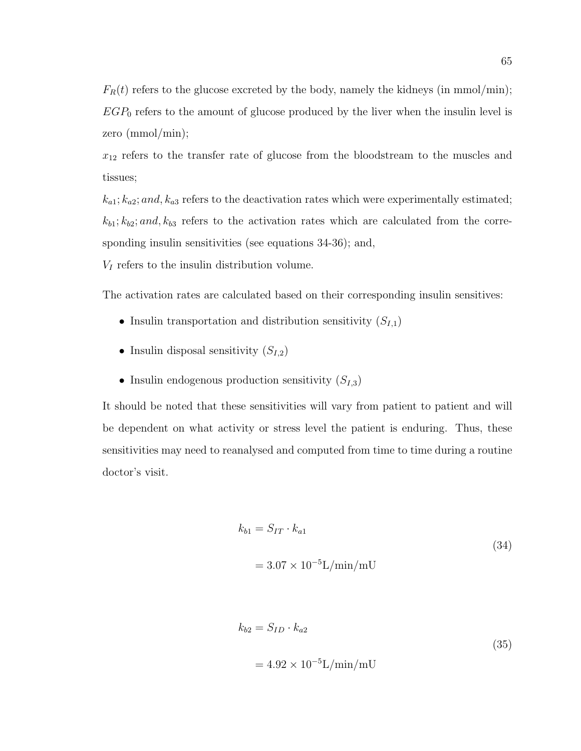$F_R(t)$  refers to the glucose excreted by the body, namely the kidneys (in mmol/min);  $EGP_0$  refers to the amount of glucose produced by the liver when the insulin level is zero (mmol/min);

 $x_{12}$  refers to the transfer rate of glucose from the bloodstream to the muscles and tissues;

 $k_{a1}$ ;  $k_{a2}$ ; and,  $k_{a3}$  refers to the deactivation rates which were experimentally estimated;  $k_{b1}; k_{b2}; and, k_{b3}$  refers to the activation rates which are calculated from the corresponding insulin sensitivities (see equations 34-36); and,

 $V_I$  refers to the insulin distribution volume.

The activation rates are calculated based on their corresponding insulin sensitives:

- Insulin transportation and distribution sensitivity  $(S_{I,1})$
- Insulin disposal sensitivity  $(S_{I,2})$
- Insulin endogenous production sensitivity  $(S_{I,3})$

It should be noted that these sensitivities will vary from patient to patient and will be dependent on what activity or stress level the patient is enduring. Thus, these sensitivities may need to reanalysed and computed from time to time during a routine doctor's visit.

$$
k_{b1} = S_{IT} \cdot k_{a1}
$$
  
= 3.07 × 10<sup>-5</sup>L/min/mU (34)

$$
k_{b2} = S_{ID} \cdot k_{a2}
$$
  
= 4.92 × 10<sup>-5</sup>L/min/mU (35)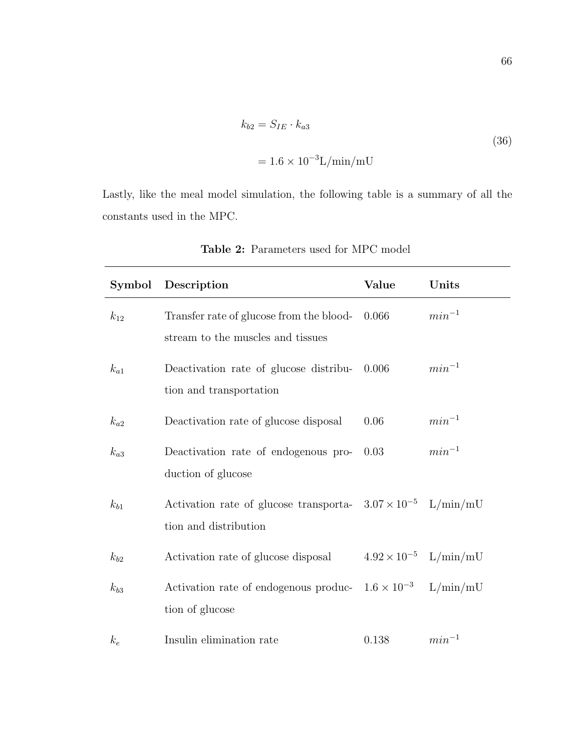$$
k_{b2} = S_{IE} \cdot k_{a3}
$$
  
= 1.6 × 10<sup>-3</sup>L/min/mU (36)

Lastly, like the meal model simulation, the following table is a summary of all the constants used in the MPC.

|          | Symbol Description                                                                             | Value | Units                          |
|----------|------------------------------------------------------------------------------------------------|-------|--------------------------------|
| $k_{12}$ | Transfer rate of glucose from the blood-<br>stream to the muscles and tissues                  | 0.066 | $min^{-1}$                     |
| $k_{a1}$ | Deactivation rate of glucose distribu-<br>tion and transportation                              | 0.006 | $min^{-1}$                     |
| $k_{a2}$ | Deactivation rate of glucose disposal                                                          | 0.06  | $min^{-1}$                     |
| $k_{a3}$ | Deactivation rate of endogenous pro-<br>duction of glucose                                     | 0.03  | $min^{-1}$                     |
| $k_{b1}$ | Activation rate of glucose transporta- $3.07 \times 10^{-5}$ L/min/mU<br>tion and distribution |       |                                |
| $k_{b2}$ | Activation rate of glucose disposal                                                            |       | $4.92 \times 10^{-5}$ L/min/mU |
| $k_{b3}$ | Activation rate of endogenous produc- $1.6 \times 10^{-3}$ L/min/mU<br>tion of glucose         |       |                                |
| $k_e$    | Insulin elimination rate                                                                       | 0.138 | $min^{-1}$                     |

Table 2: Parameters used for MPC model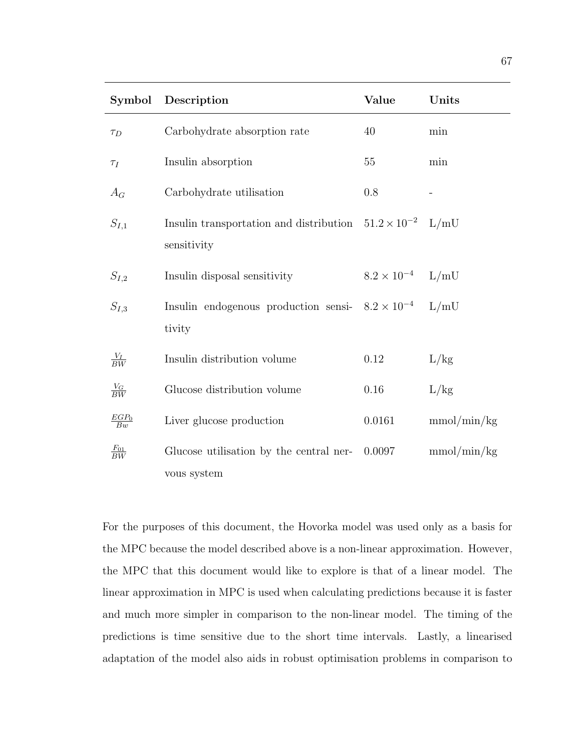| Symbol             | Description                                                                       | Value                | Units       |
|--------------------|-----------------------------------------------------------------------------------|----------------------|-------------|
| $\tau_D$           | Carbohydrate absorption rate                                                      | 40                   | min         |
| $\tau_I$           | Insulin absorption                                                                | 55                   | min         |
| $A_G$              | Carbohydrate utilisation                                                          | 0.8                  |             |
| $S_{I,1}$          | Insulin transportation and distribution $51.2 \times 10^{-2}$ L/mU<br>sensitivity |                      |             |
| $S_{I,2}$          | Insulin disposal sensitivity                                                      | $8.2 \times 10^{-4}$ | L/mU        |
| $S_{I,3}$          | Insulin endogenous production sensi- $8.2 \times 10^{-4}$<br>tivity               |                      | L/mU        |
| $\frac{V_I}{BW}$   | Insulin distribution volume                                                       | 0.12                 | L/kg        |
| $\frac{V_G}{BW}$   | Glucose distribution volume                                                       | 0.16                 | L/kg        |
| $\frac{EGP_0}{Bw}$ | Liver glucose production                                                          | 0.0161               | mmol/min/kg |
| $rac{F_{01}}{BW}$  | Glucose utilisation by the central ner-                                           | 0.0097               | mmol/min/kg |
|                    | vous system                                                                       |                      |             |

For the purposes of this document, the Hovorka model was used only as a basis for the MPC because the model described above is a non-linear approximation. However, the MPC that this document would like to explore is that of a linear model. The linear approximation in MPC is used when calculating predictions because it is faster and much more simpler in comparison to the non-linear model. The timing of the predictions is time sensitive due to the short time intervals. Lastly, a linearised adaptation of the model also aids in robust optimisation problems in comparison to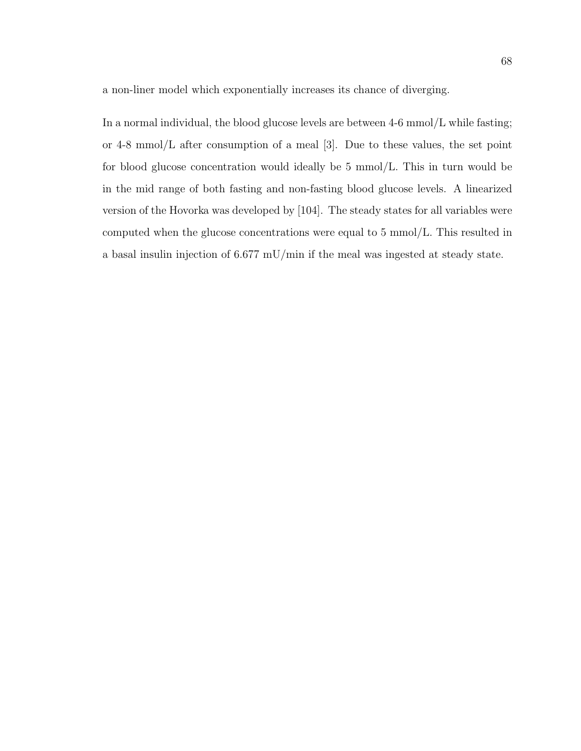a non-liner model which exponentially increases its chance of diverging.

In a normal individual, the blood glucose levels are between  $4-6$  mmol/L while fasting; or 4-8 mmol/L after consumption of a meal [3]. Due to these values, the set point for blood glucose concentration would ideally be 5 mmol/L. This in turn would be in the mid range of both fasting and non-fasting blood glucose levels. A linearized version of the Hovorka was developed by [104]. The steady states for all variables were computed when the glucose concentrations were equal to 5 mmol/L. This resulted in a basal insulin injection of 6.677 mU/min if the meal was ingested at steady state.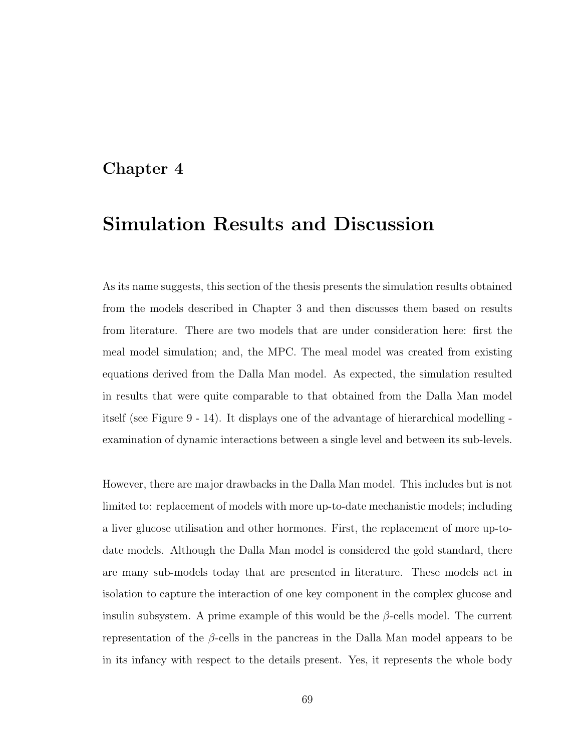### Chapter 4

# Simulation Results and Discussion

As its name suggests, this section of the thesis presents the simulation results obtained from the models described in Chapter 3 and then discusses them based on results from literature. There are two models that are under consideration here: first the meal model simulation; and, the MPC. The meal model was created from existing equations derived from the Dalla Man model. As expected, the simulation resulted in results that were quite comparable to that obtained from the Dalla Man model itself (see Figure 9 - 14). It displays one of the advantage of hierarchical modelling examination of dynamic interactions between a single level and between its sub-levels.

However, there are major drawbacks in the Dalla Man model. This includes but is not limited to: replacement of models with more up-to-date mechanistic models; including a liver glucose utilisation and other hormones. First, the replacement of more up-todate models. Although the Dalla Man model is considered the gold standard, there are many sub-models today that are presented in literature. These models act in isolation to capture the interaction of one key component in the complex glucose and insulin subsystem. A prime example of this would be the  $\beta$ -cells model. The current representation of the  $\beta$ -cells in the pancreas in the Dalla Man model appears to be in its infancy with respect to the details present. Yes, it represents the whole body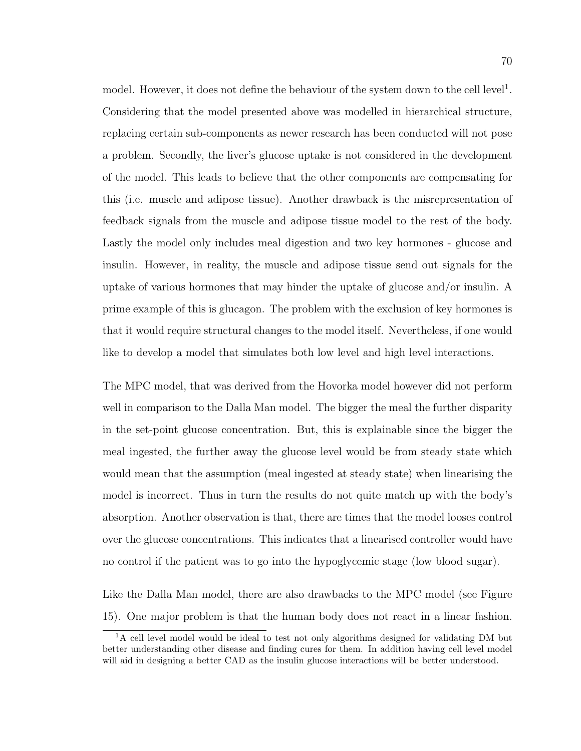model. However, it does not define the behaviour of the system down to the cell level<sup>1</sup>. Considering that the model presented above was modelled in hierarchical structure, replacing certain sub-components as newer research has been conducted will not pose a problem. Secondly, the liver's glucose uptake is not considered in the development of the model. This leads to believe that the other components are compensating for this (i.e. muscle and adipose tissue). Another drawback is the misrepresentation of feedback signals from the muscle and adipose tissue model to the rest of the body. Lastly the model only includes meal digestion and two key hormones - glucose and insulin. However, in reality, the muscle and adipose tissue send out signals for the uptake of various hormones that may hinder the uptake of glucose and/or insulin. A prime example of this is glucagon. The problem with the exclusion of key hormones is that it would require structural changes to the model itself. Nevertheless, if one would like to develop a model that simulates both low level and high level interactions.

The MPC model, that was derived from the Hovorka model however did not perform well in comparison to the Dalla Man model. The bigger the meal the further disparity in the set-point glucose concentration. But, this is explainable since the bigger the meal ingested, the further away the glucose level would be from steady state which would mean that the assumption (meal ingested at steady state) when linearising the model is incorrect. Thus in turn the results do not quite match up with the body's absorption. Another observation is that, there are times that the model looses control over the glucose concentrations. This indicates that a linearised controller would have no control if the patient was to go into the hypoglycemic stage (low blood sugar).

Like the Dalla Man model, there are also drawbacks to the MPC model (see Figure 15). One major problem is that the human body does not react in a linear fashion.

 ${}^{1}$ A cell level model would be ideal to test not only algorithms designed for validating DM but better understanding other disease and finding cures for them. In addition having cell level model will aid in designing a better CAD as the insulin glucose interactions will be better understood.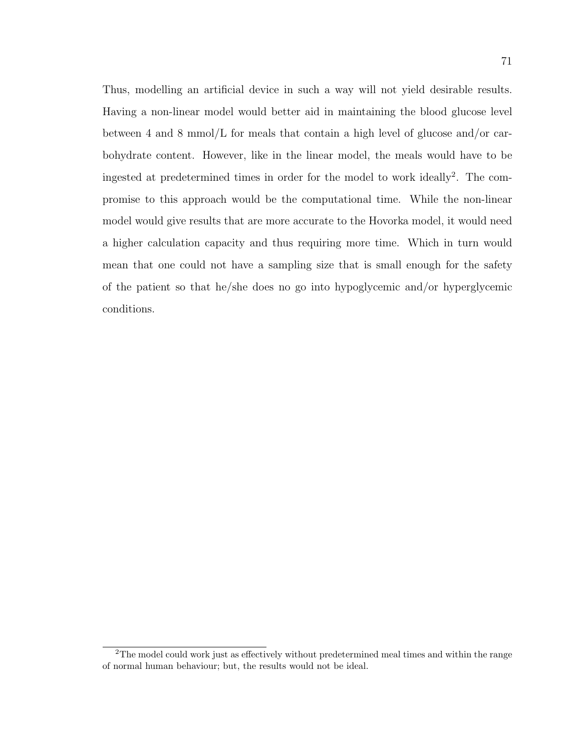Thus, modelling an artificial device in such a way will not yield desirable results. Having a non-linear model would better aid in maintaining the blood glucose level between 4 and 8 mmol/L for meals that contain a high level of glucose and/or carbohydrate content. However, like in the linear model, the meals would have to be ingested at predetermined times in order for the model to work ideally<sup>2</sup>. The compromise to this approach would be the computational time. While the non-linear model would give results that are more accurate to the Hovorka model, it would need a higher calculation capacity and thus requiring more time. Which in turn would mean that one could not have a sampling size that is small enough for the safety of the patient so that he/she does no go into hypoglycemic and/or hyperglycemic conditions.

<sup>&</sup>lt;sup>2</sup>The model could work just as effectively without predetermined meal times and within the range of normal human behaviour; but, the results would not be ideal.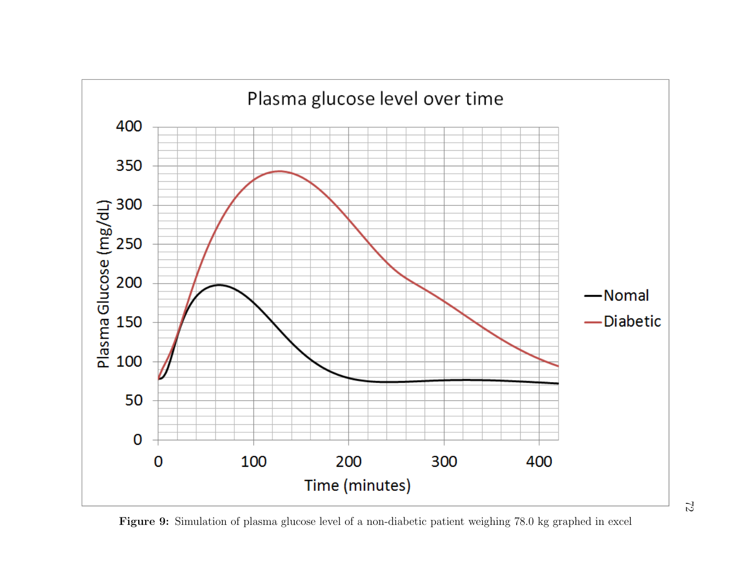

Figure 9: Simulation of plasma glucose level of a non-diabetic patient weighing 78.0 kg graphed in excel

72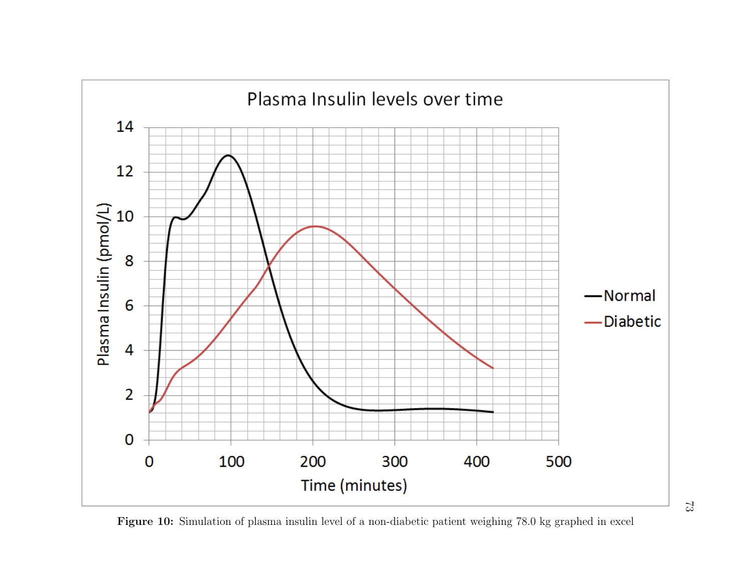

Figure 10: Simulation of <sup>p</sup>lasma insulin level of <sup>a</sup> non-diabetic patient weighing 78.0 kg graphed in excel

73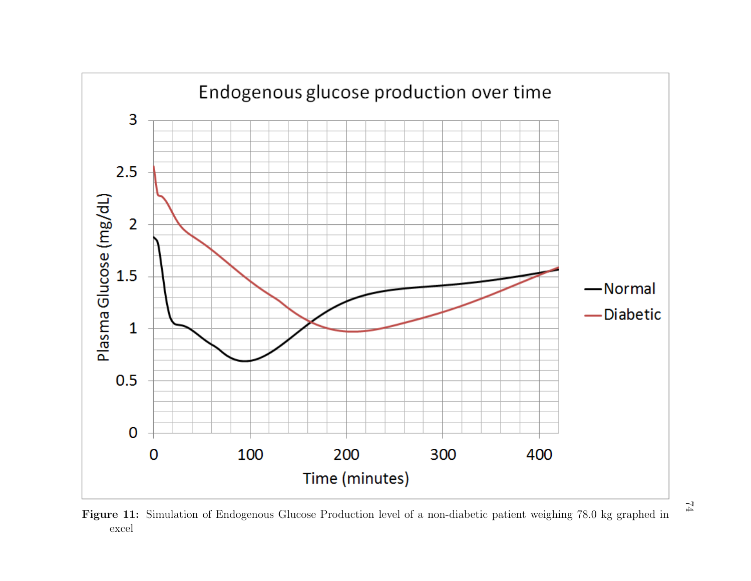

Figure 11: Simulation of Endogenous Glucose Production level of a non-diabetic patient weighing 78.0 kg graphed in excel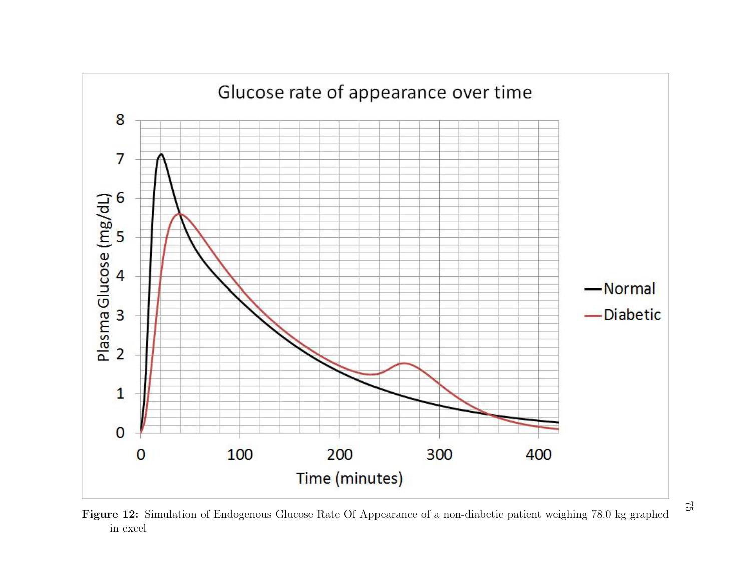

Figure 12: Simulation of Endogenous Glucose Rate Of Appearance of a non-diabetic patient weighing 78.0 kg graphed in excel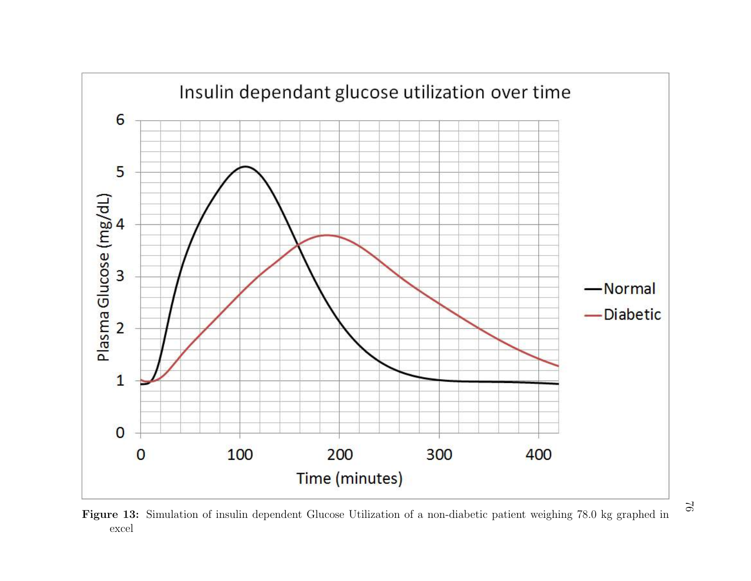

Figure 13: Simulation of insulin dependent Glucose Utilization of a non-diabetic patient weighing 78.0 kg graphed in excel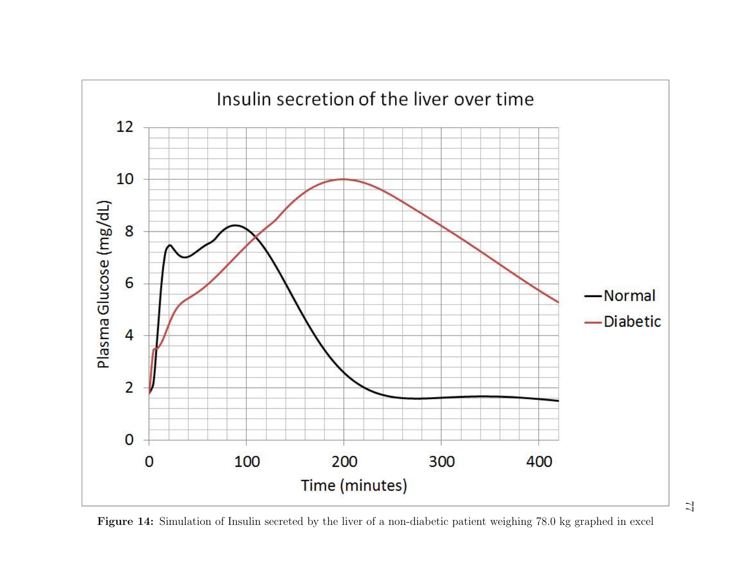

Figure 14: Simulation of Insulin secreted by the liver of <sup>a</sup> non-diabetic patient weighing 78.0 kg graphed in excel

 $\mathcal{I}$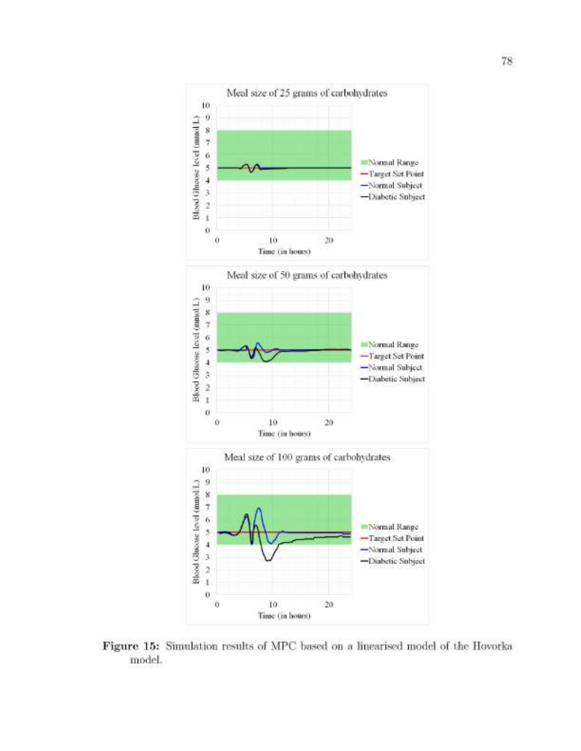

Figure 15: Simulation results of MPC based on a linearised model of the Hovorka model.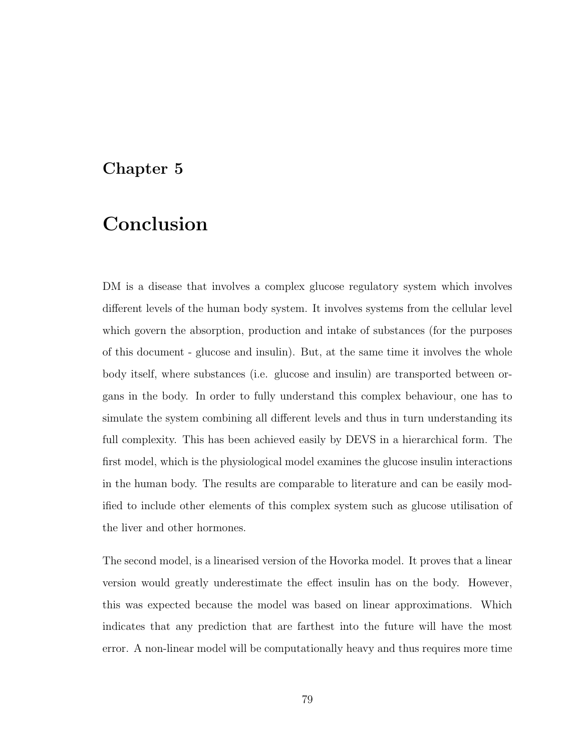### Chapter 5

## Conclusion

DM is a disease that involves a complex glucose regulatory system which involves different levels of the human body system. It involves systems from the cellular level which govern the absorption, production and intake of substances (for the purposes of this document - glucose and insulin). But, at the same time it involves the whole body itself, where substances (i.e. glucose and insulin) are transported between organs in the body. In order to fully understand this complex behaviour, one has to simulate the system combining all different levels and thus in turn understanding its full complexity. This has been achieved easily by DEVS in a hierarchical form. The first model, which is the physiological model examines the glucose insulin interactions in the human body. The results are comparable to literature and can be easily modified to include other elements of this complex system such as glucose utilisation of the liver and other hormones.

The second model, is a linearised version of the Hovorka model. It proves that a linear version would greatly underestimate the effect insulin has on the body. However, this was expected because the model was based on linear approximations. Which indicates that any prediction that are farthest into the future will have the most error. A non-linear model will be computationally heavy and thus requires more time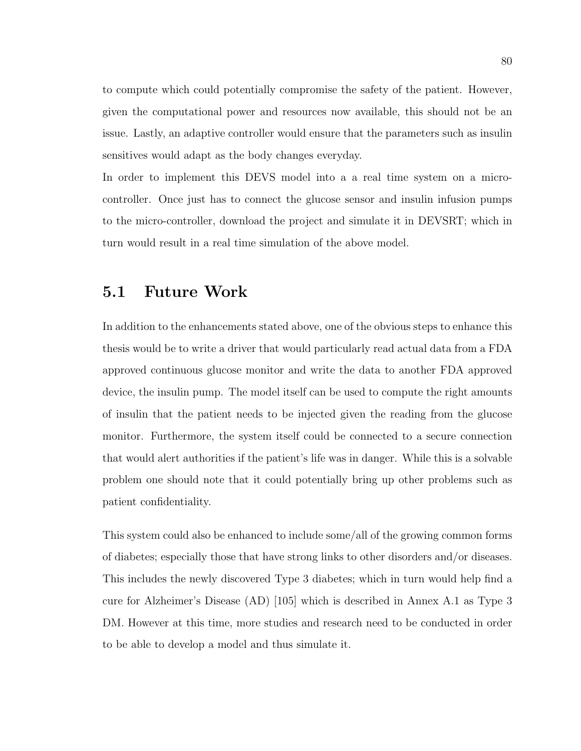to compute which could potentially compromise the safety of the patient. However, given the computational power and resources now available, this should not be an issue. Lastly, an adaptive controller would ensure that the parameters such as insulin sensitives would adapt as the body changes everyday.

In order to implement this DEVS model into a a real time system on a microcontroller. Once just has to connect the glucose sensor and insulin infusion pumps to the micro-controller, download the project and simulate it in DEVSRT; which in turn would result in a real time simulation of the above model.

### 5.1 Future Work

In addition to the enhancements stated above, one of the obvious steps to enhance this thesis would be to write a driver that would particularly read actual data from a FDA approved continuous glucose monitor and write the data to another FDA approved device, the insulin pump. The model itself can be used to compute the right amounts of insulin that the patient needs to be injected given the reading from the glucose monitor. Furthermore, the system itself could be connected to a secure connection that would alert authorities if the patient's life was in danger. While this is a solvable problem one should note that it could potentially bring up other problems such as patient confidentiality.

This system could also be enhanced to include some/all of the growing common forms of diabetes; especially those that have strong links to other disorders and/or diseases. This includes the newly discovered Type 3 diabetes; which in turn would help find a cure for Alzheimer's Disease (AD) [105] which is described in Annex A.1 as Type 3 DM. However at this time, more studies and research need to be conducted in order to be able to develop a model and thus simulate it.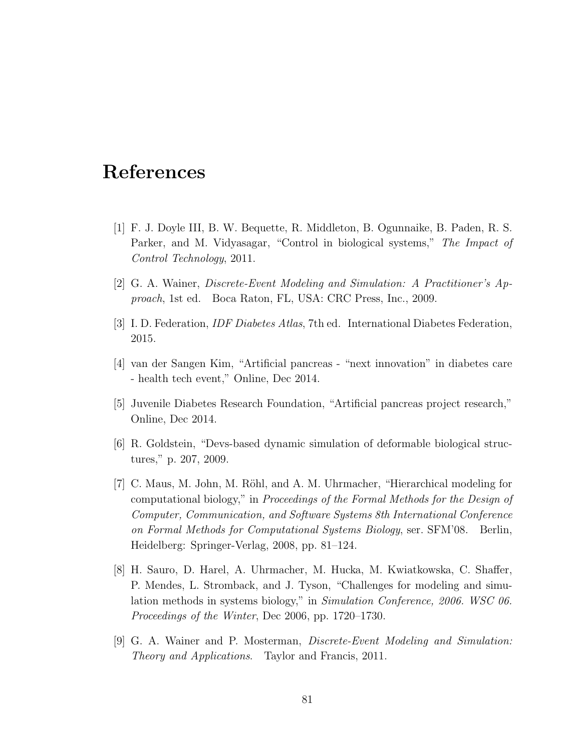## References

- [1] F. J. Doyle III, B. W. Bequette, R. Middleton, B. Ogunnaike, B. Paden, R. S. Parker, and M. Vidyasagar, "Control in biological systems," *The Impact of Control Technology*, 2011.
- [2] G. A. Wainer, *Discrete-Event Modeling and Simulation: A Practitioner's Approach*, 1st ed. Boca Raton, FL, USA: CRC Press, Inc., 2009.
- [3] I. D. Federation, *IDF Diabetes Atlas*, 7th ed. International Diabetes Federation, 2015.
- [4] van der Sangen Kim, "Artificial pancreas "next innovation" in diabetes care - health tech event," Online, Dec 2014.
- [5] Juvenile Diabetes Research Foundation, "Artificial pancreas project research," Online, Dec 2014.
- [6] R. Goldstein, "Devs-based dynamic simulation of deformable biological structures," p. 207, 2009.
- [7] C. Maus, M. John, M. Röhl, and A. M. Uhrmacher, "Hierarchical modeling for computational biology," in *Proceedings of the Formal Methods for the Design of Computer, Communication, and Software Systems 8th International Conference on Formal Methods for Computational Systems Biology*, ser. SFM'08. Berlin, Heidelberg: Springer-Verlag, 2008, pp. 81–124.
- [8] H. Sauro, D. Harel, A. Uhrmacher, M. Hucka, M. Kwiatkowska, C. Shaffer, P. Mendes, L. Stromback, and J. Tyson, "Challenges for modeling and simulation methods in systems biology," in *Simulation Conference, 2006. WSC 06. Proceedings of the Winter*, Dec 2006, pp. 1720–1730.
- [9] G. A. Wainer and P. Mosterman, *Discrete-Event Modeling and Simulation: Theory and Applications*. Taylor and Francis, 2011.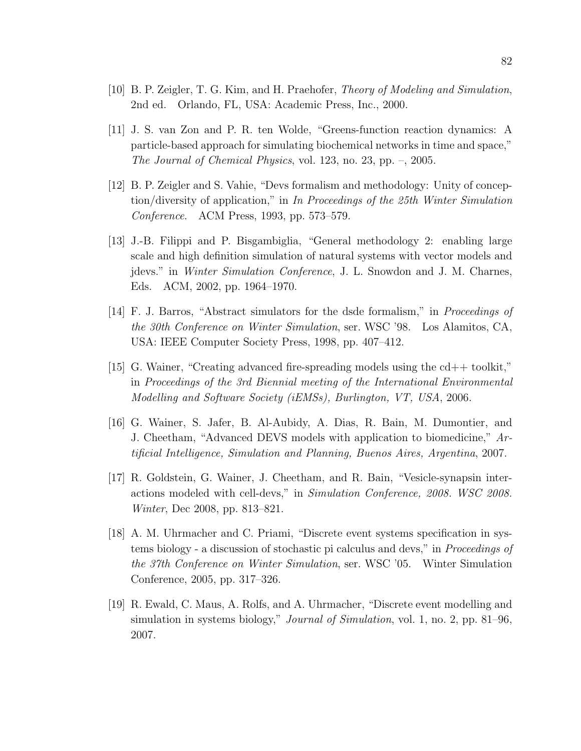- [10] B. P. Zeigler, T. G. Kim, and H. Praehofer, *Theory of Modeling and Simulation*, 2nd ed. Orlando, FL, USA: Academic Press, Inc., 2000.
- [11] J. S. van Zon and P. R. ten Wolde, "Greens-function reaction dynamics: A particle-based approach for simulating biochemical networks in time and space," *The Journal of Chemical Physics*, vol. 123, no. 23, pp. –, 2005.
- [12] B. P. Zeigler and S. Vahie, "Devs formalism and methodology: Unity of conception/diversity of application," in *In Proceedings of the 25th Winter Simulation Conference*. ACM Press, 1993, pp. 573–579.
- [13] J.-B. Filippi and P. Bisgambiglia, "General methodology 2: enabling large scale and high definition simulation of natural systems with vector models and jdevs." in *Winter Simulation Conference*, J. L. Snowdon and J. M. Charnes, Eds. ACM, 2002, pp. 1964–1970.
- [14] F. J. Barros, "Abstract simulators for the dsde formalism," in *Proceedings of the 30th Conference on Winter Simulation*, ser. WSC '98. Los Alamitos, CA, USA: IEEE Computer Society Press, 1998, pp. 407–412.
- [15] G. Wainer, "Creating advanced fire-spreading models using the cd++ toolkit," in *Proceedings of the 3rd Biennial meeting of the International Environmental Modelling and Software Society (iEMSs), Burlington, VT, USA*, 2006.
- [16] G. Wainer, S. Jafer, B. Al-Aubidy, A. Dias, R. Bain, M. Dumontier, and J. Cheetham, "Advanced DEVS models with application to biomedicine," *Artificial Intelligence, Simulation and Planning, Buenos Aires, Argentina*, 2007.
- [17] R. Goldstein, G. Wainer, J. Cheetham, and R. Bain, "Vesicle-synapsin interactions modeled with cell-devs," in *Simulation Conference, 2008. WSC 2008. Winter*, Dec 2008, pp. 813–821.
- [18] A. M. Uhrmacher and C. Priami, "Discrete event systems specification in systems biology - a discussion of stochastic pi calculus and devs," in *Proceedings of the 37th Conference on Winter Simulation*, ser. WSC '05. Winter Simulation Conference, 2005, pp. 317–326.
- [19] R. Ewald, C. Maus, A. Rolfs, and A. Uhrmacher, "Discrete event modelling and simulation in systems biology," *Journal of Simulation*, vol. 1, no. 2, pp. 81–96, 2007.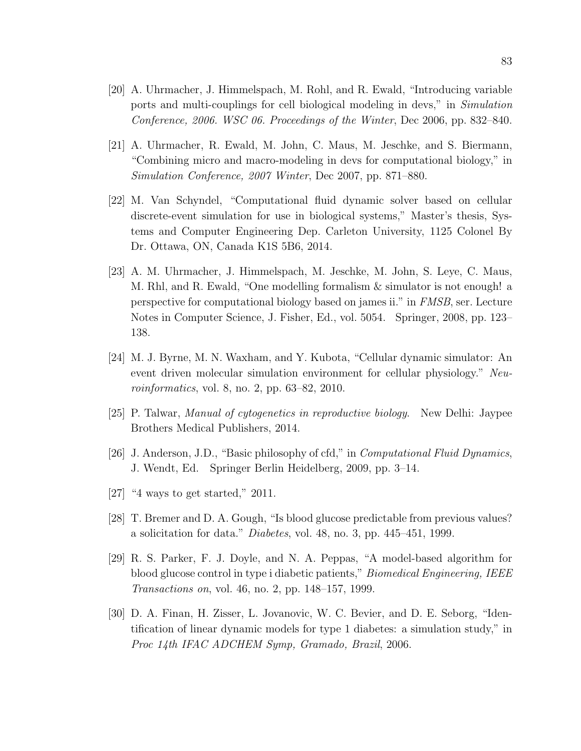- [20] A. Uhrmacher, J. Himmelspach, M. Rohl, and R. Ewald, "Introducing variable ports and multi-couplings for cell biological modeling in devs," in *Simulation Conference, 2006. WSC 06. Proceedings of the Winter*, Dec 2006, pp. 832–840.
- [21] A. Uhrmacher, R. Ewald, M. John, C. Maus, M. Jeschke, and S. Biermann, "Combining micro and macro-modeling in devs for computational biology," in *Simulation Conference, 2007 Winter*, Dec 2007, pp. 871–880.
- [22] M. Van Schyndel, "Computational fluid dynamic solver based on cellular discrete-event simulation for use in biological systems," Master's thesis, Systems and Computer Engineering Dep. Carleton University, 1125 Colonel By Dr. Ottawa, ON, Canada K1S 5B6, 2014.
- [23] A. M. Uhrmacher, J. Himmelspach, M. Jeschke, M. John, S. Leye, C. Maus, M. Rhl, and R. Ewald, "One modelling formalism & simulator is not enough! a perspective for computational biology based on james ii." in *FMSB*, ser. Lecture Notes in Computer Science, J. Fisher, Ed., vol. 5054. Springer, 2008, pp. 123– 138.
- [24] M. J. Byrne, M. N. Waxham, and Y. Kubota, "Cellular dynamic simulator: An event driven molecular simulation environment for cellular physiology." *Neuroinformatics*, vol. 8, no. 2, pp. 63–82, 2010.
- [25] P. Talwar, *Manual of cytogenetics in reproductive biology*. New Delhi: Jaypee Brothers Medical Publishers, 2014.
- [26] J. Anderson, J.D., "Basic philosophy of cfd," in *Computational Fluid Dynamics*, J. Wendt, Ed. Springer Berlin Heidelberg, 2009, pp. 3–14.
- [27] "4 ways to get started," 2011.
- [28] T. Bremer and D. A. Gough, "Is blood glucose predictable from previous values? a solicitation for data." *Diabetes*, vol. 48, no. 3, pp. 445–451, 1999.
- [29] R. S. Parker, F. J. Doyle, and N. A. Peppas, "A model-based algorithm for blood glucose control in type i diabetic patients," *Biomedical Engineering, IEEE Transactions on*, vol. 46, no. 2, pp. 148–157, 1999.
- [30] D. A. Finan, H. Zisser, L. Jovanovic, W. C. Bevier, and D. E. Seborg, "Identification of linear dynamic models for type 1 diabetes: a simulation study," in *Proc 14th IFAC ADCHEM Symp, Gramado, Brazil*, 2006.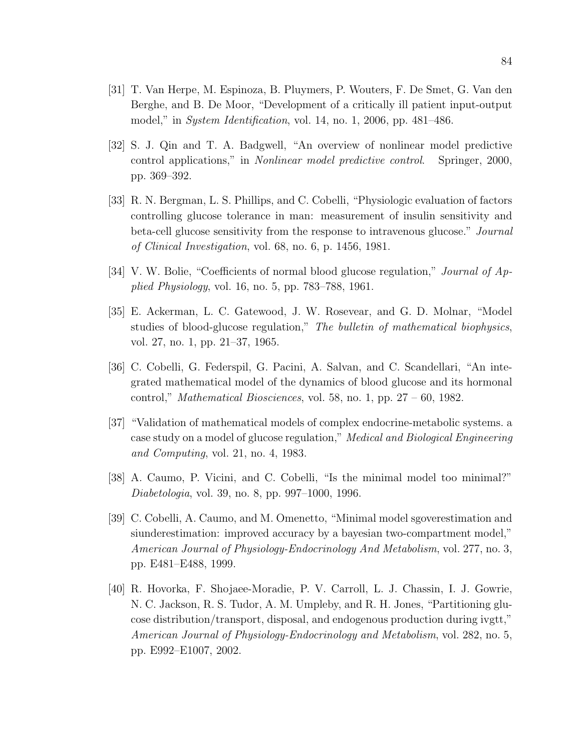- [31] T. Van Herpe, M. Espinoza, B. Pluymers, P. Wouters, F. De Smet, G. Van den Berghe, and B. De Moor, "Development of a critically ill patient input-output model," in *System Identification*, vol. 14, no. 1, 2006, pp. 481–486.
- [32] S. J. Qin and T. A. Badgwell, "An overview of nonlinear model predictive control applications," in *Nonlinear model predictive control*. Springer, 2000, pp. 369–392.
- [33] R. N. Bergman, L. S. Phillips, and C. Cobelli, "Physiologic evaluation of factors controlling glucose tolerance in man: measurement of insulin sensitivity and beta-cell glucose sensitivity from the response to intravenous glucose." *Journal of Clinical Investigation*, vol. 68, no. 6, p. 1456, 1981.
- [34] V. W. Bolie, "Coefficients of normal blood glucose regulation," *Journal of Applied Physiology*, vol. 16, no. 5, pp. 783–788, 1961.
- [35] E. Ackerman, L. C. Gatewood, J. W. Rosevear, and G. D. Molnar, "Model studies of blood-glucose regulation," *The bulletin of mathematical biophysics*, vol. 27, no. 1, pp. 21–37, 1965.
- [36] C. Cobelli, G. Federspil, G. Pacini, A. Salvan, and C. Scandellari, "An integrated mathematical model of the dynamics of blood glucose and its hormonal control," *Mathematical Biosciences*, vol. 58, no. 1, pp. 27 – 60, 1982.
- [37] "Validation of mathematical models of complex endocrine-metabolic systems. a case study on a model of glucose regulation," *Medical and Biological Engineering and Computing*, vol. 21, no. 4, 1983.
- [38] A. Caumo, P. Vicini, and C. Cobelli, "Is the minimal model too minimal?" *Diabetologia*, vol. 39, no. 8, pp. 997–1000, 1996.
- [39] C. Cobelli, A. Caumo, and M. Omenetto, "Minimal model sgoverestimation and siunderestimation: improved accuracy by a bayesian two-compartment model," *American Journal of Physiology-Endocrinology And Metabolism*, vol. 277, no. 3, pp. E481–E488, 1999.
- [40] R. Hovorka, F. Shojaee-Moradie, P. V. Carroll, L. J. Chassin, I. J. Gowrie, N. C. Jackson, R. S. Tudor, A. M. Umpleby, and R. H. Jones, "Partitioning glucose distribution/transport, disposal, and endogenous production during ivgtt," *American Journal of Physiology-Endocrinology and Metabolism*, vol. 282, no. 5, pp. E992–E1007, 2002.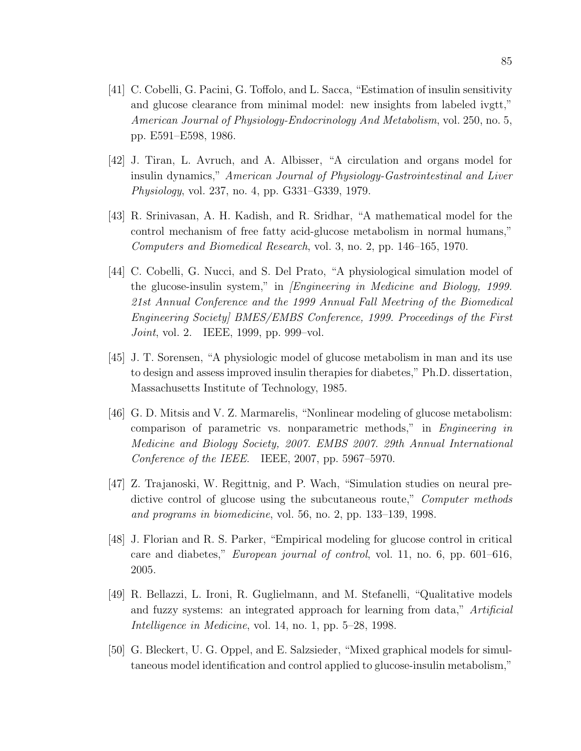- [41] C. Cobelli, G. Pacini, G. Toffolo, and L. Sacca, "Estimation of insulin sensitivity and glucose clearance from minimal model: new insights from labeled ivgtt," *American Journal of Physiology-Endocrinology And Metabolism*, vol. 250, no. 5, pp. E591–E598, 1986.
- [42] J. Tiran, L. Avruch, and A. Albisser, "A circulation and organs model for insulin dynamics," *American Journal of Physiology-Gastrointestinal and Liver Physiology*, vol. 237, no. 4, pp. G331–G339, 1979.
- [43] R. Srinivasan, A. H. Kadish, and R. Sridhar, "A mathematical model for the control mechanism of free fatty acid-glucose metabolism in normal humans," *Computers and Biomedical Research*, vol. 3, no. 2, pp. 146–165, 1970.
- [44] C. Cobelli, G. Nucci, and S. Del Prato, "A physiological simulation model of the glucose-insulin system," in *[Engineering in Medicine and Biology, 1999. 21st Annual Conference and the 1999 Annual Fall Meetring of the Biomedical Engineering Society] BMES/EMBS Conference, 1999. Proceedings of the First Joint*, vol. 2. IEEE, 1999, pp. 999–vol.
- [45] J. T. Sorensen, "A physiologic model of glucose metabolism in man and its use to design and assess improved insulin therapies for diabetes," Ph.D. dissertation, Massachusetts Institute of Technology, 1985.
- [46] G. D. Mitsis and V. Z. Marmarelis, "Nonlinear modeling of glucose metabolism: comparison of parametric vs. nonparametric methods," in *Engineering in Medicine and Biology Society, 2007. EMBS 2007. 29th Annual International Conference of the IEEE*. IEEE, 2007, pp. 5967–5970.
- [47] Z. Trajanoski, W. Regittnig, and P. Wach, "Simulation studies on neural predictive control of glucose using the subcutaneous route," *Computer methods and programs in biomedicine*, vol. 56, no. 2, pp. 133–139, 1998.
- [48] J. Florian and R. S. Parker, "Empirical modeling for glucose control in critical care and diabetes," *European journal of control*, vol. 11, no. 6, pp. 601–616, 2005.
- [49] R. Bellazzi, L. Ironi, R. Guglielmann, and M. Stefanelli, "Qualitative models and fuzzy systems: an integrated approach for learning from data," *Artificial Intelligence in Medicine*, vol. 14, no. 1, pp. 5–28, 1998.
- [50] G. Bleckert, U. G. Oppel, and E. Salzsieder, "Mixed graphical models for simultaneous model identification and control applied to glucose-insulin metabolism,"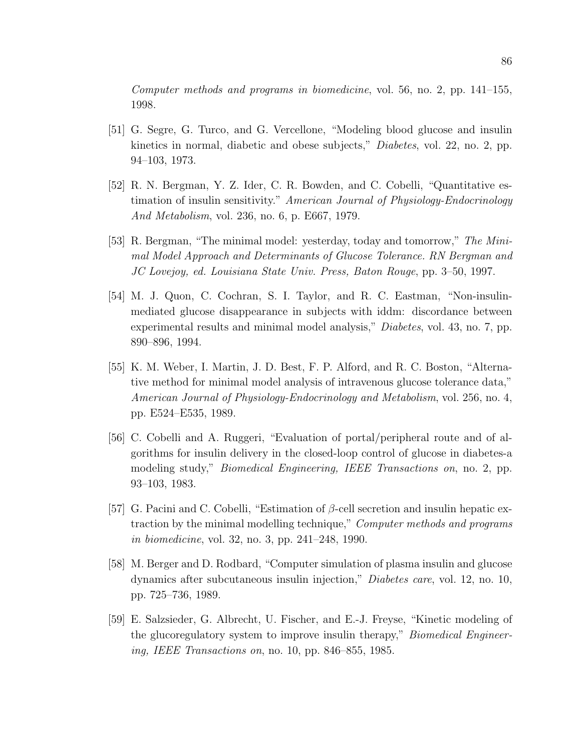*Computer methods and programs in biomedicine*, vol. 56, no. 2, pp. 141–155, 1998.

- [51] G. Segre, G. Turco, and G. Vercellone, "Modeling blood glucose and insulin kinetics in normal, diabetic and obese subjects," *Diabetes*, vol. 22, no. 2, pp. 94–103, 1973.
- [52] R. N. Bergman, Y. Z. Ider, C. R. Bowden, and C. Cobelli, "Quantitative estimation of insulin sensitivity." *American Journal of Physiology-Endocrinology And Metabolism*, vol. 236, no. 6, p. E667, 1979.
- [53] R. Bergman, "The minimal model: yesterday, today and tomorrow," *The Minimal Model Approach and Determinants of Glucose Tolerance. RN Bergman and JC Lovejoy, ed. Louisiana State Univ. Press, Baton Rouge*, pp. 3–50, 1997.
- [54] M. J. Quon, C. Cochran, S. I. Taylor, and R. C. Eastman, "Non-insulinmediated glucose disappearance in subjects with iddm: discordance between experimental results and minimal model analysis," *Diabetes*, vol. 43, no. 7, pp. 890–896, 1994.
- [55] K. M. Weber, I. Martin, J. D. Best, F. P. Alford, and R. C. Boston, "Alternative method for minimal model analysis of intravenous glucose tolerance data," *American Journal of Physiology-Endocrinology and Metabolism*, vol. 256, no. 4, pp. E524–E535, 1989.
- [56] C. Cobelli and A. Ruggeri, "Evaluation of portal/peripheral route and of algorithms for insulin delivery in the closed-loop control of glucose in diabetes-a modeling study," *Biomedical Engineering, IEEE Transactions on*, no. 2, pp. 93–103, 1983.
- [57] G. Pacini and C. Cobelli, "Estimation of  $\beta$ -cell secretion and insulin hepatic extraction by the minimal modelling technique," *Computer methods and programs in biomedicine*, vol. 32, no. 3, pp. 241–248, 1990.
- [58] M. Berger and D. Rodbard, "Computer simulation of plasma insulin and glucose dynamics after subcutaneous insulin injection," *Diabetes care*, vol. 12, no. 10, pp. 725–736, 1989.
- [59] E. Salzsieder, G. Albrecht, U. Fischer, and E.-J. Freyse, "Kinetic modeling of the glucoregulatory system to improve insulin therapy," *Biomedical Engineering, IEEE Transactions on*, no. 10, pp. 846–855, 1985.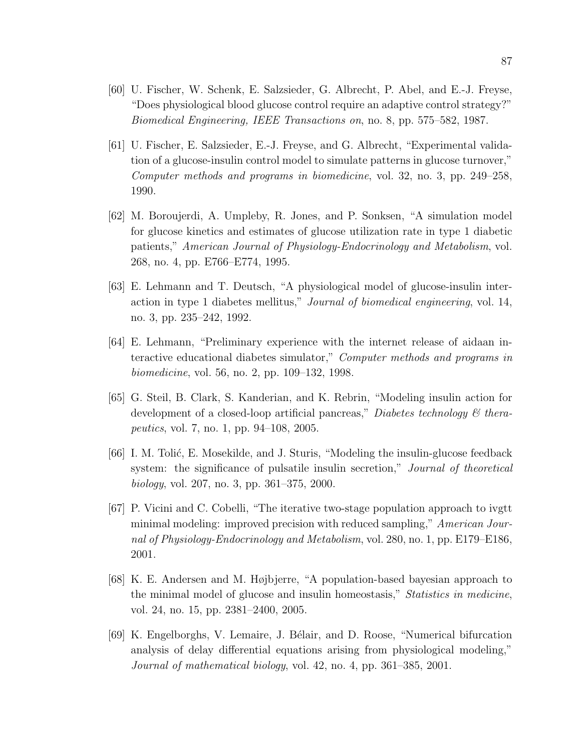- [60] U. Fischer, W. Schenk, E. Salzsieder, G. Albrecht, P. Abel, and E.-J. Freyse, "Does physiological blood glucose control require an adaptive control strategy?" *Biomedical Engineering, IEEE Transactions on*, no. 8, pp. 575–582, 1987.
- [61] U. Fischer, E. Salzsieder, E.-J. Freyse, and G. Albrecht, "Experimental validation of a glucose-insulin control model to simulate patterns in glucose turnover," *Computer methods and programs in biomedicine*, vol. 32, no. 3, pp. 249–258, 1990.
- [62] M. Boroujerdi, A. Umpleby, R. Jones, and P. Sonksen, "A simulation model for glucose kinetics and estimates of glucose utilization rate in type 1 diabetic patients," *American Journal of Physiology-Endocrinology and Metabolism*, vol. 268, no. 4, pp. E766–E774, 1995.
- [63] E. Lehmann and T. Deutsch, "A physiological model of glucose-insulin interaction in type 1 diabetes mellitus," *Journal of biomedical engineering*, vol. 14, no. 3, pp. 235–242, 1992.
- [64] E. Lehmann, "Preliminary experience with the internet release of aidaan interactive educational diabetes simulator," *Computer methods and programs in biomedicine*, vol. 56, no. 2, pp. 109–132, 1998.
- [65] G. Steil, B. Clark, S. Kanderian, and K. Rebrin, "Modeling insulin action for development of a closed-loop artificial pancreas," *Diabetes technology & therapeutics*, vol. 7, no. 1, pp. 94–108, 2005.
- [66] I. M. Tolić, E. Mosekilde, and J. Sturis, "Modeling the insulin-glucose feedback system: the significance of pulsatile insulin secretion," *Journal of theoretical biology*, vol. 207, no. 3, pp. 361–375, 2000.
- [67] P. Vicini and C. Cobelli, "The iterative two-stage population approach to ivgtt minimal modeling: improved precision with reduced sampling," *American Journal of Physiology-Endocrinology and Metabolism*, vol. 280, no. 1, pp. E179–E186, 2001.
- [68] K. E. Andersen and M. Højbjerre, "A population-based bayesian approach to the minimal model of glucose and insulin homeostasis," *Statistics in medicine*, vol. 24, no. 15, pp. 2381–2400, 2005.
- [69] K. Engelborghs, V. Lemaire, J. B´elair, and D. Roose, "Numerical bifurcation analysis of delay differential equations arising from physiological modeling," *Journal of mathematical biology*, vol. 42, no. 4, pp. 361–385, 2001.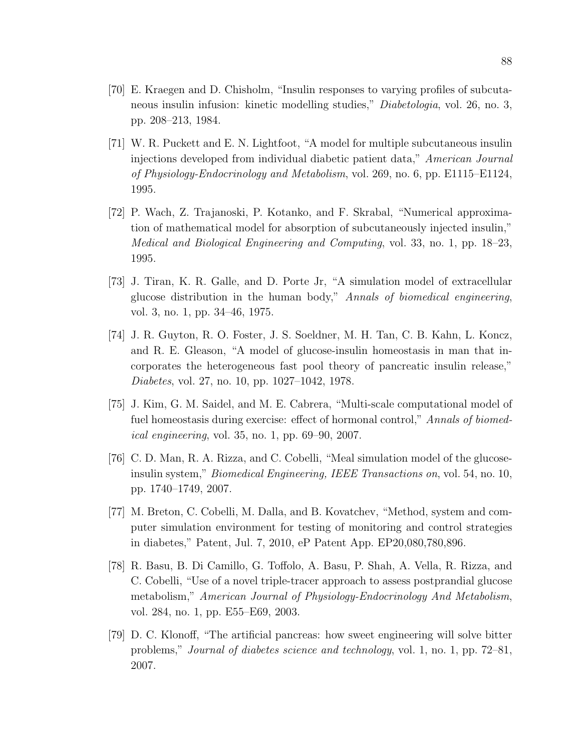- [70] E. Kraegen and D. Chisholm, "Insulin responses to varying profiles of subcutaneous insulin infusion: kinetic modelling studies," *Diabetologia*, vol. 26, no. 3, pp. 208–213, 1984.
- [71] W. R. Puckett and E. N. Lightfoot, "A model for multiple subcutaneous insulin injections developed from individual diabetic patient data," *American Journal of Physiology-Endocrinology and Metabolism*, vol. 269, no. 6, pp. E1115–E1124, 1995.
- [72] P. Wach, Z. Trajanoski, P. Kotanko, and F. Skrabal, "Numerical approximation of mathematical model for absorption of subcutaneously injected insulin," *Medical and Biological Engineering and Computing*, vol. 33, no. 1, pp. 18–23, 1995.
- [73] J. Tiran, K. R. Galle, and D. Porte Jr, "A simulation model of extracellular glucose distribution in the human body," *Annals of biomedical engineering*, vol. 3, no. 1, pp. 34–46, 1975.
- [74] J. R. Guyton, R. O. Foster, J. S. Soeldner, M. H. Tan, C. B. Kahn, L. Koncz, and R. E. Gleason, "A model of glucose-insulin homeostasis in man that incorporates the heterogeneous fast pool theory of pancreatic insulin release," *Diabetes*, vol. 27, no. 10, pp. 1027–1042, 1978.
- [75] J. Kim, G. M. Saidel, and M. E. Cabrera, "Multi-scale computational model of fuel homeostasis during exercise: effect of hormonal control," *Annals of biomedical engineering*, vol. 35, no. 1, pp. 69–90, 2007.
- [76] C. D. Man, R. A. Rizza, and C. Cobelli, "Meal simulation model of the glucoseinsulin system," *Biomedical Engineering, IEEE Transactions on*, vol. 54, no. 10, pp. 1740–1749, 2007.
- [77] M. Breton, C. Cobelli, M. Dalla, and B. Kovatchev, "Method, system and computer simulation environment for testing of monitoring and control strategies in diabetes," Patent, Jul. 7, 2010, eP Patent App. EP20,080,780,896.
- [78] R. Basu, B. Di Camillo, G. Toffolo, A. Basu, P. Shah, A. Vella, R. Rizza, and C. Cobelli, "Use of a novel triple-tracer approach to assess postprandial glucose metabolism," *American Journal of Physiology-Endocrinology And Metabolism*, vol. 284, no. 1, pp. E55–E69, 2003.
- [79] D. C. Klonoff, "The artificial pancreas: how sweet engineering will solve bitter problems," *Journal of diabetes science and technology*, vol. 1, no. 1, pp. 72–81, 2007.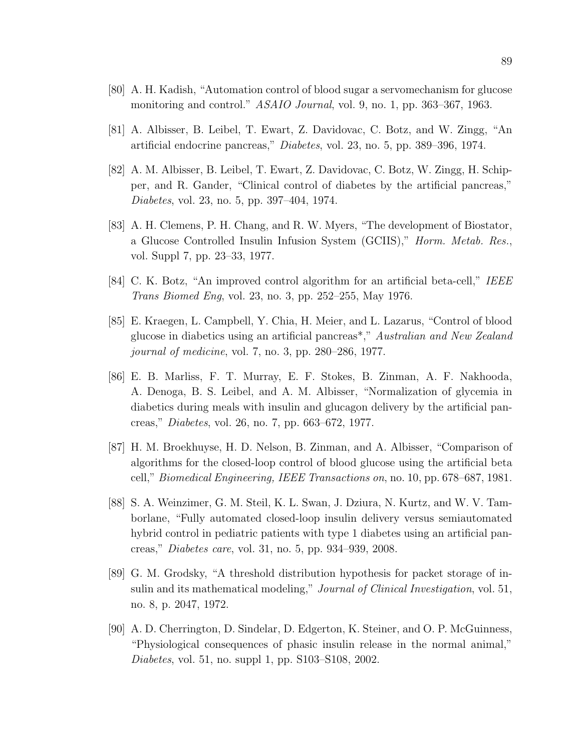- [80] A. H. Kadish, "Automation control of blood sugar a servomechanism for glucose monitoring and control." *ASAIO Journal*, vol. 9, no. 1, pp. 363–367, 1963.
- [81] A. Albisser, B. Leibel, T. Ewart, Z. Davidovac, C. Botz, and W. Zingg, "An artificial endocrine pancreas," *Diabetes*, vol. 23, no. 5, pp. 389–396, 1974.
- [82] A. M. Albisser, B. Leibel, T. Ewart, Z. Davidovac, C. Botz, W. Zingg, H. Schipper, and R. Gander, "Clinical control of diabetes by the artificial pancreas," *Diabetes*, vol. 23, no. 5, pp. 397–404, 1974.
- [83] A. H. Clemens, P. H. Chang, and R. W. Myers, "The development of Biostator, a Glucose Controlled Insulin Infusion System (GCIIS)," *Horm. Metab. Res.*, vol. Suppl 7, pp. 23–33, 1977.
- [84] C. K. Botz, "An improved control algorithm for an artificial beta-cell," *IEEE Trans Biomed Eng*, vol. 23, no. 3, pp. 252–255, May 1976.
- [85] E. Kraegen, L. Campbell, Y. Chia, H. Meier, and L. Lazarus, "Control of blood glucose in diabetics using an artificial pancreas\*," *Australian and New Zealand journal of medicine*, vol. 7, no. 3, pp. 280–286, 1977.
- [86] E. B. Marliss, F. T. Murray, E. F. Stokes, B. Zinman, A. F. Nakhooda, A. Denoga, B. S. Leibel, and A. M. Albisser, "Normalization of glycemia in diabetics during meals with insulin and glucagon delivery by the artificial pancreas," *Diabetes*, vol. 26, no. 7, pp. 663–672, 1977.
- [87] H. M. Broekhuyse, H. D. Nelson, B. Zinman, and A. Albisser, "Comparison of algorithms for the closed-loop control of blood glucose using the artificial beta cell," *Biomedical Engineering, IEEE Transactions on*, no. 10, pp. 678–687, 1981.
- [88] S. A. Weinzimer, G. M. Steil, K. L. Swan, J. Dziura, N. Kurtz, and W. V. Tamborlane, "Fully automated closed-loop insulin delivery versus semiautomated hybrid control in pediatric patients with type 1 diabetes using an artificial pancreas," *Diabetes care*, vol. 31, no. 5, pp. 934–939, 2008.
- [89] G. M. Grodsky, "A threshold distribution hypothesis for packet storage of insulin and its mathematical modeling," *Journal of Clinical Investigation*, vol. 51, no. 8, p. 2047, 1972.
- [90] A. D. Cherrington, D. Sindelar, D. Edgerton, K. Steiner, and O. P. McGuinness, "Physiological consequences of phasic insulin release in the normal animal," *Diabetes*, vol. 51, no. suppl 1, pp. S103–S108, 2002.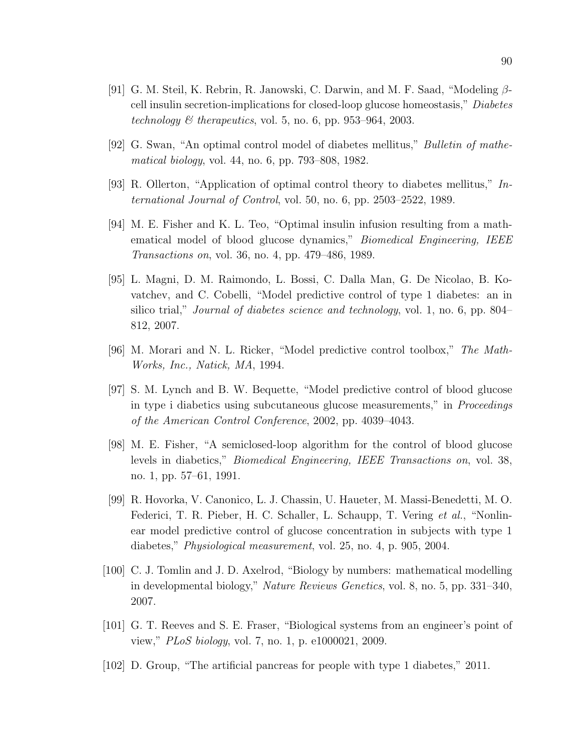- [91] G. M. Steil, K. Rebrin, R. Janowski, C. Darwin, and M. F. Saad, "Modeling  $\beta$ cell insulin secretion-implications for closed-loop glucose homeostasis," *Diabetes technology & therapeutics*, vol. 5, no. 6, pp. 953–964, 2003.
- [92] G. Swan, "An optimal control model of diabetes mellitus," *Bulletin of mathematical biology*, vol. 44, no. 6, pp. 793–808, 1982.
- [93] R. Ollerton, "Application of optimal control theory to diabetes mellitus," *International Journal of Control*, vol. 50, no. 6, pp. 2503–2522, 1989.
- [94] M. E. Fisher and K. L. Teo, "Optimal insulin infusion resulting from a mathematical model of blood glucose dynamics," *Biomedical Engineering, IEEE Transactions on*, vol. 36, no. 4, pp. 479–486, 1989.
- [95] L. Magni, D. M. Raimondo, L. Bossi, C. Dalla Man, G. De Nicolao, B. Kovatchev, and C. Cobelli, "Model predictive control of type 1 diabetes: an in silico trial," *Journal of diabetes science and technology*, vol. 1, no. 6, pp. 804– 812, 2007.
- [96] M. Morari and N. L. Ricker, "Model predictive control toolbox," *The Math-Works, Inc., Natick, MA*, 1994.
- [97] S. M. Lynch and B. W. Bequette, "Model predictive control of blood glucose in type i diabetics using subcutaneous glucose measurements," in *Proceedings of the American Control Conference*, 2002, pp. 4039–4043.
- [98] M. E. Fisher, "A semiclosed-loop algorithm for the control of blood glucose levels in diabetics," *Biomedical Engineering, IEEE Transactions on*, vol. 38, no. 1, pp. 57–61, 1991.
- [99] R. Hovorka, V. Canonico, L. J. Chassin, U. Haueter, M. Massi-Benedetti, M. O. Federici, T. R. Pieber, H. C. Schaller, L. Schaupp, T. Vering *et al.*, "Nonlinear model predictive control of glucose concentration in subjects with type 1 diabetes," *Physiological measurement*, vol. 25, no. 4, p. 905, 2004.
- [100] C. J. Tomlin and J. D. Axelrod, "Biology by numbers: mathematical modelling in developmental biology," *Nature Reviews Genetics*, vol. 8, no. 5, pp. 331–340, 2007.
- [101] G. T. Reeves and S. E. Fraser, "Biological systems from an engineer's point of view," *PLoS biology*, vol. 7, no. 1, p. e1000021, 2009.
- [102] D. Group, "The artificial pancreas for people with type 1 diabetes," 2011.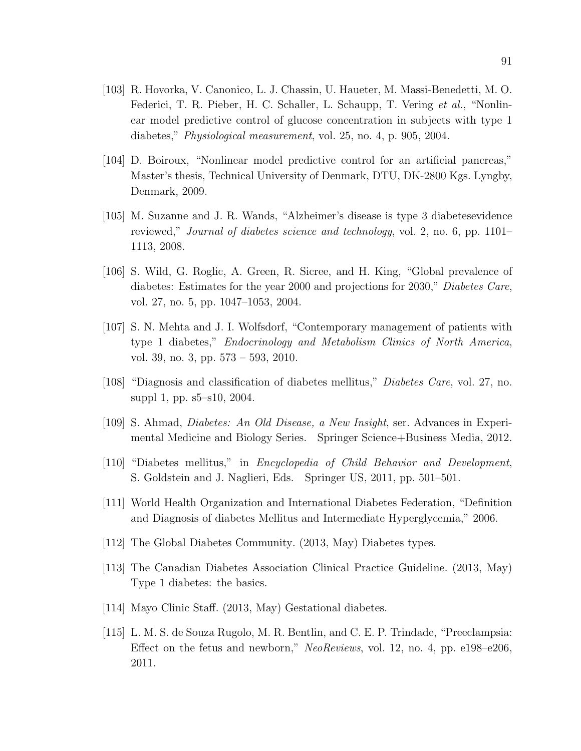- [103] R. Hovorka, V. Canonico, L. J. Chassin, U. Haueter, M. Massi-Benedetti, M. O. Federici, T. R. Pieber, H. C. Schaller, L. Schaupp, T. Vering *et al.*, "Nonlinear model predictive control of glucose concentration in subjects with type 1 diabetes," *Physiological measurement*, vol. 25, no. 4, p. 905, 2004.
- [104] D. Boiroux, "Nonlinear model predictive control for an artificial pancreas," Master's thesis, Technical University of Denmark, DTU, DK-2800 Kgs. Lyngby, Denmark, 2009.
- [105] M. Suzanne and J. R. Wands, "Alzheimer's disease is type 3 diabetesevidence reviewed," *Journal of diabetes science and technology*, vol. 2, no. 6, pp. 1101– 1113, 2008.
- [106] S. Wild, G. Roglic, A. Green, R. Sicree, and H. King, "Global prevalence of diabetes: Estimates for the year 2000 and projections for 2030," *Diabetes Care*, vol. 27, no. 5, pp. 1047–1053, 2004.
- [107] S. N. Mehta and J. I. Wolfsdorf, "Contemporary management of patients with type 1 diabetes," *Endocrinology and Metabolism Clinics of North America*, vol. 39, no. 3, pp. 573 – 593, 2010.
- [108] "Diagnosis and classification of diabetes mellitus," *Diabetes Care*, vol. 27, no. suppl 1, pp. s5–s10, 2004.
- [109] S. Ahmad, *Diabetes: An Old Disease, a New Insight*, ser. Advances in Experimental Medicine and Biology Series. Springer Science+Business Media, 2012.
- [110] "Diabetes mellitus," in *Encyclopedia of Child Behavior and Development*, S. Goldstein and J. Naglieri, Eds. Springer US, 2011, pp. 501–501.
- [111] World Health Organization and International Diabetes Federation, "Definition and Diagnosis of diabetes Mellitus and Intermediate Hyperglycemia," 2006.
- [112] The Global Diabetes Community. (2013, May) Diabetes types.
- [113] The Canadian Diabetes Association Clinical Practice Guideline. (2013, May) Type 1 diabetes: the basics.
- [114] Mayo Clinic Staff. (2013, May) Gestational diabetes.
- [115] L. M. S. de Souza Rugolo, M. R. Bentlin, and C. E. P. Trindade, "Preeclampsia: Effect on the fetus and newborn," *NeoReviews*, vol. 12, no. 4, pp. e198–e206, 2011.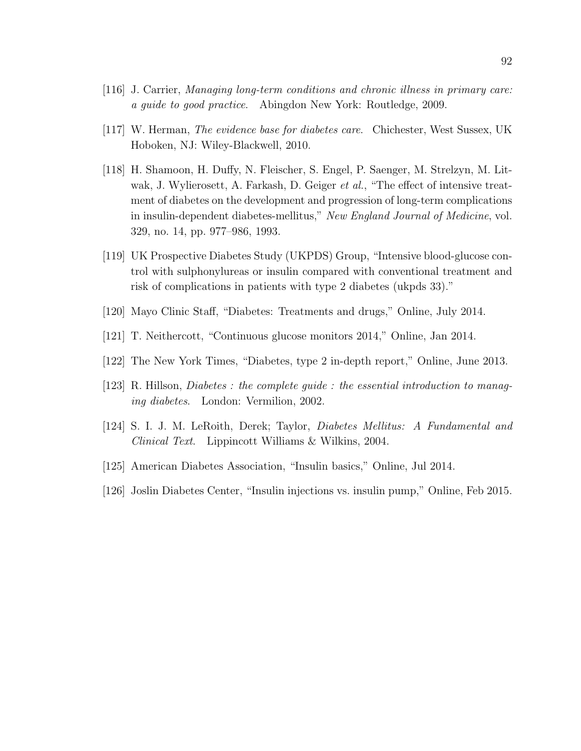- [116] J. Carrier, *Managing long-term conditions and chronic illness in primary care: a guide to good practice*. Abingdon New York: Routledge, 2009.
- [117] W. Herman, *The evidence base for diabetes care*. Chichester, West Sussex, UK Hoboken, NJ: Wiley-Blackwell, 2010.
- [118] H. Shamoon, H. Duffy, N. Fleischer, S. Engel, P. Saenger, M. Strelzyn, M. Litwak, J. Wylierosett, A. Farkash, D. Geiger *et al.*, "The effect of intensive treatment of diabetes on the development and progression of long-term complications in insulin-dependent diabetes-mellitus," *New England Journal of Medicine*, vol. 329, no. 14, pp. 977–986, 1993.
- [119] UK Prospective Diabetes Study (UKPDS) Group, "Intensive blood-glucose control with sulphonylureas or insulin compared with conventional treatment and risk of complications in patients with type 2 diabetes (ukpds 33)."
- [120] Mayo Clinic Staff, "Diabetes: Treatments and drugs," Online, July 2014.
- [121] T. Neithercott, "Continuous glucose monitors 2014," Online, Jan 2014.
- [122] The New York Times, "Diabetes, type 2 in-depth report," Online, June 2013.
- [123] R. Hillson, *Diabetes : the complete guide : the essential introduction to managing diabetes*. London: Vermilion, 2002.
- [124] S. I. J. M. LeRoith, Derek; Taylor, *Diabetes Mellitus: A Fundamental and Clinical Text*. Lippincott Williams & Wilkins, 2004.
- [125] American Diabetes Association, "Insulin basics," Online, Jul 2014.
- [126] Joslin Diabetes Center, "Insulin injections vs. insulin pump," Online, Feb 2015.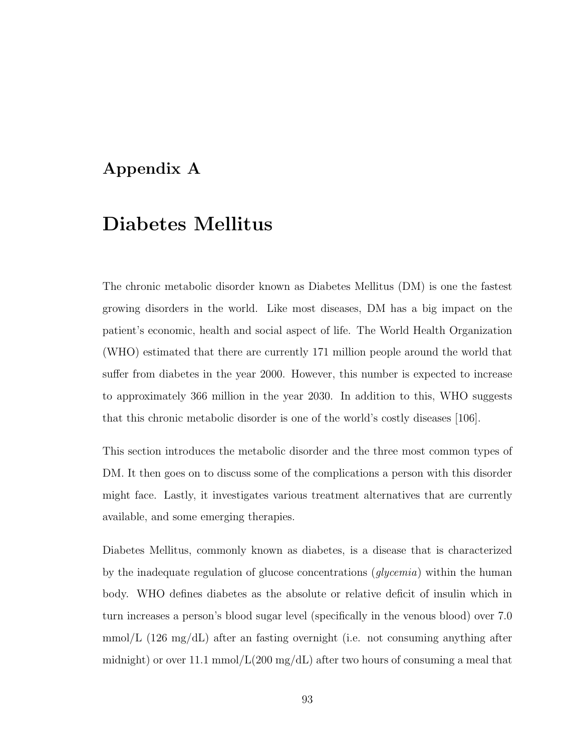### Appendix A

## Diabetes Mellitus

The chronic metabolic disorder known as Diabetes Mellitus (DM) is one the fastest growing disorders in the world. Like most diseases, DM has a big impact on the patient's economic, health and social aspect of life. The World Health Organization (WHO) estimated that there are currently 171 million people around the world that suffer from diabetes in the year 2000. However, this number is expected to increase to approximately 366 million in the year 2030. In addition to this, WHO suggests that this chronic metabolic disorder is one of the world's costly diseases [106].

This section introduces the metabolic disorder and the three most common types of DM. It then goes on to discuss some of the complications a person with this disorder might face. Lastly, it investigates various treatment alternatives that are currently available, and some emerging therapies.

Diabetes Mellitus, commonly known as diabetes, is a disease that is characterized by the inadequate regulation of glucose concentrations (*glycemia*) within the human body. WHO defines diabetes as the absolute or relative deficit of insulin which in turn increases a person's blood sugar level (specifically in the venous blood) over 7.0 mmol/L  $(126 \text{ mg/dL})$  after an fasting overnight (i.e. not consuming anything after midnight) or over 11.1 mmol/ $L(200 \text{ mg/dL})$  after two hours of consuming a meal that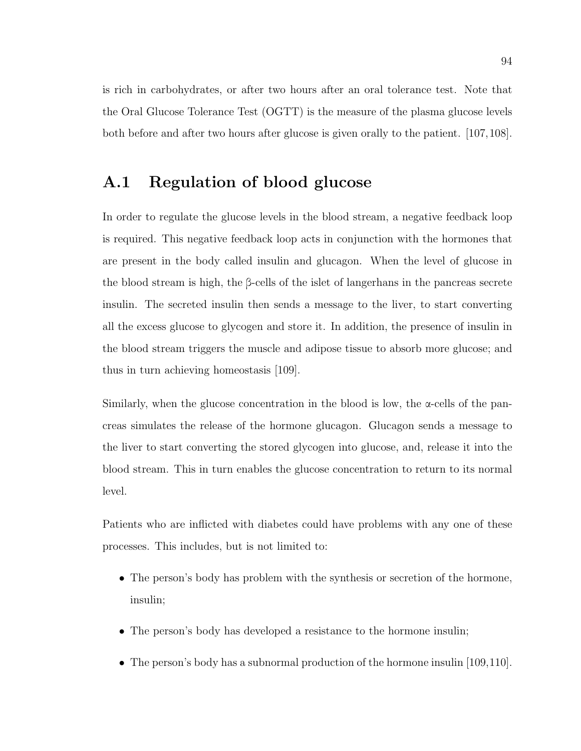is rich in carbohydrates, or after two hours after an oral tolerance test. Note that the Oral Glucose Tolerance Test (OGTT) is the measure of the plasma glucose levels both before and after two hours after glucose is given orally to the patient. [107,108].

## A.1 Regulation of blood glucose

In order to regulate the glucose levels in the blood stream, a negative feedback loop is required. This negative feedback loop acts in conjunction with the hormones that are present in the body called insulin and glucagon. When the level of glucose in the blood stream is high, the β-cells of the islet of langerhans in the pancreas secrete insulin. The secreted insulin then sends a message to the liver, to start converting all the excess glucose to glycogen and store it. In addition, the presence of insulin in the blood stream triggers the muscle and adipose tissue to absorb more glucose; and thus in turn achieving homeostasis [109].

Similarly, when the glucose concentration in the blood is low, the  $\alpha$ -cells of the pancreas simulates the release of the hormone glucagon. Glucagon sends a message to the liver to start converting the stored glycogen into glucose, and, release it into the blood stream. This in turn enables the glucose concentration to return to its normal level.

Patients who are inflicted with diabetes could have problems with any one of these processes. This includes, but is not limited to:

- The person's body has problem with the synthesis or secretion of the hormone, insulin;
- The person's body has developed a resistance to the hormone insulin;
- The person's body has a subnormal production of the hormone insulin [109,110].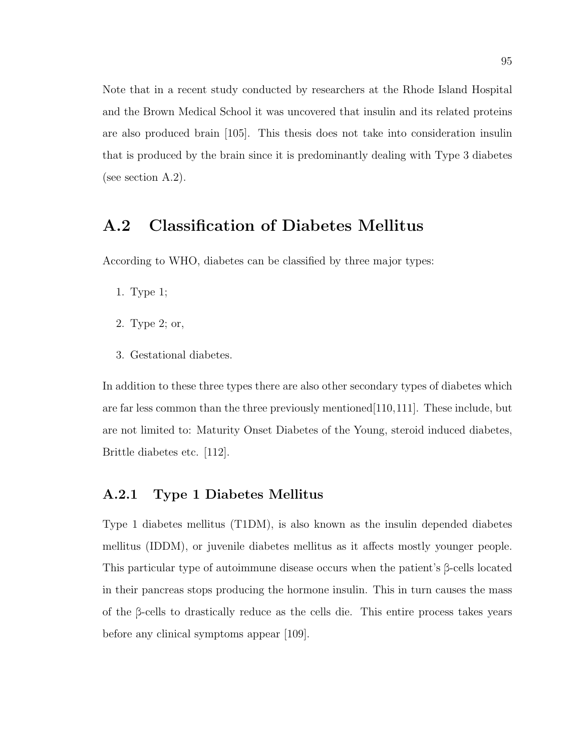Note that in a recent study conducted by researchers at the Rhode Island Hospital and the Brown Medical School it was uncovered that insulin and its related proteins are also produced brain [105]. This thesis does not take into consideration insulin that is produced by the brain since it is predominantly dealing with Type 3 diabetes (see section A.2).

# A.2 Classification of Diabetes Mellitus

According to WHO, diabetes can be classified by three major types:

- 1. Type 1;
- 2. Type 2; or,
- 3. Gestational diabetes.

In addition to these three types there are also other secondary types of diabetes which are far less common than the three previously mentioned[110,111]. These include, but are not limited to: Maturity Onset Diabetes of the Young, steroid induced diabetes, Brittle diabetes etc. [112].

#### A.2.1 Type 1 Diabetes Mellitus

Type 1 diabetes mellitus (T1DM), is also known as the insulin depended diabetes mellitus (IDDM), or juvenile diabetes mellitus as it affects mostly younger people. This particular type of autoimmune disease occurs when the patient's β-cells located in their pancreas stops producing the hormone insulin. This in turn causes the mass of the β-cells to drastically reduce as the cells die. This entire process takes years before any clinical symptoms appear [109].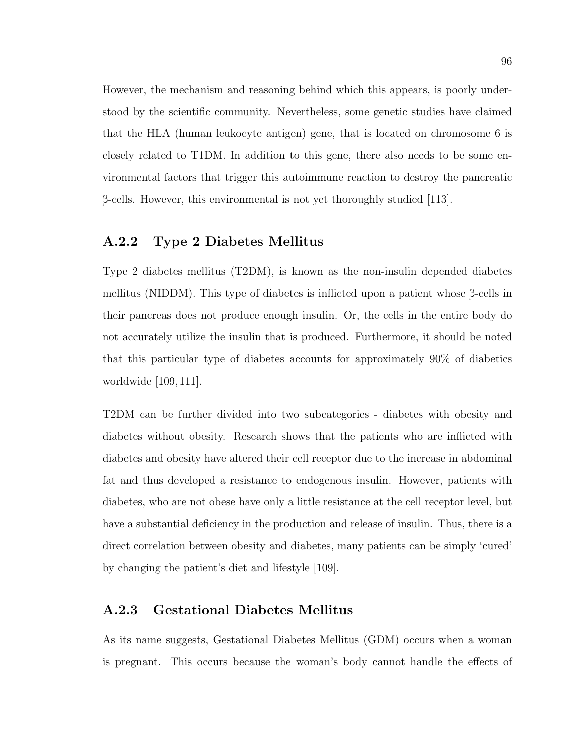However, the mechanism and reasoning behind which this appears, is poorly understood by the scientific community. Nevertheless, some genetic studies have claimed that the HLA (human leukocyte antigen) gene, that is located on chromosome 6 is closely related to T1DM. In addition to this gene, there also needs to be some environmental factors that trigger this autoimmune reaction to destroy the pancreatic β-cells. However, this environmental is not yet thoroughly studied  $|113|$ .

### A.2.2 Type 2 Diabetes Mellitus

Type 2 diabetes mellitus (T2DM), is known as the non-insulin depended diabetes mellitus (NIDDM). This type of diabetes is inflicted upon a patient whose  $\beta$ -cells in their pancreas does not produce enough insulin. Or, the cells in the entire body do not accurately utilize the insulin that is produced. Furthermore, it should be noted that this particular type of diabetes accounts for approximately 90% of diabetics worldwide [109, 111].

T2DM can be further divided into two subcategories - diabetes with obesity and diabetes without obesity. Research shows that the patients who are inflicted with diabetes and obesity have altered their cell receptor due to the increase in abdominal fat and thus developed a resistance to endogenous insulin. However, patients with diabetes, who are not obese have only a little resistance at the cell receptor level, but have a substantial deficiency in the production and release of insulin. Thus, there is a direct correlation between obesity and diabetes, many patients can be simply 'cured' by changing the patient's diet and lifestyle [109].

### A.2.3 Gestational Diabetes Mellitus

As its name suggests, Gestational Diabetes Mellitus (GDM) occurs when a woman is pregnant. This occurs because the woman's body cannot handle the effects of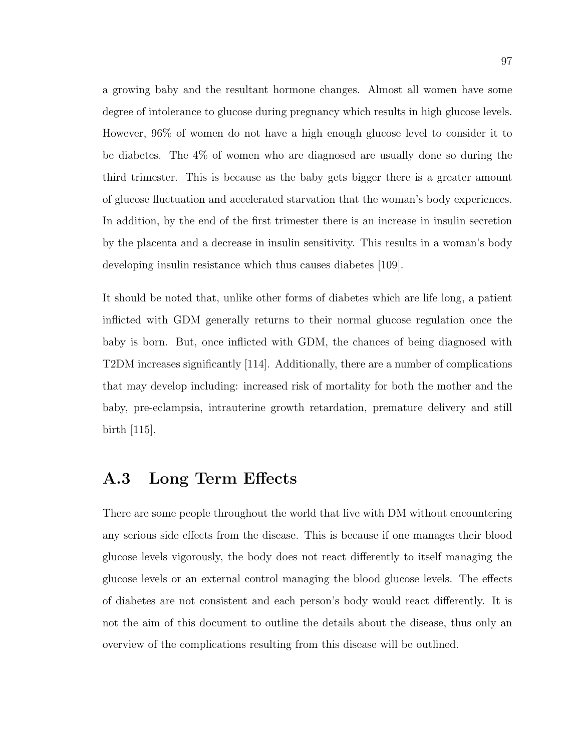a growing baby and the resultant hormone changes. Almost all women have some degree of intolerance to glucose during pregnancy which results in high glucose levels. However, 96% of women do not have a high enough glucose level to consider it to be diabetes. The 4% of women who are diagnosed are usually done so during the third trimester. This is because as the baby gets bigger there is a greater amount of glucose fluctuation and accelerated starvation that the woman's body experiences. In addition, by the end of the first trimester there is an increase in insulin secretion by the placenta and a decrease in insulin sensitivity. This results in a woman's body developing insulin resistance which thus causes diabetes [109].

It should be noted that, unlike other forms of diabetes which are life long, a patient inflicted with GDM generally returns to their normal glucose regulation once the baby is born. But, once inflicted with GDM, the chances of being diagnosed with T2DM increases significantly [114]. Additionally, there are a number of complications that may develop including: increased risk of mortality for both the mother and the baby, pre-eclampsia, intrauterine growth retardation, premature delivery and still birth [115].

## A.3 Long Term Effects

There are some people throughout the world that live with DM without encountering any serious side effects from the disease. This is because if one manages their blood glucose levels vigorously, the body does not react differently to itself managing the glucose levels or an external control managing the blood glucose levels. The effects of diabetes are not consistent and each person's body would react differently. It is not the aim of this document to outline the details about the disease, thus only an overview of the complications resulting from this disease will be outlined.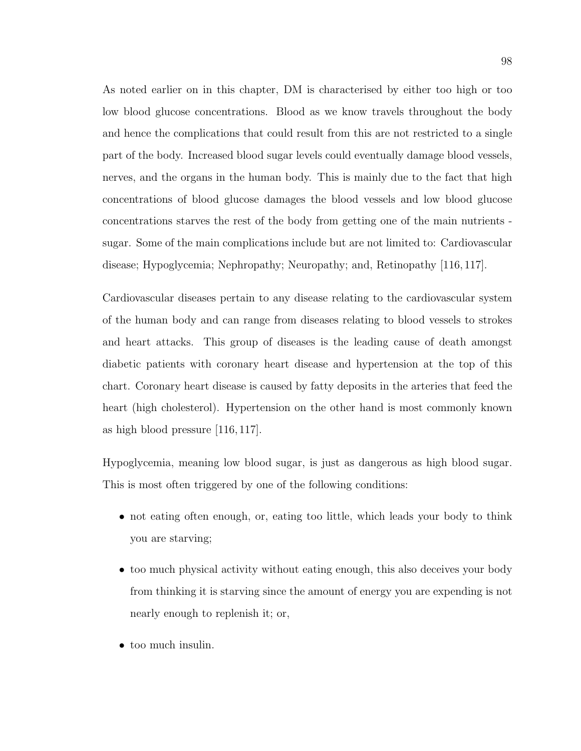As noted earlier on in this chapter, DM is characterised by either too high or too low blood glucose concentrations. Blood as we know travels throughout the body and hence the complications that could result from this are not restricted to a single part of the body. Increased blood sugar levels could eventually damage blood vessels, nerves, and the organs in the human body. This is mainly due to the fact that high concentrations of blood glucose damages the blood vessels and low blood glucose concentrations starves the rest of the body from getting one of the main nutrients sugar. Some of the main complications include but are not limited to: Cardiovascular disease; Hypoglycemia; Nephropathy; Neuropathy; and, Retinopathy [116, 117].

Cardiovascular diseases pertain to any disease relating to the cardiovascular system of the human body and can range from diseases relating to blood vessels to strokes and heart attacks. This group of diseases is the leading cause of death amongst diabetic patients with coronary heart disease and hypertension at the top of this chart. Coronary heart disease is caused by fatty deposits in the arteries that feed the heart (high cholesterol). Hypertension on the other hand is most commonly known as high blood pressure [116, 117].

Hypoglycemia, meaning low blood sugar, is just as dangerous as high blood sugar. This is most often triggered by one of the following conditions:

- not eating often enough, or, eating too little, which leads your body to think you are starving;
- too much physical activity without eating enough, this also deceives your body from thinking it is starving since the amount of energy you are expending is not nearly enough to replenish it; or,
- too much insulin.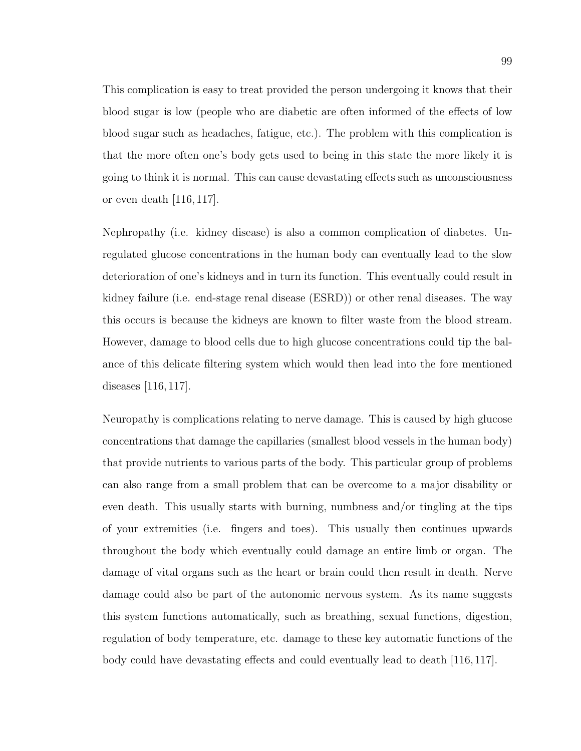This complication is easy to treat provided the person undergoing it knows that their blood sugar is low (people who are diabetic are often informed of the effects of low blood sugar such as headaches, fatigue, etc.). The problem with this complication is that the more often one's body gets used to being in this state the more likely it is going to think it is normal. This can cause devastating effects such as unconsciousness or even death [116, 117].

Nephropathy (i.e. kidney disease) is also a common complication of diabetes. Unregulated glucose concentrations in the human body can eventually lead to the slow deterioration of one's kidneys and in turn its function. This eventually could result in kidney failure (i.e. end-stage renal disease (ESRD)) or other renal diseases. The way this occurs is because the kidneys are known to filter waste from the blood stream. However, damage to blood cells due to high glucose concentrations could tip the balance of this delicate filtering system which would then lead into the fore mentioned diseases [116, 117].

Neuropathy is complications relating to nerve damage. This is caused by high glucose concentrations that damage the capillaries (smallest blood vessels in the human body) that provide nutrients to various parts of the body. This particular group of problems can also range from a small problem that can be overcome to a major disability or even death. This usually starts with burning, numbness and/or tingling at the tips of your extremities (i.e. fingers and toes). This usually then continues upwards throughout the body which eventually could damage an entire limb or organ. The damage of vital organs such as the heart or brain could then result in death. Nerve damage could also be part of the autonomic nervous system. As its name suggests this system functions automatically, such as breathing, sexual functions, digestion, regulation of body temperature, etc. damage to these key automatic functions of the body could have devastating effects and could eventually lead to death [116, 117].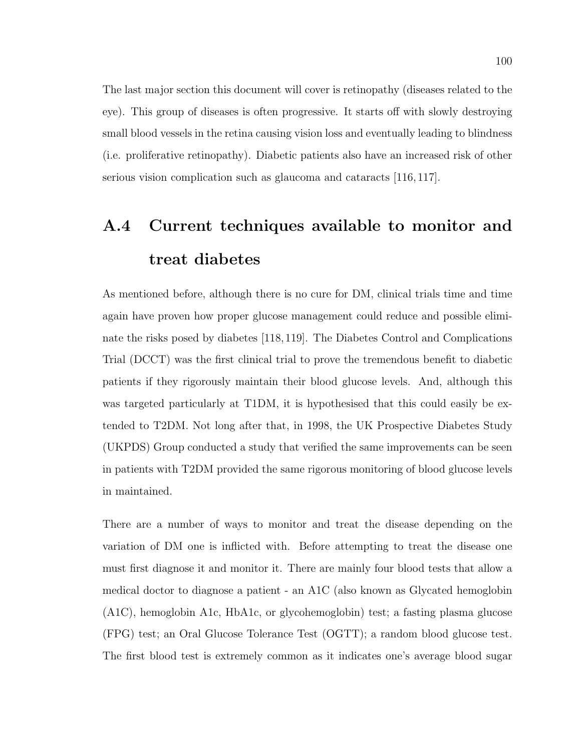The last major section this document will cover is retinopathy (diseases related to the eye). This group of diseases is often progressive. It starts off with slowly destroying small blood vessels in the retina causing vision loss and eventually leading to blindness (i.e. proliferative retinopathy). Diabetic patients also have an increased risk of other serious vision complication such as glaucoma and cataracts [116, 117].

# A.4 Current techniques available to monitor and treat diabetes

As mentioned before, although there is no cure for DM, clinical trials time and time again have proven how proper glucose management could reduce and possible eliminate the risks posed by diabetes [118,119]. The Diabetes Control and Complications Trial (DCCT) was the first clinical trial to prove the tremendous benefit to diabetic patients if they rigorously maintain their blood glucose levels. And, although this was targeted particularly at T1DM, it is hypothesised that this could easily be extended to T2DM. Not long after that, in 1998, the UK Prospective Diabetes Study (UKPDS) Group conducted a study that verified the same improvements can be seen in patients with T2DM provided the same rigorous monitoring of blood glucose levels in maintained.

There are a number of ways to monitor and treat the disease depending on the variation of DM one is inflicted with. Before attempting to treat the disease one must first diagnose it and monitor it. There are mainly four blood tests that allow a medical doctor to diagnose a patient - an A1C (also known as Glycated hemoglobin (A1C), hemoglobin A1c, HbA1c, or glycohemoglobin) test; a fasting plasma glucose (FPG) test; an Oral Glucose Tolerance Test (OGTT); a random blood glucose test. The first blood test is extremely common as it indicates one's average blood sugar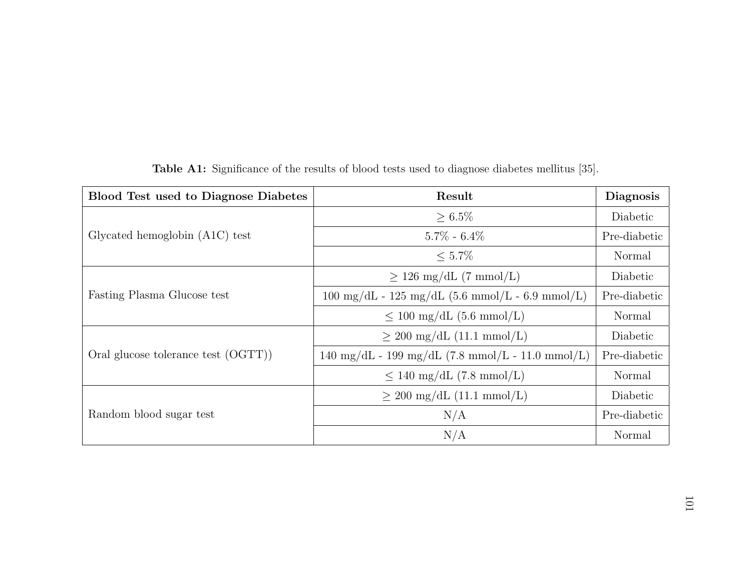| <b>Blood Test used to Diagnose Diabetes</b> | Result                                                             | <b>Diagnosis</b> |
|---------------------------------------------|--------------------------------------------------------------------|------------------|
|                                             | $\geq 6.5\%$                                                       | Diabetic         |
| Glycated hemoglobin $(A1C)$ test            | $5.7\% - 6.4\%$                                                    | Pre-diabetic     |
|                                             | $\leq 5.7\%$                                                       | Normal           |
| Fasting Plasma Glucose test                 | $\geq$ 126 mg/dL (7 mmol/L)                                        | Diabetic         |
|                                             | $100 \text{ mg/dL} - 125 \text{ mg/dL}$ (5.6 mmol/L - 6.9 mmol/L)  | Pre-diabetic     |
|                                             | $\leq 100 \text{ mg/dL}$ (5.6 mmol/L)                              | Normal           |
| Oral glucose tolerance test (OGTT))         | $\geq 200 \text{ mg/dL} (11.1 \text{ mmol/L})$                     | Diabetic         |
|                                             | $140 \text{ mg/dL} - 199 \text{ mg/dL}$ (7.8 mmol/L - 11.0 mmol/L) | Pre-diabetic     |
|                                             | $\leq 140 \text{ mg/dL}$ (7.8 mmol/L)                              | Normal           |
| Random blood sugar test                     | $\geq 200$ mg/dL (11.1 mmol/L)                                     | Diabetic         |
|                                             | N/A                                                                | Pre-diabetic     |
|                                             | N/A                                                                | Normal           |

Table A1: Significance of the results of blood tests used to diagnose diabetes mellitus [35].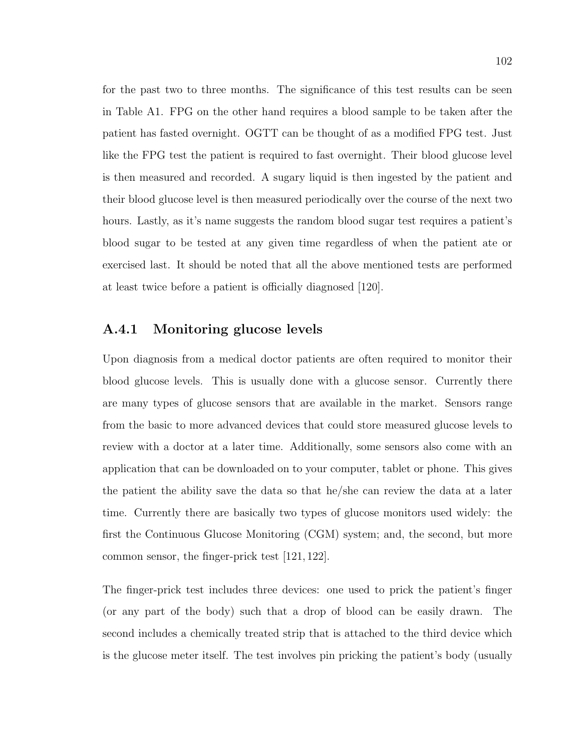for the past two to three months. The significance of this test results can be seen in Table A1. FPG on the other hand requires a blood sample to be taken after the patient has fasted overnight. OGTT can be thought of as a modified FPG test. Just like the FPG test the patient is required to fast overnight. Their blood glucose level is then measured and recorded. A sugary liquid is then ingested by the patient and their blood glucose level is then measured periodically over the course of the next two hours. Lastly, as it's name suggests the random blood sugar test requires a patient's blood sugar to be tested at any given time regardless of when the patient ate or exercised last. It should be noted that all the above mentioned tests are performed at least twice before a patient is officially diagnosed [120].

#### A.4.1 Monitoring glucose levels

Upon diagnosis from a medical doctor patients are often required to monitor their blood glucose levels. This is usually done with a glucose sensor. Currently there are many types of glucose sensors that are available in the market. Sensors range from the basic to more advanced devices that could store measured glucose levels to review with a doctor at a later time. Additionally, some sensors also come with an application that can be downloaded on to your computer, tablet or phone. This gives the patient the ability save the data so that he/she can review the data at a later time. Currently there are basically two types of glucose monitors used widely: the first the Continuous Glucose Monitoring (CGM) system; and, the second, but more common sensor, the finger-prick test [121, 122].

The finger-prick test includes three devices: one used to prick the patient's finger (or any part of the body) such that a drop of blood can be easily drawn. The second includes a chemically treated strip that is attached to the third device which is the glucose meter itself. The test involves pin pricking the patient's body (usually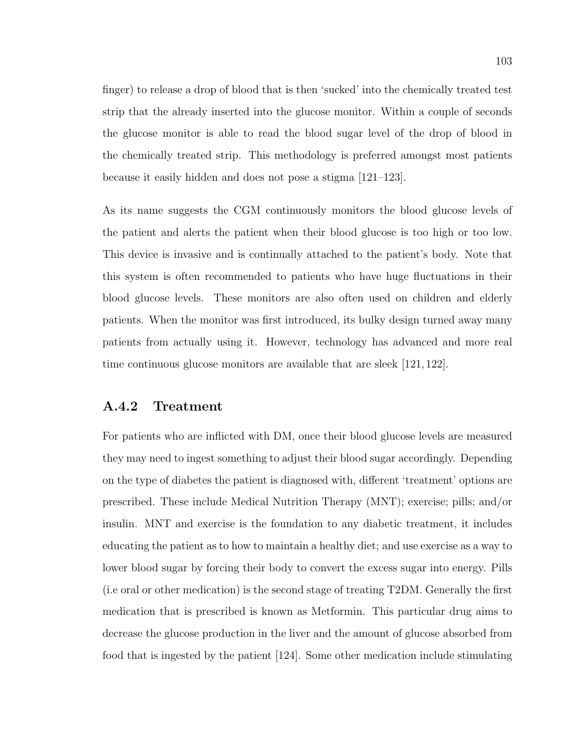finger) to release a drop of blood that is then 'sucked' into the chemically treated test strip that the already inserted into the glucose monitor. Within a couple of seconds the glucose monitor is able to read the blood sugar level of the drop of blood in the chemically treated strip. This methodology is preferred amongst most patients because it easily hidden and does not pose a stigma [121–123].

As its name suggests the CGM continuously monitors the blood glucose levels of the patient and alerts the patient when their blood glucose is too high or too low. This device is invasive and is continually attached to the patient's body. Note that this system is often recommended to patients who have huge fluctuations in their blood glucose levels. These monitors are also often used on children and elderly patients. When the monitor was first introduced, its bulky design turned away many patients from actually using it. However, technology has advanced and more real time continuous glucose monitors are available that are sleek [121, 122].

## A.4.2 Treatment

For patients who are inflicted with DM, once their blood glucose levels are measured they may need to ingest something to adjust their blood sugar accordingly. Depending on the type of diabetes the patient is diagnosed with, different 'treatment' options are prescribed. These include Medical Nutrition Therapy (MNT); exercise; pills; and/or insulin. MNT and exercise is the foundation to any diabetic treatment, it includes educating the patient as to how to maintain a healthy diet; and use exercise as a way to lower blood sugar by forcing their body to convert the excess sugar into energy. Pills (i.e oral or other medication) is the second stage of treating T2DM. Generally the first medication that is prescribed is known as Metformin. This particular drug aims to decrease the glucose production in the liver and the amount of glucose absorbed from food that is ingested by the patient [124]. Some other medication include stimulating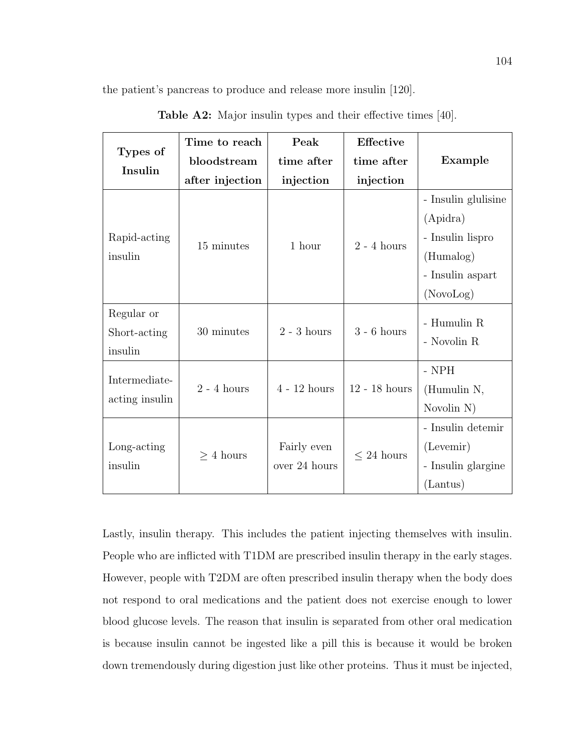the patient's pancreas to produce and release more insulin [120].

| Types of<br>Insulin             | Time to reach   | Peak                         | <b>Effective</b> |                     |  |
|---------------------------------|-----------------|------------------------------|------------------|---------------------|--|
|                                 | bloodstream     | time after                   | time after       | Example             |  |
|                                 | after injection | injection                    | injection        |                     |  |
| Rapid-acting<br>insulin         | 15 minutes      | 1 hour                       | $2 - 4$ hours    | - Insulin glulisine |  |
|                                 |                 |                              |                  | (Apidra)            |  |
|                                 |                 |                              |                  | - Insulin lispro    |  |
|                                 |                 |                              |                  | (Humalog)           |  |
|                                 |                 |                              |                  | - Insulin aspart    |  |
|                                 |                 |                              |                  | (NovoLog)           |  |
| Regular or                      | 30 minutes      | $2 - 3$ hours                | $3 - 6$ hours    | - Humulin R         |  |
| Short-acting                    |                 |                              |                  |                     |  |
| insulin                         |                 |                              |                  | - Novolin R         |  |
| Intermediate-<br>acting insulin | $2 - 4$ hours   | $4 - 12$ hours               | $12 - 18$ hours  | - NPH               |  |
|                                 |                 |                              |                  | (Humulin N,         |  |
|                                 |                 |                              |                  | Novolin N)          |  |
| Long-acting<br>insulin          | $> 4$ hours     | Fairly even<br>over 24 hours | $\leq$ 24 hours  | - Insulin detemir   |  |
|                                 |                 |                              |                  | (Levemir)           |  |
|                                 |                 |                              |                  | - Insulin glargine  |  |
|                                 |                 |                              |                  | (Lantus)            |  |

Table A2: Major insulin types and their effective times [40].

Lastly, insulin therapy. This includes the patient injecting themselves with insulin. People who are inflicted with T1DM are prescribed insulin therapy in the early stages. However, people with T2DM are often prescribed insulin therapy when the body does not respond to oral medications and the patient does not exercise enough to lower blood glucose levels. The reason that insulin is separated from other oral medication is because insulin cannot be ingested like a pill this is because it would be broken down tremendously during digestion just like other proteins. Thus it must be injected,